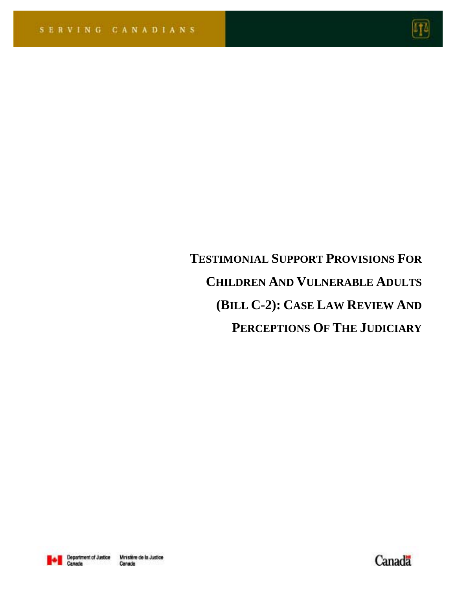

**TESTIMONIAL SUPPORT PROVISIONS FOR CHILDREN AND VULNERABLE ADULTS (BILL C-2): CASE LAW REVIEW AND PERCEPTIONS OF THE JUDICIARY**



Canada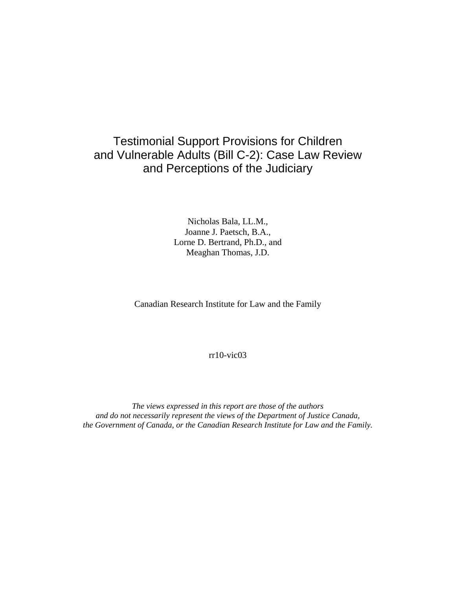## Testimonial Support Provisions for Children and Vulnerable Adults (Bill C-2): Case Law Review and Perceptions of the Judiciary

Nicholas Bala, LL.M., Joanne J. Paetsch, B.A., Lorne D. Bertrand, Ph.D., and Meaghan Thomas, J.D.

Canadian Research Institute for Law and the Family

rr10-vic03

*The views expressed in this report are those of the authors and do not necessarily represent the views of the Department of Justice Canada, the Government of Canada, or the Canadian Research Institute for Law and the Family.*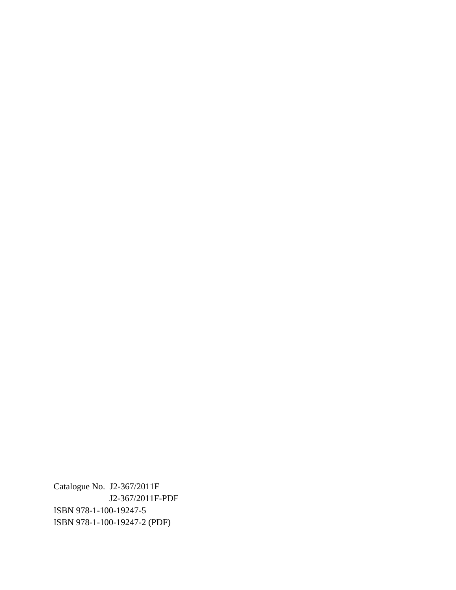Catalogue No. J2-367/2011F J2-367/2011F-PDF ISBN 978-1-100-19247-5 ISBN 978-1-100-19247-2 (PDF)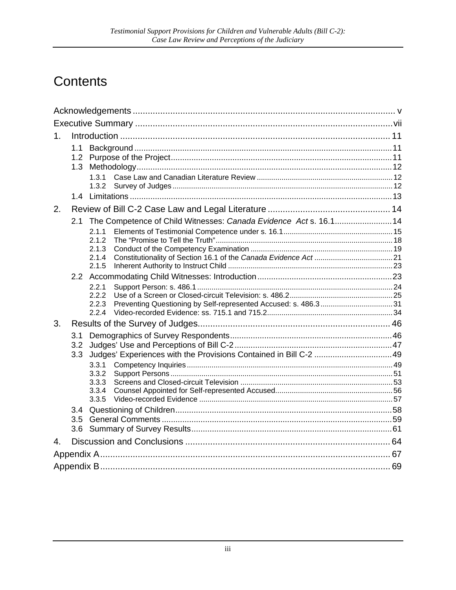## Contents

| $1_{-}$          |                   |                                  |                                                                   |  |  |  |  |
|------------------|-------------------|----------------------------------|-------------------------------------------------------------------|--|--|--|--|
|                  | 1.1<br>1.3        |                                  |                                                                   |  |  |  |  |
|                  |                   | 131<br>1.3.2                     |                                                                   |  |  |  |  |
|                  |                   |                                  |                                                                   |  |  |  |  |
| 2.               |                   |                                  |                                                                   |  |  |  |  |
|                  | 2.1               | 2.1.1<br>2.1.2<br>2.1.3<br>2.1.5 | The Competence of Child Witnesses: Canada Evidence Act s. 16.1 14 |  |  |  |  |
|                  |                   | 2.2.1<br>2.2.2<br>2.2.3<br>224   |                                                                   |  |  |  |  |
| 3.               |                   |                                  |                                                                   |  |  |  |  |
|                  | 3.1<br>3.2<br>3.3 | 3.3.2<br>3.3.3<br>3.3.4<br>3.3.5 |                                                                   |  |  |  |  |
|                  | 3.5               |                                  |                                                                   |  |  |  |  |
|                  | 3.6               |                                  |                                                                   |  |  |  |  |
| $\overline{4}$ . |                   |                                  |                                                                   |  |  |  |  |
|                  |                   |                                  |                                                                   |  |  |  |  |
|                  |                   |                                  |                                                                   |  |  |  |  |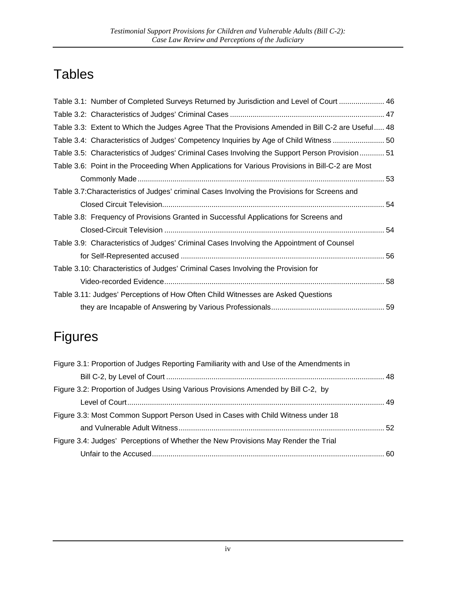# **Tables**

| Table 3.1: Number of Completed Surveys Returned by Jurisdiction and Level of Court  46            |  |  |  |  |  |
|---------------------------------------------------------------------------------------------------|--|--|--|--|--|
|                                                                                                   |  |  |  |  |  |
| Table 3.3: Extent to Which the Judges Agree That the Provisions Amended in Bill C-2 are Useful 48 |  |  |  |  |  |
| Table 3.4: Characteristics of Judges' Competency Inquiries by Age of Child Witness  50            |  |  |  |  |  |
| Table 3.5: Characteristics of Judges' Criminal Cases Involving the Support Person Provision 51    |  |  |  |  |  |
| Table 3.6: Point in the Proceeding When Applications for Various Provisions in Bill-C-2 are Most  |  |  |  |  |  |
|                                                                                                   |  |  |  |  |  |
| Table 3.7: Characteristics of Judges' criminal Cases Involving the Provisions for Screens and     |  |  |  |  |  |
|                                                                                                   |  |  |  |  |  |
| Table 3.8: Frequency of Provisions Granted in Successful Applications for Screens and             |  |  |  |  |  |
|                                                                                                   |  |  |  |  |  |
| Table 3.9: Characteristics of Judges' Criminal Cases Involving the Appointment of Counsel         |  |  |  |  |  |
|                                                                                                   |  |  |  |  |  |
| Table 3.10: Characteristics of Judges' Criminal Cases Involving the Provision for                 |  |  |  |  |  |
|                                                                                                   |  |  |  |  |  |
| Table 3.11: Judges' Perceptions of How Often Child Witnesses are Asked Questions                  |  |  |  |  |  |
|                                                                                                   |  |  |  |  |  |
|                                                                                                   |  |  |  |  |  |

## Figures

| Figure 3.1: Proportion of Judges Reporting Familiarity with and Use of the Amendments in |  |
|------------------------------------------------------------------------------------------|--|
|                                                                                          |  |
| Figure 3.2: Proportion of Judges Using Various Provisions Amended by Bill C-2, by        |  |
|                                                                                          |  |
| Figure 3.3: Most Common Support Person Used in Cases with Child Witness under 18         |  |
|                                                                                          |  |
| Figure 3.4: Judges' Perceptions of Whether the New Provisions May Render the Trial       |  |
|                                                                                          |  |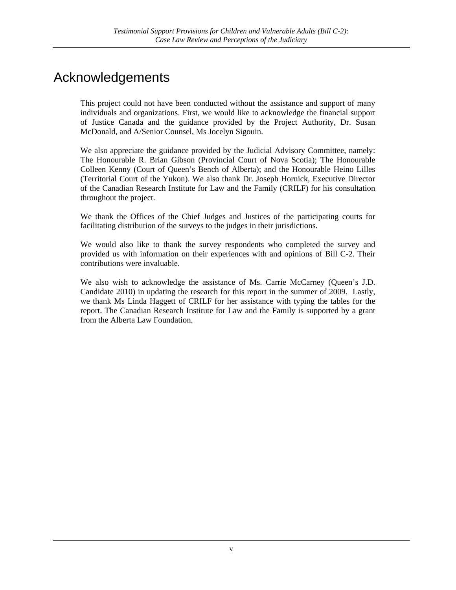## Acknowledgements

This project could not have been conducted without the assistance and support of many individuals and organizations. First, we would like to acknowledge the financial support of Justice Canada and the guidance provided by the Project Authority, Dr. Susan McDonald, and A/Senior Counsel, Ms Jocelyn Sigouin.

We also appreciate the guidance provided by the Judicial Advisory Committee, namely: The Honourable R. Brian Gibson (Provincial Court of Nova Scotia); The Honourable Colleen Kenny (Court of Queen's Bench of Alberta); and the Honourable Heino Lilles (Territorial Court of the Yukon). We also thank Dr. Joseph Hornick, Executive Director of the Canadian Research Institute for Law and the Family (CRILF) for his consultation throughout the project.

We thank the Offices of the Chief Judges and Justices of the participating courts for facilitating distribution of the surveys to the judges in their jurisdictions.

We would also like to thank the survey respondents who completed the survey and provided us with information on their experiences with and opinions of Bill C-2. Their contributions were invaluable.

We also wish to acknowledge the assistance of Ms. Carrie McCarney (Queen's J.D. Candidate 2010) in updating the research for this report in the summer of 2009. Lastly, we thank Ms Linda Haggett of CRILF for her assistance with typing the tables for the report. The Canadian Research Institute for Law and the Family is supported by a grant from the Alberta Law Foundation.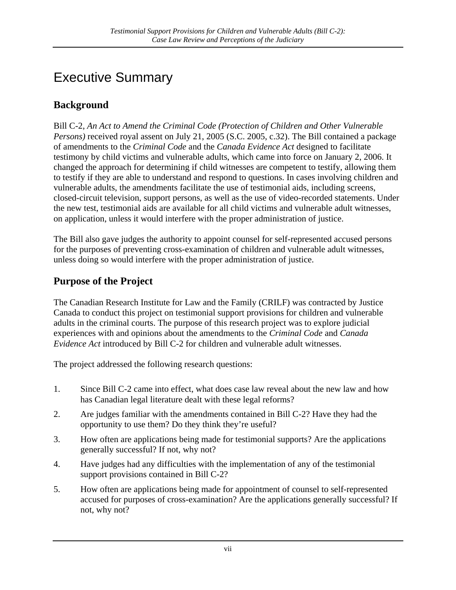# Executive Summary

### **Background**

Bill C-2, *An Act to Amend the Criminal Code (Protection of Children and Other Vulnerable Persons)* received royal assent on July 21, 2005 (S.C. 2005, c.32). The Bill contained a package of amendments to the *Criminal Code* and the *Canada Evidence Act* designed to facilitate testimony by child victims and vulnerable adults, which came into force on January 2, 2006. It changed the approach for determining if child witnesses are competent to testify, allowing them to testify if they are able to understand and respond to questions. In cases involving children and vulnerable adults, the amendments facilitate the use of testimonial aids, including screens, closed-circuit television, support persons, as well as the use of video-recorded statements. Under the new test, testimonial aids are available for all child victims and vulnerable adult witnesses, on application, unless it would interfere with the proper administration of justice.

The Bill also gave judges the authority to appoint counsel for self-represented accused persons for the purposes of preventing cross-examination of children and vulnerable adult witnesses, unless doing so would interfere with the proper administration of justice.

### **Purpose of the Project**

The Canadian Research Institute for Law and the Family (CRILF) was contracted by Justice Canada to conduct this project on testimonial support provisions for children and vulnerable adults in the criminal courts. The purpose of this research project was to explore judicial experiences with and opinions about the amendments to the *Criminal Code* and *Canada Evidence Act* introduced by Bill C-2 for children and vulnerable adult witnesses.

The project addressed the following research questions:

- 1. Since Bill C-2 came into effect, what does case law reveal about the new law and how has Canadian legal literature dealt with these legal reforms?
- 2. Are judges familiar with the amendments contained in Bill C-2? Have they had the opportunity to use them? Do they think they're useful?
- 3. How often are applications being made for testimonial supports? Are the applications generally successful? If not, why not?
- 4. Have judges had any difficulties with the implementation of any of the testimonial support provisions contained in Bill C-2?
- 5. How often are applications being made for appointment of counsel to self-represented accused for purposes of cross-examination? Are the applications generally successful? If not, why not?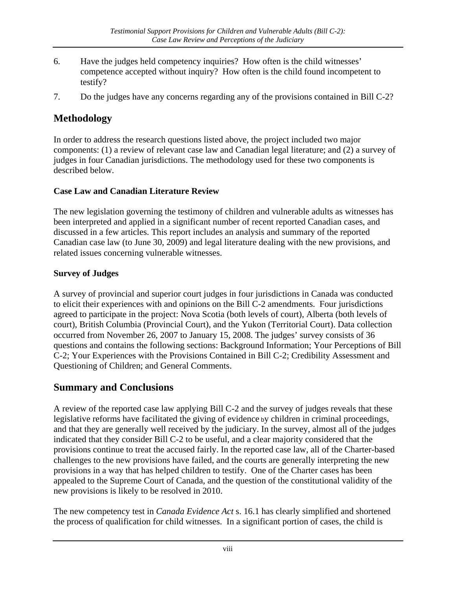- 6. Have the judges held competency inquiries? How often is the child witnesses' competence accepted without inquiry? How often is the child found incompetent to testify?
- 7. Do the judges have any concerns regarding any of the provisions contained in Bill C-2?

## **Methodology**

In order to address the research questions listed above, the project included two major components: (1) a review of relevant case law and Canadian legal literature; and (2) a survey of judges in four Canadian jurisdictions. The methodology used for these two components is described below.

### **Case Law and Canadian Literature Review**

The new legislation governing the testimony of children and vulnerable adults as witnesses has been interpreted and applied in a significant number of recent reported Canadian cases, and discussed in a few articles. This report includes an analysis and summary of the reported Canadian case law (to June 30, 2009) and legal literature dealing with the new provisions, and related issues concerning vulnerable witnesses.

### **Survey of Judges**

A survey of provincial and superior court judges in four jurisdictions in Canada was conducted to elicit their experiences with and opinions on the Bill C-2 amendments. Four jurisdictions agreed to participate in the project: Nova Scotia (both levels of court), Alberta (both levels of court), British Columbia (Provincial Court), and the Yukon (Territorial Court). Data collection occurred from November 26, 2007 to January 15, 2008. The judges' survey consists of 36 questions and contains the following sections: Background Information; Your Perceptions of Bill C-2; Your Experiences with the Provisions Contained in Bill C-2; Credibility Assessment and Questioning of Children; and General Comments.

## **Summary and Conclusions**

A review of the reported case law applying Bill C-2 and the survey of judges reveals that these legislative reforms have facilitated the giving of evidence by children in criminal proceedings, and that they are generally well received by the judiciary. In the survey, almost all of the judges indicated that they consider Bill C-2 to be useful, and a clear majority considered that the provisions continue to treat the accused fairly. In the reported case law, all of the Charter-based challenges to the new provisions have failed, and the courts are generally interpreting the new provisions in a way that has helped children to testify. One of the Charter cases has been appealed to the Supreme Court of Canada, and the question of the constitutional validity of the new provisions is likely to be resolved in 2010.

The new competency test in *Canada Evidence Act* s. 16.1 has clearly simplified and shortened the process of qualification for child witnesses. In a significant portion of cases, the child is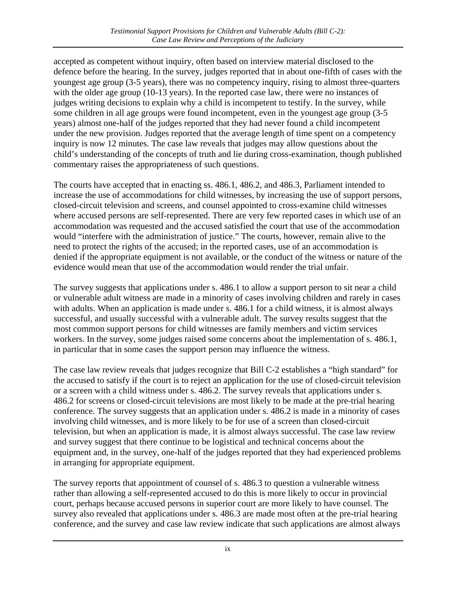accepted as competent without inquiry, often based on interview material disclosed to the defence before the hearing. In the survey, judges reported that in about one-fifth of cases with the youngest age group (3-5 years), there was no competency inquiry, rising to almost three-quarters with the older age group (10-13 years). In the reported case law, there were no instances of judges writing decisions to explain why a child is incompetent to testify. In the survey, while some children in all age groups were found incompetent, even in the youngest age group (3-5 years) almost one-half of the judges reported that they had never found a child incompetent under the new provision. Judges reported that the average length of time spent on a competency inquiry is now 12 minutes. The case law reveals that judges may allow questions about the child's understanding of the concepts of truth and lie during cross-examination, though published commentary raises the appropriateness of such questions.

The courts have accepted that in enacting ss. 486.1, 486.2, and 486.3, Parliament intended to increase the use of accommodations for child witnesses, by increasing the use of support persons, closed-circuit television and screens, and counsel appointed to cross-examine child witnesses where accused persons are self-represented. There are very few reported cases in which use of an accommodation was requested and the accused satisfied the court that use of the accommodation would "interfere with the administration of justice." The courts, however, remain alive to the need to protect the rights of the accused; in the reported cases, use of an accommodation is denied if the appropriate equipment is not available, or the conduct of the witness or nature of the evidence would mean that use of the accommodation would render the trial unfair.

The survey suggests that applications under s. 486.1 to allow a support person to sit near a child or vulnerable adult witness are made in a minority of cases involving children and rarely in cases with adults. When an application is made under s. 486.1 for a child witness, it is almost always successful, and usually successful with a vulnerable adult. The survey results suggest that the most common support persons for child witnesses are family members and victim services workers. In the survey, some judges raised some concerns about the implementation of s. 486.1, in particular that in some cases the support person may influence the witness.

The case law review reveals that judges recognize that Bill C-2 establishes a "high standard" for the accused to satisfy if the court is to reject an application for the use of closed-circuit television or a screen with a child witness under s. 486.2. The survey reveals that applications under s. 486.2 for screens or closed-circuit televisions are most likely to be made at the pre-trial hearing conference. The survey suggests that an application under s. 486.2 is made in a minority of cases involving child witnesses, and is more likely to be for use of a screen than closed-circuit television, but when an application is made, it is almost always successful. The case law review and survey suggest that there continue to be logistical and technical concerns about the equipment and, in the survey, one-half of the judges reported that they had experienced problems in arranging for appropriate equipment.

The survey reports that appointment of counsel of s. 486.3 to question a vulnerable witness rather than allowing a self-represented accused to do this is more likely to occur in provincial court, perhaps because accused persons in superior court are more likely to have counsel. The survey also revealed that applications under s. 486.3 are made most often at the pre-trial hearing conference, and the survey and case law review indicate that such applications are almost always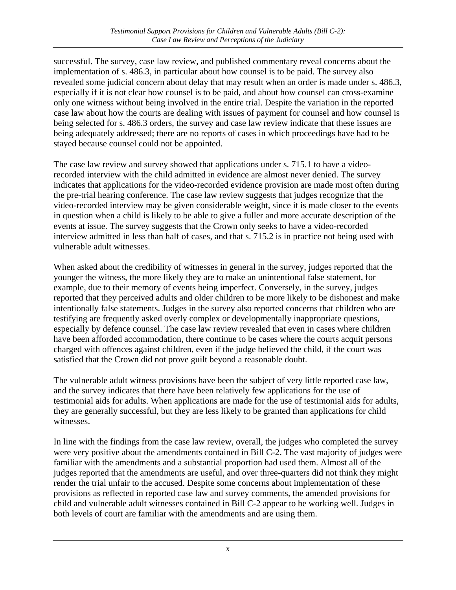successful. The survey, case law review, and published commentary reveal concerns about the implementation of s. 486.3, in particular about how counsel is to be paid. The survey also revealed some judicial concern about delay that may result when an order is made under s. 486.3, especially if it is not clear how counsel is to be paid, and about how counsel can cross-examine only one witness without being involved in the entire trial. Despite the variation in the reported case law about how the courts are dealing with issues of payment for counsel and how counsel is being selected for s. 486.3 orders, the survey and case law review indicate that these issues are being adequately addressed; there are no reports of cases in which proceedings have had to be stayed because counsel could not be appointed.

The case law review and survey showed that applications under s. 715.1 to have a videorecorded interview with the child admitted in evidence are almost never denied. The survey indicates that applications for the video-recorded evidence provision are made most often during the pre-trial hearing conference. The case law review suggests that judges recognize that the video-recorded interview may be given considerable weight, since it is made closer to the events in question when a child is likely to be able to give a fuller and more accurate description of the events at issue. The survey suggests that the Crown only seeks to have a video-recorded interview admitted in less than half of cases, and that s. 715.2 is in practice not being used with vulnerable adult witnesses.

When asked about the credibility of witnesses in general in the survey, judges reported that the younger the witness, the more likely they are to make an unintentional false statement, for example, due to their memory of events being imperfect. Conversely, in the survey, judges reported that they perceived adults and older children to be more likely to be dishonest and make intentionally false statements. Judges in the survey also reported concerns that children who are testifying are frequently asked overly complex or developmentally inappropriate questions, especially by defence counsel. The case law review revealed that even in cases where children have been afforded accommodation, there continue to be cases where the courts acquit persons charged with offences against children, even if the judge believed the child, if the court was satisfied that the Crown did not prove guilt beyond a reasonable doubt.

The vulnerable adult witness provisions have been the subject of very little reported case law, and the survey indicates that there have been relatively few applications for the use of testimonial aids for adults. When applications are made for the use of testimonial aids for adults, they are generally successful, but they are less likely to be granted than applications for child witnesses.

In line with the findings from the case law review, overall, the judges who completed the survey were very positive about the amendments contained in Bill C-2. The vast majority of judges were familiar with the amendments and a substantial proportion had used them. Almost all of the judges reported that the amendments are useful, and over three-quarters did not think they might render the trial unfair to the accused. Despite some concerns about implementation of these provisions as reflected in reported case law and survey comments, the amended provisions for child and vulnerable adult witnesses contained in Bill C-2 appear to be working well. Judges in both levels of court are familiar with the amendments and are using them.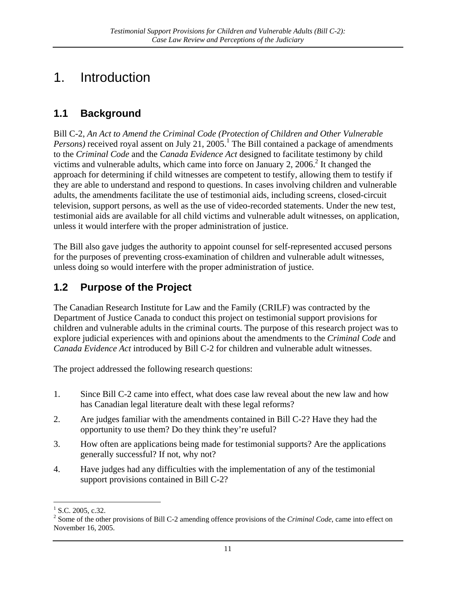## 1. Introduction

## **1.1 Background**

Bill C-2, *An Act to Amend the Criminal Code (Protection of Children and Other Vulnerable Persons*) received royal assent on July 21, 2005.<sup>1</sup> The Bill contained a package of amendments to the *Criminal Code* and the *Canada Evidence Act* designed to facilitate testimony by child victims and vulnerable adults, which came into force on January 2,  $2006$ .<sup>2</sup> It changed the approach for determining if child witnesses are competent to testify, allowing them to testify if they are able to understand and respond to questions. In cases involving children and vulnerable adults, the amendments facilitate the use of testimonial aids, including screens, closed-circuit television, support persons, as well as the use of video-recorded statements. Under the new test, testimonial aids are available for all child victims and vulnerable adult witnesses, on application, unless it would interfere with the proper administration of justice.

The Bill also gave judges the authority to appoint counsel for self-represented accused persons for the purposes of preventing cross-examination of children and vulnerable adult witnesses, unless doing so would interfere with the proper administration of justice.

## **1.2 Purpose of the Project**

The Canadian Research Institute for Law and the Family (CRILF) was contracted by the Department of Justice Canada to conduct this project on testimonial support provisions for children and vulnerable adults in the criminal courts. The purpose of this research project was to explore judicial experiences with and opinions about the amendments to the *Criminal Code* and *Canada Evidence Act* introduced by Bill C-2 for children and vulnerable adult witnesses.

The project addressed the following research questions:

- 1. Since Bill C-2 came into effect, what does case law reveal about the new law and how has Canadian legal literature dealt with these legal reforms?
- 2. Are judges familiar with the amendments contained in Bill C-2? Have they had the opportunity to use them? Do they think they're useful?
- 3. How often are applications being made for testimonial supports? Are the applications generally successful? If not, why not?
- 4. Have judges had any difficulties with the implementation of any of the testimonial support provisions contained in Bill C-2?

 $\overline{a}$  $^{1}$  S.C. 2005, c.32.

<sup>2</sup> Some of the other provisions of Bill C-2 amending offence provisions of the *Criminal Code*, came into effect on November 16, 2005.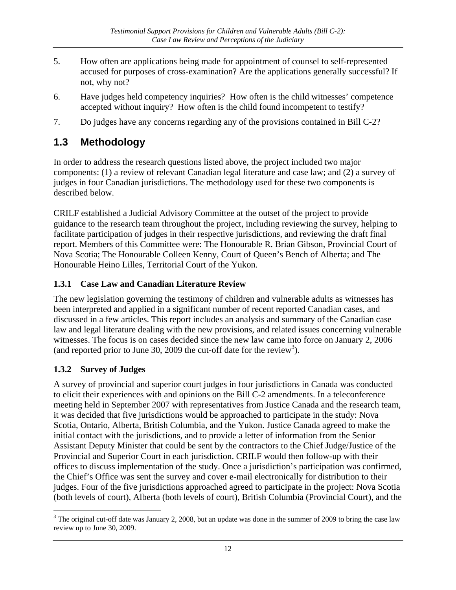- 5. How often are applications being made for appointment of counsel to self-represented accused for purposes of cross-examination? Are the applications generally successful? If not, why not?
- 6. Have judges held competency inquiries? How often is the child witnesses' competence accepted without inquiry? How often is the child found incompetent to testify?
- 7. Do judges have any concerns regarding any of the provisions contained in Bill C-2?

## **1.3 Methodology**

In order to address the research questions listed above, the project included two major components: (1) a review of relevant Canadian legal literature and case law; and (2) a survey of judges in four Canadian jurisdictions. The methodology used for these two components is described below.

CRILF established a Judicial Advisory Committee at the outset of the project to provide guidance to the research team throughout the project, including reviewing the survey, helping to facilitate participation of judges in their respective jurisdictions, and reviewing the draft final report. Members of this Committee were: The Honourable R. Brian Gibson, Provincial Court of Nova Scotia; The Honourable Colleen Kenny, Court of Queen's Bench of Alberta; and The Honourable Heino Lilles, Territorial Court of the Yukon.

### **1.3.1 Case Law and Canadian Literature Review**

The new legislation governing the testimony of children and vulnerable adults as witnesses has been interpreted and applied in a significant number of recent reported Canadian cases, and discussed in a few articles. This report includes an analysis and summary of the Canadian case law and legal literature dealing with the new provisions, and related issues concerning vulnerable witnesses. The focus is on cases decided since the new law came into force on January 2, 2006 (and reported prior to June 30, 2009 the cut-off date for the review<sup>3</sup>).

### **1.3.2 Survey of Judges**

A survey of provincial and superior court judges in four jurisdictions in Canada was conducted to elicit their experiences with and opinions on the Bill C-2 amendments. In a teleconference meeting held in September 2007 with representatives from Justice Canada and the research team, it was decided that five jurisdictions would be approached to participate in the study: Nova Scotia, Ontario, Alberta, British Columbia, and the Yukon. Justice Canada agreed to make the initial contact with the jurisdictions, and to provide a letter of information from the Senior Assistant Deputy Minister that could be sent by the contractors to the Chief Judge/Justice of the Provincial and Superior Court in each jurisdiction. CRILF would then follow-up with their offices to discuss implementation of the study. Once a jurisdiction's participation was confirmed, the Chief's Office was sent the survey and cover e-mail electronically for distribution to their judges. Four of the five jurisdictions approached agreed to participate in the project: Nova Scotia (both levels of court), Alberta (both levels of court), British Columbia (Provincial Court), and the

<sup>&</sup>lt;u>.</u> <sup>3</sup> The original cut-off date was January 2, 2008, but an update was done in the summer of 2009 to bring the case law review up to June 30, 2009.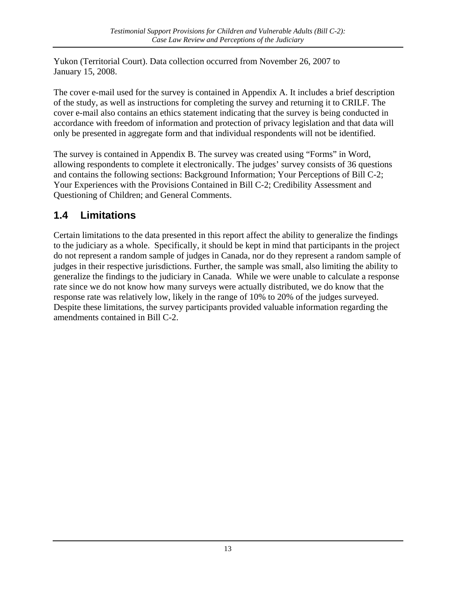Yukon (Territorial Court). Data collection occurred from November 26, 2007 to January 15, 2008.

The cover e-mail used for the survey is contained in Appendix A. It includes a brief description of the study, as well as instructions for completing the survey and returning it to CRILF. The cover e-mail also contains an ethics statement indicating that the survey is being conducted in accordance with freedom of information and protection of privacy legislation and that data will only be presented in aggregate form and that individual respondents will not be identified.

The survey is contained in Appendix B. The survey was created using "Forms" in Word, allowing respondents to complete it electronically. The judges' survey consists of 36 questions and contains the following sections: Background Information; Your Perceptions of Bill C-2; Your Experiences with the Provisions Contained in Bill C-2; Credibility Assessment and Questioning of Children; and General Comments.

## **1.4 Limitations**

Certain limitations to the data presented in this report affect the ability to generalize the findings to the judiciary as a whole. Specifically, it should be kept in mind that participants in the project do not represent a random sample of judges in Canada, nor do they represent a random sample of judges in their respective jurisdictions. Further, the sample was small, also limiting the ability to generalize the findings to the judiciary in Canada. While we were unable to calculate a response rate since we do not know how many surveys were actually distributed, we do know that the response rate was relatively low, likely in the range of 10% to 20% of the judges surveyed. Despite these limitations, the survey participants provided valuable information regarding the amendments contained in Bill C-2.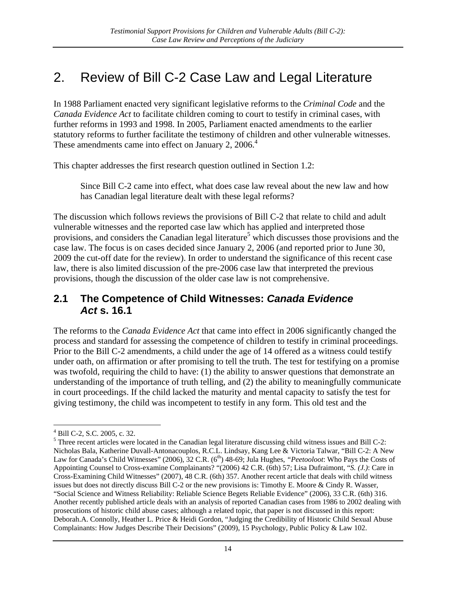## 2. Review of Bill C-2 Case Law and Legal Literature

In 1988 Parliament enacted very significant legislative reforms to the *Criminal Code* and the *Canada Evidence Act* to facilitate children coming to court to testify in criminal cases, with further reforms in 1993 and 1998. In 2005, Parliament enacted amendments to the earlier statutory reforms to further facilitate the testimony of children and other vulnerable witnesses. These amendments came into effect on January 2, 2006.<sup>4</sup>

This chapter addresses the first research question outlined in Section 1.2:

 Since Bill C-2 came into effect, what does case law reveal about the new law and how has Canadian legal literature dealt with these legal reforms?

The discussion which follows reviews the provisions of Bill C-2 that relate to child and adult vulnerable witnesses and the reported case law which has applied and interpreted those provisions, and considers the Canadian legal literature<sup>5</sup> which discusses those provisions and the case law. The focus is on cases decided since January 2, 2006 (and reported prior to June 30, 2009 the cut-off date for the review). In order to understand the significance of this recent case law, there is also limited discussion of the pre-2006 case law that interpreted the previous provisions, though the discussion of the older case law is not comprehensive.

### **2.1 The Competence of Child Witnesses:** *Canada Evidence Act* **s. 16.1**

The reforms to the *Canada Evidence Act* that came into effect in 2006 significantly changed the process and standard for assessing the competence of children to testify in criminal proceedings. Prior to the Bill C-2 amendments, a child under the age of 14 offered as a witness could testify under oath, on affirmation or after promising to tell the truth. The test for testifying on a promise was twofold, requiring the child to have: (1) the ability to answer questions that demonstrate an understanding of the importance of truth telling, and (2) the ability to meaningfully communicate in court proceedings. If the child lacked the maturity and mental capacity to satisfy the test for giving testimony, the child was incompetent to testify in any form. This old test and the

 $\overline{a}$ 4 Bill C-2, S.C. 2005, c. 32.

 $<sup>5</sup>$  Three recent articles were located in the Canadian legal literature discussing child witness issues and Bill C-2:</sup> Nicholas Bala, Katherine Duvall-Antonacouplos, R.C.L. Lindsay, Kang Lee & Victoria Talwar, "Bill C-2: A New Law for Canada's Child Witnesses" (2006), 32 C.R. (6<sup>th</sup>) 48-69; Jula Hughes, "Peetooloot: Who Pays the Costs of Appointing Counsel to Cross-examine Complainants? "(2006) 42 C.R. (6th) 57; Lisa Dufraimont, "*S. (J.)*: Care in Cross-Examining Child Witnesses" (2007), 48 C.R. (6th) 357. Another recent article that deals with child witness issues but does not directly discuss Bill C-2 or the new provisions is: Timothy E. Moore & Cindy R. Wasser, "Social Science and Witness Reliability: Reliable Science Begets Reliable Evidence" (2006), 33 C.R. (6th) 316. Another recently published article deals with an analysis of reported Canadian cases from 1986 to 2002 dealing with prosecutions of historic child abuse cases; although a related topic, that paper is not discussed in this report: Deborah.A. Connolly, Heather L. Price & Heidi Gordon, "Judging the Credibility of Historic Child Sexual Abuse Complainants: How Judges Describe Their Decisions" (2009), 15 Psychology, Public Policy & Law 102.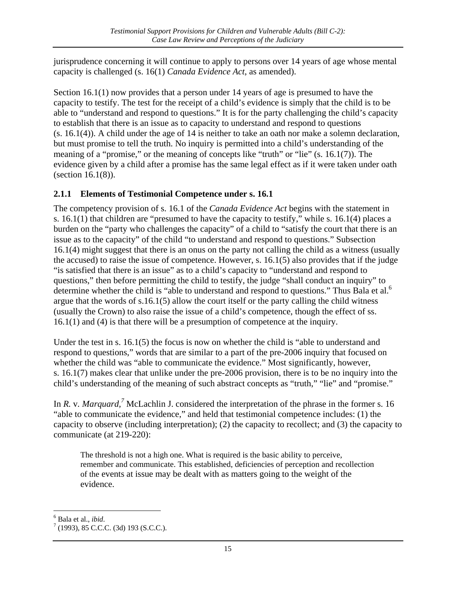jurisprudence concerning it will continue to apply to persons over 14 years of age whose mental capacity is challenged (s. 16(1) *Canada Evidence Act*, as amended).

Section 16.1(1) now provides that a person under 14 years of age is presumed to have the capacity to testify. The test for the receipt of a child's evidence is simply that the child is to be able to "understand and respond to questions." It is for the party challenging the child's capacity to establish that there is an issue as to capacity to understand and respond to questions (s. 16.1(4)). A child under the age of 14 is neither to take an oath nor make a solemn declaration, but must promise to tell the truth. No inquiry is permitted into a child's understanding of the meaning of a "promise," or the meaning of concepts like "truth" or "lie" (s. 16.1(7)). The evidence given by a child after a promise has the same legal effect as if it were taken under oath (section 16.1(8)).

#### **2.1.1 Elements of Testimonial Competence under s. 16.1**

The competency provision of s. 16.1 of the *Canada Evidence Act* begins with the statement in s.  $16.1(1)$  that children are "presumed to have the capacity to testify," while s.  $16.1(4)$  places a burden on the "party who challenges the capacity" of a child to "satisfy the court that there is an issue as to the capacity" of the child "to understand and respond to questions." Subsection 16.1(4) might suggest that there is an onus on the party not calling the child as a witness (usually the accused) to raise the issue of competence. However, s. 16.1(5) also provides that if the judge "is satisfied that there is an issue" as to a child's capacity to "understand and respond to questions," then before permitting the child to testify, the judge "shall conduct an inquiry" to determine whether the child is "able to understand and respond to questions." Thus Bala et al.<sup>6</sup> argue that the words of s.16.1(5) allow the court itself or the party calling the child witness (usually the Crown) to also raise the issue of a child's competence, though the effect of ss. 16.1(1) and (4) is that there will be a presumption of competence at the inquiry.

Under the test in s. 16.1(5) the focus is now on whether the child is "able to understand and respond to questions," words that are similar to a part of the pre-2006 inquiry that focused on whether the child was "able to communicate the evidence." Most significantly, however, s. 16.1(7) makes clear that unlike under the pre-2006 provision, there is to be no inquiry into the child's understanding of the meaning of such abstract concepts as "truth," "lie" and "promise."

In *R. v. Marquard*,<sup>7</sup> McLachlin J. considered the interpretation of the phrase in the former s. 16 "able to communicate the evidence," and held that testimonial competence includes: (1) the capacity to observe (including interpretation); (2) the capacity to recollect; and (3) the capacity to communicate (at 219-220):

The threshold is not a high one. What is required is the basic ability to perceive, remember and communicate. This established, deficiencies of perception and recollection of the events at issue may be dealt with as matters going to the weight of the evidence.

 $\overline{a}$  $^{6}$  Bala et al., *ibid.*<br><sup>7</sup> (1003) 95 C C C

 $(1993)$ , 85 C.C.C. (3d) 193 (S.C.C.).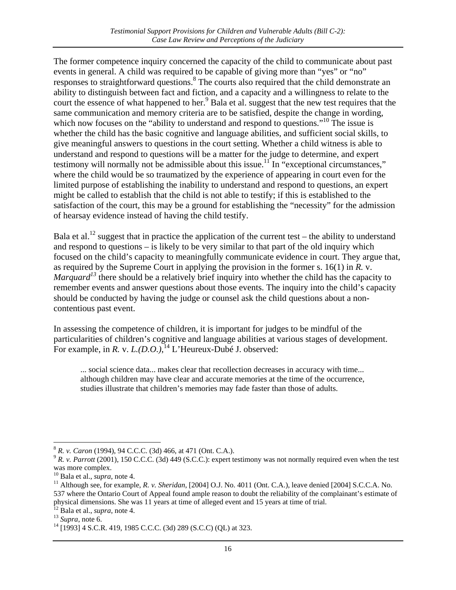The former competence inquiry concerned the capacity of the child to communicate about past events in general. A child was required to be capable of giving more than "yes" or "no" responses to straightforward questions.<sup>8</sup> The courts also required that the child demonstrate an ability to distinguish between fact and fiction, and a capacity and a willingness to relate to the court the essence of what happened to her.<sup>9</sup> Bala et al. suggest that the new test requires that the same communication and memory criteria are to be satisfied, despite the change in wording, which now focuses on the "ability to understand and respond to questions."<sup>10</sup> The issue is whether the child has the basic cognitive and language abilities, and sufficient social skills, to give meaningful answers to questions in the court setting. Whether a child witness is able to understand and respond to questions will be a matter for the judge to determine, and expert testimony will normally not be admissible about this issue.<sup>11</sup> In "exceptional circumstances," where the child would be so traumatized by the experience of appearing in court even for the limited purpose of establishing the inability to understand and respond to questions, an expert might be called to establish that the child is not able to testify; if this is established to the satisfaction of the court, this may be a ground for establishing the "necessity" for the admission of hearsay evidence instead of having the child testify.

Bala et al.<sup>12</sup> suggest that in practice the application of the current test – the ability to understand and respond to questions – is likely to be very similar to that part of the old inquiry which focused on the child's capacity to meaningfully communicate evidence in court. They argue that, as required by the Supreme Court in applying the provision in the former s. 16(1) in *R.* v. *Marquard*<sup> $13$ </sup> there should be a relatively brief inquiry into whether the child has the capacity to remember events and answer questions about those events. The inquiry into the child's capacity should be conducted by having the judge or counsel ask the child questions about a noncontentious past event.

In assessing the competence of children, it is important for judges to be mindful of the particularities of children's cognitive and language abilities at various stages of development. For example, in *R.* v. *L.(D.O.)*, 14 L'Heureux-Dubé J. observed:

... social science data... makes clear that recollection decreases in accuracy with time... although children may have clear and accurate memories at the time of the occurrence, studies illustrate that children's memories may fade faster than those of adults.

 $\overline{a}$ 

<sup>&</sup>lt;sup>8</sup> *R. v. Caron* (1994), 94 C.C.C. (3d) 466, at 471 (Ont. C.A.).<br><sup>9</sup> *R. v. Parrott* (2001), 150 C.C.C. (3d) 449 (S.C.C.): expert testimony was not normally required even when the test was more complex.<br><sup>10</sup> Bala et al., *supra*, note 4.

<sup>&</sup>lt;sup>11</sup> Although see, for example, *R. v. Sheridan*, [2004] O.J. No. 4011 (Ont. C.A.), leave denied [2004] S.C.C.A. No. 537 where the Ontario Court of Appeal found ample reason to doubt the reliability of the complainant's estimate of physical dimensions. She was 11 years at time of alleged event and 15 years at time of trial.<br><sup>12</sup> Bala et al., *supra*, note 4. <sup>13</sup> *Supra*, note 6. <sup>14</sup> [1993] 4 S.C.R. 419, 1985 C.C.C. (3d) 289 (S.C.C) (QL) at 323.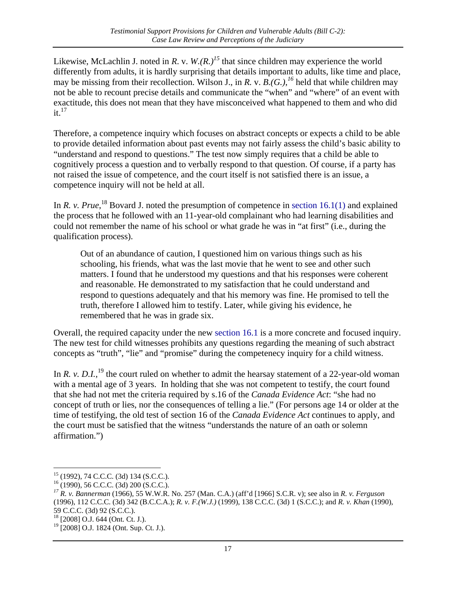Likewise, McLachlin J. noted in *R*. v.  $W_r(R)$ <sup>15</sup> that since children may experience the world differently from adults, it is hardly surprising that details important to adults, like time and place, may be missing from their recollection. Wilson J., in *R.* v.  $B(G<sub>i</sub>)$ , <sup>16</sup> held that while children may not be able to recount precise details and communicate the "when" and "where" of an event with exactitude, this does not mean that they have misconceived what happened to them and who did  $it<sup>17</sup>$ 

Therefore, a competence inquiry which focuses on abstract concepts or expects a child to be able to provide detailed information about past events may not fairly assess the child's basic ability to "understand and respond to questions." The test now simply requires that a child be able to cognitively process a question and to verbally respond to that question. Of course, if a party has not raised the issue of competence, and the court itself is not satisfied there is an issue, a competence inquiry will not be held at all.

In *R. v. Prue*,<sup>18</sup> Bovard J. noted the presumption of competence in section 16.1(1) and explained the process that he followed with an 11-year-old complainant who had learning disabilities and could not remember the name of his school or what grade he was in "at first" (i.e., during the qualification process).

Out of an abundance of caution, I questioned him on various things such as his schooling, his friends, what was the last movie that he went to see and other such matters. I found that he understood my questions and that his responses were coherent and reasonable. He demonstrated to my satisfaction that he could understand and respond to questions adequately and that his memory was fine. He promised to tell the truth, therefore I allowed him to testify. Later, while giving his evidence, he remembered that he was in grade six.

Overall, the required capacity under the new section 16.1 is a more concrete and focused inquiry. The new test for child witnesses prohibits any questions regarding the meaning of such abstract concepts as "truth", "lie" and "promise" during the competenecy inquiry for a child witness.

In *R. v. D.I.*,<sup>19</sup> the court ruled on whether to admit the hearsay statement of a 22-year-old woman with a mental age of 3 years. In holding that she was not competent to testify, the court found that she had not met the criteria required by s.16 of the *Canada Evidence Act*: "she had no concept of truth or lies, nor the consequences of telling a lie." (For persons age 14 or older at the time of testifying, the old test of section 16 of the *Canada Evidence Act* continues to apply, and the court must be satisfied that the witness "understands the nature of an oath or solemn affirmation.")

 $\overline{a}$ 

<sup>&</sup>lt;sup>15</sup> (1992), 74 C.C.C. (3d) 134 (S.C.C.).

 $16$  (1990), 56 C.C.C. (3d) 200 (S.C.C.).

*<sup>17</sup> R. v. Bannerman* (1966), 55 W.W.R. No. 257 (Man. C.A.) (aff'd [1966] S.C.R. v); see also in *R. v. Ferguson* (1996), 112 C.C.C. (3d) 342 (B.C.C.A.); *R. v. F.(W.J.)* (1999), 138 C.C.C. (3d) 1 (S.C.C.); and *R. v. Khan* (1990), 59 C.C.C. (3d) 92 (S.C.C.).

<sup>18 [2008]</sup> O.J. 644 (Ont. Ct. J.).

<sup>19 [2008]</sup> O.J. 1824 (Ont. Sup. Ct. J.).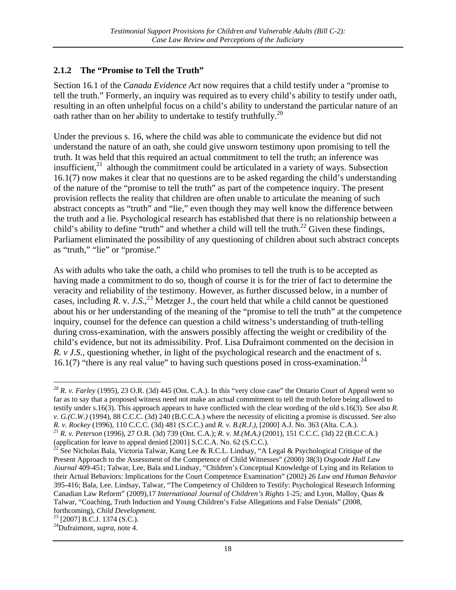### **2.1.2 The "Promise to Tell the Truth"**

Section 16.1 of the *Canada Evidence Act* now requires that a child testify under a "promise to tell the truth." Formerly, an inquiry was required as to every child's ability to testify under oath, resulting in an often unhelpful focus on a child's ability to understand the particular nature of an oath rather than on her ability to undertake to testify truthfully.<sup>20</sup>

Under the previous s. 16, where the child was able to communicate the evidence but did not understand the nature of an oath, she could give unsworn testimony upon promising to tell the truth. It was held that this required an actual commitment to tell the truth; an inference was insufficient, $^{21}$  although the commitment could be articulated in a variety of ways. Subsection 16.1(7) now makes it clear that no questions are to be asked regarding the child's understanding of the nature of the "promise to tell the truth" as part of the competence inquiry. The present provision reflects the reality that children are often unable to articulate the meaning of such abstract concepts as "truth" and "lie," even though they may well know the difference between the truth and a lie. Psychological research has established that there is no relationship between a child's ability to define "truth" and whether a child will tell the truth.<sup>22</sup> Given these findings, Parliament eliminated the possibility of any questioning of children about such abstract concepts as "truth," "lie" or "promise."

As with adults who take the oath, a child who promises to tell the truth is to be accepted as having made a commitment to do so, though of course it is for the trier of fact to determine the veracity and reliability of the testimony. However, as further discussed below, in a number of cases, including *R.* v. *J.S.*<sup>23</sup> Metzger *J.*, the court held that while a child cannot be questioned about his or her understanding of the meaning of the "promise to tell the truth" at the competence inquiry, counsel for the defence can question a child witness's understanding of truth-telling during cross-examination, with the answers possibly affecting the weight or credibility of the child's evidence, but not its admissibility. Prof. Lisa Dufraimont commented on the decision in *R. v J.S.*, questioning whether, in light of the psychological research and the enactment of s. 16.1(7) "there is any real value" to having such questions posed in cross-examination.<sup>24</sup>

<sup>&</sup>lt;u>.</u> *20 R. v. Farley* (1995), 23 O.R. (3d) 445 (Ont. C.A.). In this "very close case" the Ontario Court of Appeal went so far as to say that a proposed witness need not make an actual commitment to tell the truth before being allowed to testify under s.16(3). This approach appears to have conflicted with the clear wording of the old s.16(3). See also *R. v. G.(C.W.)* (1994), 88 C.C.C. (3d) 240 (B.C.C.A.) where the necessity of eliciting a promise is discussed. See also *R. v. Rockey* (1996), 110 C.C.C. (3d) 481 (S.C.C.) and *R. v. B.(R.J.)*, [2000] A.J. No. 363 (Alta. C.A.).<br><sup>21</sup> *R. v. Peterson* (1996), 27 O.R. (3d) 739 (Ont. C.A.); *R. v. M.(M.A.)* (2001), 151 C.C.C. (3d) 22 (B.C.C.A.)

<sup>(</sup>application for leave to appeal denied [2001] S.C.C.A. No. 62 (S.C.C.).

 $^{22}$  See Nicholas Bala, Victoria Talwar, Kang Lee & R.C.L. Lindsay, "A Legal & Psychological Critique of the Present Approach to the Assessment of the Competence of Child Witnesses" (2000) 38(3) *Osgoode Hall Law Journal* 409-451; Talwar, Lee, Bala and Lindsay, "Children's Conceptual Knowledge of Lying and its Relation to their Actual Behaviors: Implications for the Court Competence Examination" (2002) 26 *Law and Human Behavior*  395-416; Bala, Lee. Lindsay, Talwar, "The Competency of Children to Testify: Psychological Research Informing Canadian Law Reform" (2009),17 *International Journal of Children's Rights* 1-25*;* and Lyon, Malloy, Quas & Talwar, "Coaching, Truth Induction and Young Children's False Allegations and False Denials" (2008,

forthcoming), *Child Development.* 23 [2007] B.C.J. 1374 (S.C.).

<sup>24</sup>Dufraimont, *supra,* note 4.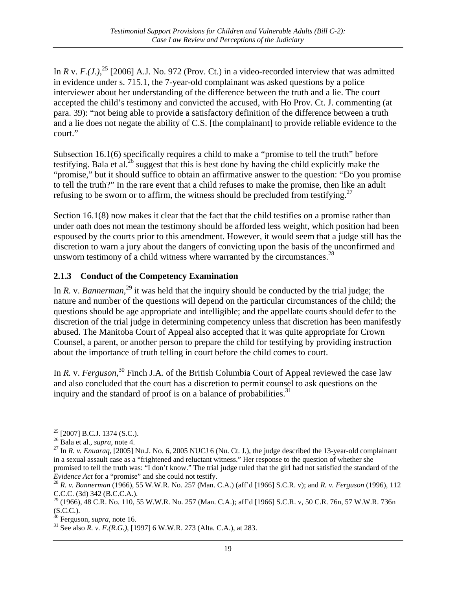In *R* v.  $F.(J.)$ <sup>25</sup> [2006] A.J. No. 972 (Prov. Ct.) in a video-recorded interview that was admitted in evidence under s. 715.1, the 7-year-old complainant was asked questions by a police interviewer about her understanding of the difference between the truth and a lie. The court accepted the child's testimony and convicted the accused, with Ho Prov. Ct. J. commenting (at para. 39): "not being able to provide a satisfactory definition of the difference between a truth and a lie does not negate the ability of C.S. [the complainant] to provide reliable evidence to the court."

Subsection 16.1(6) specifically requires a child to make a "promise to tell the truth" before testifying. Bala et al.<sup>26</sup> suggest that this is best done by having the child explicitly make the "promise," but it should suffice to obtain an affirmative answer to the question: "Do you promise to tell the truth?" In the rare event that a child refuses to make the promise, then like an adult refusing to be sworn or to affirm, the witness should be precluded from testifying.<sup>27</sup>

Section 16.1(8) now makes it clear that the fact that the child testifies on a promise rather than under oath does not mean the testimony should be afforded less weight, which position had been espoused by the courts prior to this amendment. However, it would seem that a judge still has the discretion to warn a jury about the dangers of convicting upon the basis of the unconfirmed and unsworn testimony of a child witness where warranted by the circumstances.<sup>28</sup>

### **2.1.3 Conduct of the Competency Examination**

In *R*. v. *Bannerman*<sup>29</sup> it was held that the inquiry should be conducted by the trial judge; the nature and number of the questions will depend on the particular circumstances of the child; the questions should be age appropriate and intelligible; and the appellate courts should defer to the discretion of the trial judge in determining competency unless that discretion has been manifestly abused. The Manitoba Court of Appeal also accepted that it was quite appropriate for Crown Counsel, a parent, or another person to prepare the child for testifying by providing instruction about the importance of truth telling in court before the child comes to court.

In *R.* v. *Ferguson*, 30 Finch J.A. of the British Columbia Court of Appeal reviewed the case law and also concluded that the court has a discretion to permit counsel to ask questions on the inquiry and the standard of proof is on a balance of probabilities. $31$ 

 $\overline{a}$ 

 $^{25}$  [2007] B.C.J. 1374 (S.C.).<br> $^{26}$  Bala et al., *supra*, note 4.

 $^{27}$  In *R. v. Enuaraq*, [2005] Nu.J. No. 6, 2005 NUCJ 6 (Nu. Ct. J.), the judge described the 13-year-old complainant in a sexual assault case as a "frightened and reluctant witness." Her response to the question of whether she promised to tell the truth was: "I don't know." The trial judge ruled that the girl had not satisfied the standard of the

*Evidence Act* for a "promise" and she could not testify.<br><sup>28</sup> *R. v. Bannerman* (1966), 55 W.W.R. No. 257 (Man. C.A.) (aff'd [1966] S.C.R. v); and *R. v. Ferguson* (1996), 112 C.C.C. (3d) 342 (B.C.C.A.).

 $^{29}$  (1966), 48 C.R. No. 110, 55 W.W.R. No. 257 (Man. C.A.); aff'd [1966] S.C.R. v, 50 C.R. 76n, 57 W.W.R. 736n  $(S.C.C.).$ <br><sup>30</sup> Ferguson, *supra*, note 16.

<sup>&</sup>lt;sup>31</sup> See also *R. v. F.(R.G.)*, [1997] 6 W.W.R. 273 (Alta. C.A.), at 283.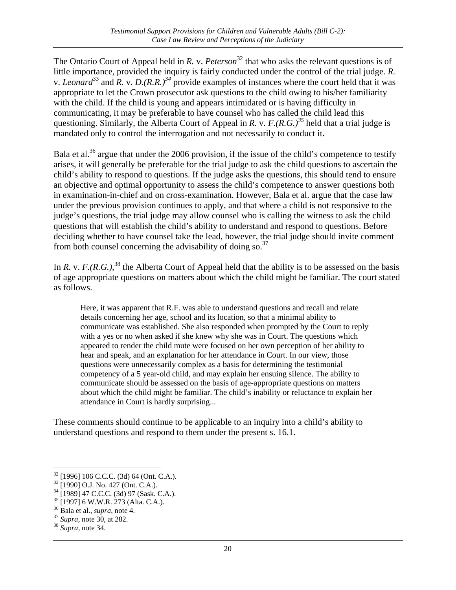The Ontario Court of Appeal held in *R. v. Peterson*<sup>32</sup> that who asks the relevant questions is of little importance, provided the inquiry is fairly conducted under the control of the trial judge. *R.*  v. *Leonard*33 and *R.* v. *D.(R.R.)34* provide examples of instances where the court held that it was appropriate to let the Crown prosecutor ask questions to the child owing to his/her familiarity with the child. If the child is young and appears intimidated or is having difficulty in communicating, it may be preferable to have counsel who has called the child lead this questioning. Similarly, the Alberta Court of Appeal in *R. v. F.(R.G.)*<sup>35</sup> held that a trial judge is mandated only to control the interrogation and not necessarily to conduct it.

Bala et al.<sup>36</sup> argue that under the 2006 provision, if the issue of the child's competence to testify arises, it will generally be preferable for the trial judge to ask the child questions to ascertain the child's ability to respond to questions. If the judge asks the questions, this should tend to ensure an objective and optimal opportunity to assess the child's competence to answer questions both in examination-in-chief and on cross-examination. However, Bala et al. argue that the case law under the previous provision continues to apply, and that where a child is not responsive to the judge's questions, the trial judge may allow counsel who is calling the witness to ask the child questions that will establish the child's ability to understand and respond to questions. Before deciding whether to have counsel take the lead, however, the trial judge should invite comment from both counsel concerning the advisability of doing so. $37$ 

In *R.* v.  $F.(R.G.)$ <sup>38</sup>, the Alberta Court of Appeal held that the ability is to be assessed on the basis of age appropriate questions on matters about which the child might be familiar. The court stated as follows.

Here, it was apparent that R.F. was able to understand questions and recall and relate details concerning her age, school and its location, so that a minimal ability to communicate was established. She also responded when prompted by the Court to reply with a yes or no when asked if she knew why she was in Court. The questions which appeared to render the child mute were focused on her own perception of her ability to hear and speak, and an explanation for her attendance in Court. In our view, those questions were unnecessarily complex as a basis for determining the testimonial competency of a 5 year-old child, and may explain her ensuing silence. The ability to communicate should be assessed on the basis of age-appropriate questions on matters about which the child might be familiar. The child's inability or reluctance to explain her attendance in Court is hardly surprising...

These comments should continue to be applicable to an inquiry into a child's ability to understand questions and respond to them under the present s. 16.1.

 $\overline{a}$  $32$  [1996] 106 C.C.C. (3d) 64 (Ont. C.A.).

<sup>&</sup>lt;sup>33</sup> [1990] O.J. No. 427 (Ont. C.A.).

<sup>34 [1989] 47</sup> C.C.C. (3d) 97 (Sask. C.A.).

 $^{35}$  [1997] 6 W.W.R. 273 (Alta. C.A.).<br><sup>36</sup> Bala et al., *supra*, note 4.

<sup>&</sup>lt;sup>37</sup> *Supra*, note 30, at 282. <sup>38</sup> *Supra*, note 34.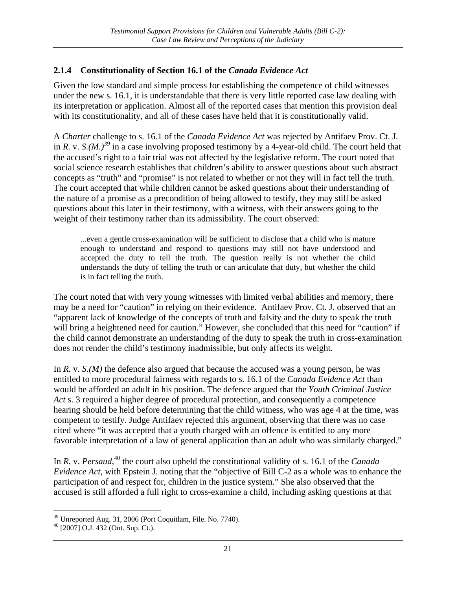### **2.1.4 Constitutionality of Section 16.1 of the** *Canada Evidence Act*

Given the low standard and simple process for establishing the competence of child witnesses under the new s. 16.1, it is understandable that there is very little reported case law dealing with its interpretation or application. Almost all of the reported cases that mention this provision deal with its constitutionality, and all of these cases have held that it is constitutionally valid.

A *Charter* challenge to s. 16.1 of the *Canada Evidence Act* was rejected by Antifaev Prov. Ct. J. in *R.* v. *S.(M.)*<sup>39</sup> in a case involving proposed testimony by a 4-year-old child. The court held that the accused's right to a fair trial was not affected by the legislative reform. The court noted that social science research establishes that children's ability to answer questions about such abstract concepts as "truth" and "promise" is not related to whether or not they will in fact tell the truth. The court accepted that while children cannot be asked questions about their understanding of the nature of a promise as a precondition of being allowed to testify, they may still be asked questions about this later in their testimony, with a witness, with their answers going to the weight of their testimony rather than its admissibility. The court observed:

...even a gentle cross-examination will be sufficient to disclose that a child who is mature enough to understand and respond to questions may still not have understood and accepted the duty to tell the truth. The question really is not whether the child understands the duty of telling the truth or can articulate that duty, but whether the child is in fact telling the truth.

The court noted that with very young witnesses with limited verbal abilities and memory, there may be a need for "caution" in relying on their evidence. Antifaev Prov. Ct. J. observed that an "apparent lack of knowledge of the concepts of truth and falsity and the duty to speak the truth will bring a heightened need for caution." However, she concluded that this need for "caution" if the child cannot demonstrate an understanding of the duty to speak the truth in cross-examination does not render the child's testimony inadmissible, but only affects its weight.

In *R. v. S.(M)* the defence also argued that because the accused was a young person, he was entitled to more procedural fairness with regards to s. 16.1 of the *Canada Evidence Act* than would be afforded an adult in his position. The defence argued that the *Youth Criminal Justice Act* s. 3 required a higher degree of procedural protection, and consequently a competence hearing should be held before determining that the child witness, who was age 4 at the time, was competent to testify. Judge Antifaev rejected this argument, observing that there was no case cited where "it was accepted that a youth charged with an offence is entitled to any more favorable interpretation of a law of general application than an adult who was similarly charged."

In *R. v. Persaud*,<sup>40</sup> the court also upheld the constitutional validity of s. 16.1 of the *Canada Evidence Act*, with Epstein J. noting that the "objective of Bill C-2 as a whole was to enhance the participation of and respect for, children in the justice system." She also observed that the accused is still afforded a full right to cross-examine a child, including asking questions at that

 $\overline{a}$ 39 Unreported Aug. 31, 2006 (Port Coquitlam, File. No. 7740).

<sup>40 [2007]</sup> O.J. 432 (Ont. Sup. Ct.).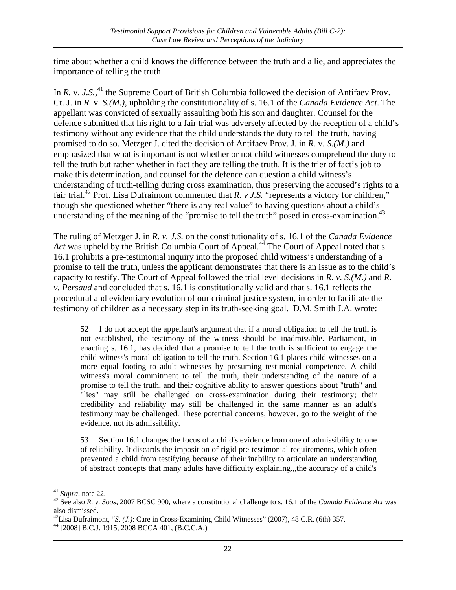time about whether a child knows the difference between the truth and a lie, and appreciates the importance of telling the truth.

In *R. v. J.S.*<sup>41</sup> the Supreme Court of British Columbia followed the decision of Antifaev Prov. Ct. J. in *R.* v. *S.(M.)*, upholding the constitutionality of s. 16.1 of the *Canada Evidence Act*. The appellant was convicted of sexually assaulting both his son and daughter. Counsel for the defence submitted that his right to a fair trial was adversely affected by the reception of a child's testimony without any evidence that the child understands the duty to tell the truth, having promised to do so. Metzger J. cited the decision of Antifaev Prov. J. in *R.* v. *S.(M.)* and emphasized that what is important is not whether or not child witnesses comprehend the duty to tell the truth but rather whether in fact they are telling the truth. It is the trier of fact's job to make this determination, and counsel for the defence can question a child witness's understanding of truth-telling during cross examination, thus preserving the accused's rights to a fair trial.<sup>42</sup> Prof. Lisa Dufraimont commented that *R. v J.S.* "represents a victory for children," though she questioned whether "there is any real value" to having questions about a child's understanding of the meaning of the "promise to tell the truth" posed in cross-examination.<sup>43</sup>

The ruling of Metzger J. in *R. v. J.S.* on the constitutionality of s. 16.1 of the *Canada Evidence Act* was upheld by the British Columbia Court of Appeal.<sup>44</sup> The Court of Appeal noted that s. 16.1 prohibits a pre-testimonial inquiry into the proposed child witness's understanding of a promise to tell the truth, unless the applicant demonstrates that there is an issue as to the child's capacity to testify. The Court of Appeal followed the trial level decisions in *R. v. S.(M.)* and *R. v. Persaud* and concluded that s. 16.1 is constitutionally valid and that s. 16.1 reflects the procedural and evidentiary evolution of our criminal justice system, in order to facilitate the testimony of children as a necessary step in its truth-seeking goal. D.M. Smith J.A. wrote:

52 I do not accept the appellant's argument that if a moral obligation to tell the truth is not established, the testimony of the witness should be inadmissible. Parliament, in enacting s. 16.1, has decided that a promise to tell the truth is sufficient to engage the child witness's moral obligation to tell the truth. Section 16.1 places child witnesses on a more equal footing to adult witnesses by presuming testimonial competence. A child witness's moral commitment to tell the truth, their understanding of the nature of a promise to tell the truth, and their cognitive ability to answer questions about "truth" and "lies" may still be challenged on cross-examination during their testimony; their credibility and reliability may still be challenged in the same manner as an adult's testimony may be challenged. These potential concerns, however, go to the weight of the evidence, not its admissibility.

53 Section 16.1 changes the focus of a child's evidence from one of admissibility to one of reliability. It discards the imposition of rigid pre-testimonial requirements, which often prevented a child from testifying because of their inability to articulate an understanding of abstract concepts that many adults have difficulty explaining.,,the accuracy of a child's

 $41$  Supra, note 22.

<sup>&</sup>lt;sup>42</sup> See also *R. v. Soos*, 2007 BCSC 900, where a constitutional challenge to s. 16.1 of the *Canada Evidence Act* was also dismissed.

<sup>&</sup>lt;sup>43</sup>Lisa Dufraimont, "*S. (J.)*: Care in Cross-Examining Child Witnesses" (2007), 48 C.R. (6th) 357. <sup>44</sup> [2008] B.C.J. 1915, 2008 BCCA 401, (B.C.C.A.)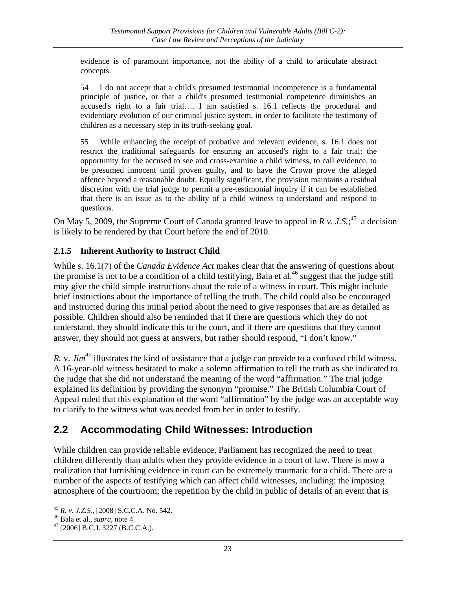evidence is of paramount importance, not the ability of a child to articulate abstract concepts.

54 I do not accept that a child's presumed testimonial incompetence is a fundamental principle of justice, or that a child's presumed testimonial competence diminishes an accused's right to a fair trial…. I am satisfied s. 16.1 reflects the procedural and evidentiary evolution of our criminal justice system, in order to facilitate the testimony of children as a necessary step in its truth-seeking goal.

55 While enhancing the receipt of probative and relevant evidence, s. 16.1 does not restrict the traditional safeguards for ensuring an accused's right to a fair trial: the opportunity for the accused to see and cross-examine a child witness, to call evidence, to be presumed innocent until proven guilty, and to have the Crown prove the alleged offence beyond a reasonable doubt. Equally significant, the provision maintains a residual discretion with the trial judge to permit a pre-testimonial inquiry if it can be established that there is an issue as to the ability of a child witness to understand and respond to questions.

On May 5, 2009, the Supreme Court of Canada granted leave to appeal in  $R v. J.S.;<sup>45</sup>$  a decision is likely to be rendered by that Court before the end of 2010.

### **2.1.5 Inherent Authority to Instruct Child**

While s. 16.1(7) of the *Canada Evidence Act* makes clear that the answering of questions about the promise is not to be a condition of a child testifying, Bala et al.<sup>46</sup> suggest that the judge still may give the child simple instructions about the role of a witness in court. This might include brief instructions about the importance of telling the truth. The child could also be encouraged and instructed during this initial period about the need to give responses that are as detailed as possible. Children should also be reminded that if there are questions which they do not understand, they should indicate this to the court, and if there are questions that they cannot answer, they should not guess at answers, but rather should respond, "I don't know."

*R. v. Jim<sup>47</sup>* illustrates the kind of assistance that a judge can provide to a confused child witness. A 16-year-old witness hesitated to make a solemn affirmation to tell the truth as she indicated to the judge that she did not understand the meaning of the word "affirmation." The trial judge explained its definition by providing the synonym "promise." The British Columbia Court of Appeal ruled that this explanation of the word "affirmation" by the judge was an acceptable way to clarify to the witness what was needed from her in order to testify.

## **2.2 Accommodating Child Witnesses: Introduction**

While children can provide reliable evidence, Parliament has recognized the need to treat children differently than adults when they provide evidence in a court of law. There is now a realization that furnishing evidence in court can be extremely traumatic for a child. There are a number of the aspects of testifying which can affect child witnesses, including: the imposing atmosphere of the courtroom; the repetition by the child in public of details of an event that is

<sup>&</sup>lt;sup>45</sup> R. v. J.Z.S., [2008] S.C.C.A. No. 542.

<sup>&</sup>lt;sup>46</sup> Bala et al., *supra*, note 4.<br><sup>47</sup> [2006] B.C.J. 3227 (B.C.C.A.).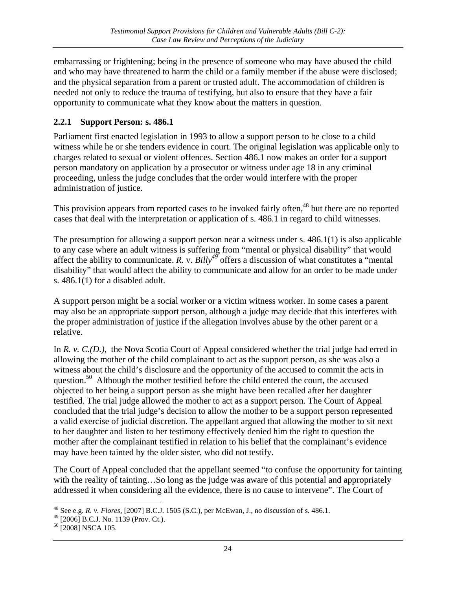embarrassing or frightening; being in the presence of someone who may have abused the child and who may have threatened to harm the child or a family member if the abuse were disclosed; and the physical separation from a parent or trusted adult. The accommodation of children is needed not only to reduce the trauma of testifying, but also to ensure that they have a fair opportunity to communicate what they know about the matters in question.

### **2.2.1 Support Person: s. 486.1**

Parliament first enacted legislation in 1993 to allow a support person to be close to a child witness while he or she tenders evidence in court. The original legislation was applicable only to charges related to sexual or violent offences. Section 486.1 now makes an order for a support person mandatory on application by a prosecutor or witness under age 18 in any criminal proceeding, unless the judge concludes that the order would interfere with the proper administration of justice.

This provision appears from reported cases to be invoked fairly often,<sup>48</sup> but there are no reported cases that deal with the interpretation or application of s. 486.1 in regard to child witnesses.

The presumption for allowing a support person near a witness under s. 486.1(1) is also applicable to any case where an adult witness is suffering from "mental or physical disability" that would affect the ability to communicate. *R. v. Billy<sup>49</sup>* offers a discussion of what constitutes a "mental" disability" that would affect the ability to communicate and allow for an order to be made under s. 486.1(1) for a disabled adult.

A support person might be a social worker or a victim witness worker. In some cases a parent may also be an appropriate support person, although a judge may decide that this interferes with the proper administration of justice if the allegation involves abuse by the other parent or a relative.

In *R. v. C.(D.)*, the Nova Scotia Court of Appeal considered whether the trial judge had erred in allowing the mother of the child complainant to act as the support person, as she was also a witness about the child's disclosure and the opportunity of the accused to commit the acts in question.<sup>50</sup> Although the mother testified before the child entered the court, the accused objected to her being a support person as she might have been recalled after her daughter testified. The trial judge allowed the mother to act as a support person. The Court of Appeal concluded that the trial judge's decision to allow the mother to be a support person represented a valid exercise of judicial discretion. The appellant argued that allowing the mother to sit next to her daughter and listen to her testimony effectively denied him the right to question the mother after the complainant testified in relation to his belief that the complainant's evidence may have been tainted by the older sister, who did not testify.

The Court of Appeal concluded that the appellant seemed "to confuse the opportunity for tainting with the reality of tainting...So long as the judge was aware of this potential and appropriately addressed it when considering all the evidence, there is no cause to intervene". The Court of

 $\overline{a}$ 48 See e.g. *R. v. Flores*, [2007] B.C.J. 1505 (S.C.), per McEwan, J., no discussion of s. 486.1.

<sup>49 [2006]</sup> B.C.J. No. 1139 (Prov. Ct.).

<sup>50 [2008]</sup> NSCA 105.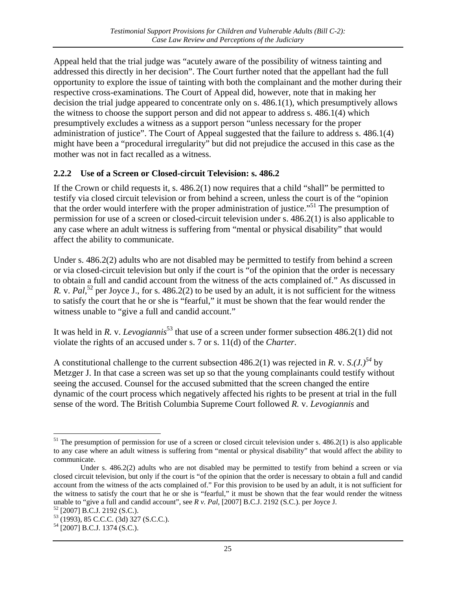Appeal held that the trial judge was "acutely aware of the possibility of witness tainting and addressed this directly in her decision". The Court further noted that the appellant had the full opportunity to explore the issue of tainting with both the complainant and the mother during their respective cross-examinations. The Court of Appeal did, however, note that in making her decision the trial judge appeared to concentrate only on s. 486.1(1), which presumptively allows the witness to choose the support person and did not appear to address s. 486.1(4) which presumptively excludes a witness as a support person "unless necessary for the proper administration of justice". The Court of Appeal suggested that the failure to address s. 486.1(4) might have been a "procedural irregularity" but did not prejudice the accused in this case as the mother was not in fact recalled as a witness.

#### **2.2.2 Use of a Screen or Closed-circuit Television: s. 486.2**

If the Crown or child requests it, s. 486.2(1) now requires that a child "shall" be permitted to testify via closed circuit television or from behind a screen, unless the court is of the "opinion that the order would interfere with the proper administration of justice."51 The presumption of permission for use of a screen or closed-circuit television under s. 486.2(1) is also applicable to any case where an adult witness is suffering from "mental or physical disability" that would affect the ability to communicate.

Under s. 486.2(2) adults who are not disabled may be permitted to testify from behind a screen or via closed-circuit television but only if the court is "of the opinion that the order is necessary to obtain a full and candid account from the witness of the acts complained of." As discussed in *R. v. Pal*,<sup>52</sup> per Joyce J., for s. 486.2(2) to be used by an adult, it is not sufficient for the witness to satisfy the court that he or she is "fearful," it must be shown that the fear would render the witness unable to "give a full and candid account."

It was held in *R.* v. *Levogiannis*53 that use of a screen under former subsection 486.2(1) did not violate the rights of an accused under s. 7 or s. 11(d) of the *Charter*.

A constitutional challenge to the current subsection 486.2(1) was rejected in *R*. *v. S.*(*J.*)<sup>54</sup> by Metzger J. In that case a screen was set up so that the young complainants could testify without seeing the accused. Counsel for the accused submitted that the screen changed the entire dynamic of the court process which negatively affected his rights to be present at trial in the full sense of the word. The British Columbia Supreme Court followed *R.* v. *Levogiannis* and

<u>.</u>

 $51$  The presumption of permission for use of a screen or closed circuit television under s. 486.2(1) is also applicable to any case where an adult witness is suffering from "mental or physical disability" that would affect the ability to communicate.

Under s. 486.2(2) adults who are not disabled may be permitted to testify from behind a screen or via closed circuit television, but only if the court is "of the opinion that the order is necessary to obtain a full and candid account from the witness of the acts complained of." For this provision to be used by an adult, it is not sufficient for the witness to satisfy the court that he or she is "fearful," it must be shown that the fear would render the witness unable to "give a full and candid account", see *R v. Pal*, [2007] B.C.J. 2192 (S.C.). per Joyce J. 52 [2007] B.C.J. 2192 (S.C.).

<sup>53 (1993), 85</sup> C.C.C. (3d) 327 (S.C.C.).

<sup>54 [2007]</sup> B.C.J. 1374 (S.C.).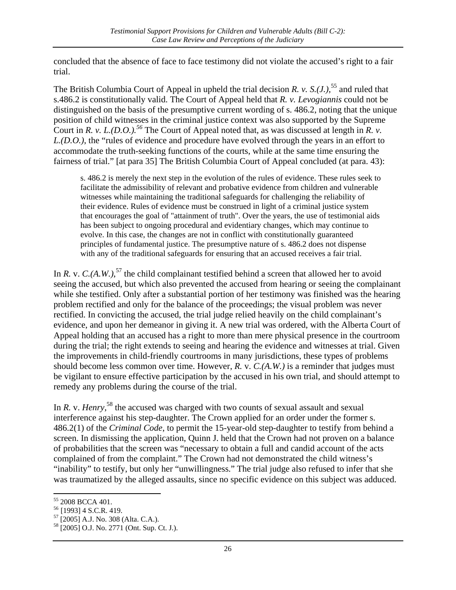concluded that the absence of face to face testimony did not violate the accused's right to a fair trial.

The British Columbia Court of Appeal in upheld the trial decision *R. v.* S.(*J.*),<sup>55</sup> and ruled that s.486.2 is constitutionally valid. The Court of Appeal held that *R. v. Levogiannis* could not be distinguished on the basis of the presumptive current wording of s. 486.2, noting that the unique position of child witnesses in the criminal justice context was also supported by the Supreme Court in *R. v. L.(D.O.).<sup>56</sup>* The Court of Appeal noted that, as was discussed at length in *R. v. L.(D.O.)*, the "rules of evidence and procedure have evolved through the years in an effort to accommodate the truth-seeking functions of the courts, while at the same time ensuring the fairness of trial." [at para 35] The British Columbia Court of Appeal concluded (at para. 43):

s. 486.2 is merely the next step in the evolution of the rules of evidence. These rules seek to facilitate the admissibility of relevant and probative evidence from children and vulnerable witnesses while maintaining the traditional safeguards for challenging the reliability of their evidence. Rules of evidence must be construed in light of a criminal justice system that encourages the goal of "attainment of truth". Over the years, the use of testimonial aids has been subject to ongoing procedural and evidentiary changes, which may continue to evolve. In this case, the changes are not in conflict with constitutionally guaranteed principles of fundamental justice. The presumptive nature of s. 486.2 does not dispense with any of the traditional safeguards for ensuring that an accused receives a fair trial.

In *R.* v. *C.*(*A.W.*),<sup>57</sup> the child complainant testified behind a screen that allowed her to avoid seeing the accused, but which also prevented the accused from hearing or seeing the complainant while she testified. Only after a substantial portion of her testimony was finished was the hearing problem rectified and only for the balance of the proceedings; the visual problem was never rectified. In convicting the accused, the trial judge relied heavily on the child complainant's evidence, and upon her demeanor in giving it. A new trial was ordered, with the Alberta Court of Appeal holding that an accused has a right to more than mere physical presence in the courtroom during the trial; the right extends to seeing and hearing the evidence and witnesses at trial. Given the improvements in child-friendly courtrooms in many jurisdictions, these types of problems should become less common over time. However, *R.* v. *C.(A.W.)* is a reminder that judges must be vigilant to ensure effective participation by the accused in his own trial, and should attempt to remedy any problems during the course of the trial.

In *R*. v. *Henry*,<sup>58</sup> the accused was charged with two counts of sexual assault and sexual interference against his step-daughter. The Crown applied for an order under the former s. 486.2(1) of the *Criminal Code*, to permit the 15-year-old step-daughter to testify from behind a screen. In dismissing the application, Quinn J. held that the Crown had not proven on a balance of probabilities that the screen was "necessary to obtain a full and candid account of the acts complained of from the complaint." The Crown had not demonstrated the child witness's "inability" to testify, but only her "unwillingness." The trial judge also refused to infer that she was traumatized by the alleged assaults, since no specific evidence on this subject was adduced.

<sup>1</sup> 

 $^{55}$  2008 BCCA 401.<br> $^{56}$  [1993] 4 S.C.R. 419.

 $^{57}$  [2005] A.J. No. 308 (Alta. C.A.).

<sup>58 [2005]</sup> O.J. No. 2771 (Ont. Sup. Ct. J.).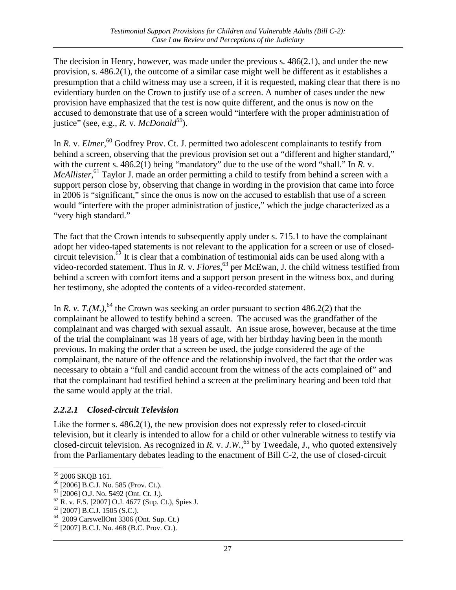The decision in Henry, however, was made under the previous s. 486(2.1), and under the new provision, s. 486.2(1), the outcome of a similar case might well be different as it establishes a presumption that a child witness may use a screen, if it is requested, making clear that there is no evidentiary burden on the Crown to justify use of a screen. A number of cases under the new provision have emphasized that the test is now quite different, and the onus is now on the accused to demonstrate that use of a screen would "interfere with the proper administration of justice" (see, e.g.,  $R$ . v.  $McDonald^{59}$ ).

In *R.* v. *Elmer*, 60 Godfrey Prov. Ct. J. permitted two adolescent complainants to testify from behind a screen, observing that the previous provision set out a "different and higher standard," with the current s. 486.2(1) being "mandatory" due to the use of the word "shall." In *R.* v. McAllister,<sup>61</sup> Taylor J. made an order permitting a child to testify from behind a screen with a support person close by, observing that change in wording in the provision that came into force in 2006 is "significant," since the onus is now on the accused to establish that use of a screen would "interfere with the proper administration of justice," which the judge characterized as a "very high standard."

The fact that the Crown intends to subsequently apply under s. 715.1 to have the complainant adopt her video-taped statements is not relevant to the application for a screen or use of closedcircuit television.<sup>62</sup> It is clear that a combination of testimonial aids can be used along with a video-recorded statement. Thus in *R.* v. *Flores*, 63 per McEwan, J. the child witness testified from behind a screen with comfort items and a support person present in the witness box, and during her testimony, she adopted the contents of a video-recorded statement.

In *R. v.*  $T.(M.)$ <sup>64</sup> the Crown was seeking an order pursuant to section 486.2(2) that the complainant be allowed to testify behind a screen. The accused was the grandfather of the complainant and was charged with sexual assault. An issue arose, however, because at the time of the trial the complainant was 18 years of age, with her birthday having been in the month previous. In making the order that a screen be used, the judge considered the age of the complainant, the nature of the offence and the relationship involved, the fact that the order was necessary to obtain a "full and candid account from the witness of the acts complained of" and that the complainant had testified behind a screen at the preliminary hearing and been told that the same would apply at the trial.

### *2.2.2.1 Closed-circuit Television*

Like the former s. 486.2(1), the new provision does not expressly refer to closed-circuit television, but it clearly is intended to allow for a child or other vulnerable witness to testify via closed-circuit television. As recognized in *R.* v. *J.W.*, 65 by Tweedale, J., who quoted extensively from the Parliamentary debates leading to the enactment of Bill C-2, the use of closed-circuit

 $\overline{a}$ 59 2006 SKQB 161.

 $^{60}$  [2006] B.C.J. No. 585 (Prov. Ct.).

<sup>61 [2006]</sup> O.J. No. 5492 (Ont. Ct. J.).

 $^{62}$  R. v. F.S. [2007] O.J. 4677 (Sup. Ct.), Spies J.

 $^{63}$  [2007] B.C.J. 1505 (S.C.).<br> $^{64}$  2009 CarswellOnt 3306 (Ont. Sup. Ct.)

 $65$  [2007] B.C.J. No. 468 (B.C. Prov. Ct.).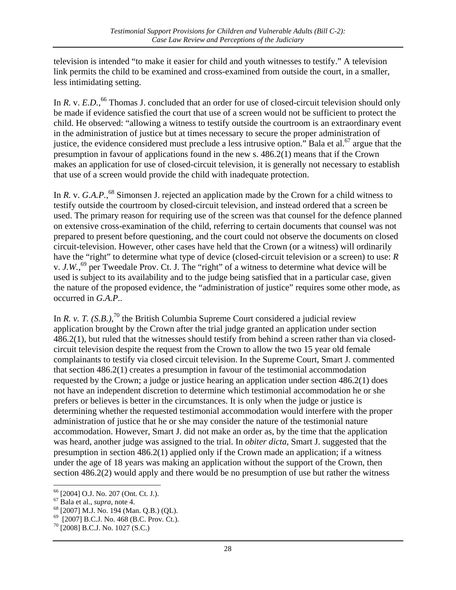television is intended "to make it easier for child and youth witnesses to testify." A television link permits the child to be examined and cross-examined from outside the court, in a smaller, less intimidating setting.

In *R. v. E.D.*,<sup>66</sup> Thomas J. concluded that an order for use of closed-circuit television should only be made if evidence satisfied the court that use of a screen would not be sufficient to protect the child. He observed: "allowing a witness to testify outside the courtroom is an extraordinary event in the administration of justice but at times necessary to secure the proper administration of justice, the evidence considered must preclude a less intrusive option." Bala et al.<sup>67</sup> argue that the presumption in favour of applications found in the new s. 486.2(1) means that if the Crown makes an application for use of closed-circuit television, it is generally not necessary to establish that use of a screen would provide the child with inadequate protection.

In *R. v. G.A.P.*,<sup>68</sup> Simonsen J. rejected an application made by the Crown for a child witness to testify outside the courtroom by closed-circuit television, and instead ordered that a screen be used. The primary reason for requiring use of the screen was that counsel for the defence planned on extensive cross-examination of the child, referring to certain documents that counsel was not prepared to present before questioning, and the court could not observe the documents on closed circuit-television. However, other cases have held that the Crown (or a witness) will ordinarily have the "right" to determine what type of device (closed-circuit television or a screen) to use: *R*  v.  $J.W.^{69}$  per Tweedale Prov. Ct. J. The "right" of a witness to determine what device will be used is subject to its availability and to the judge being satisfied that in a particular case, given the nature of the proposed evidence, the "administration of justice" requires some other mode, as occurred in *G.A.P..*

In *R. v. T.*  $(S.B.)$ <sup>70</sup> the British Columbia Supreme Court considered a judicial review application brought by the Crown after the trial judge granted an application under section 486.2(1), but ruled that the witnesses should testify from behind a screen rather than via closedcircuit television despite the request from the Crown to allow the two 15 year old female complainants to testify via closed circuit television. In the Supreme Court, Smart J. commented that section 486.2(1) creates a presumption in favour of the testimonial accommodation requested by the Crown; a judge or justice hearing an application under section 486.2(1) does not have an independent discretion to determine which testimonial accommodation he or she prefers or believes is better in the circumstances. It is only when the judge or justice is determining whether the requested testimonial accommodation would interfere with the proper administration of justice that he or she may consider the nature of the testimonial nature accommodation. However, Smart J. did not make an order as, by the time that the application was heard, another judge was assigned to the trial. In *obiter dicta*, Smart J. suggested that the presumption in section 486.2(1) applied only if the Crown made an application; if a witness under the age of 18 years was making an application without the support of the Crown, then section 486.2(2) would apply and there would be no presumption of use but rather the witness

 $\overline{a}$  $^{66}$  [2004] O.J. No. 207 (Ont. Ct. J.).<br><sup>67</sup> Bala et al., *supra*, note 4.

<sup>&</sup>lt;sup>68</sup> [2007] M.J. No. 194 (Man. Q.B.) (QL).

<sup>[2007]</sup> B.C.J. No. 468 (B.C. Prov. Ct.).

 $^{70}$  [2008] B.C.J. No. 1027 (S.C.)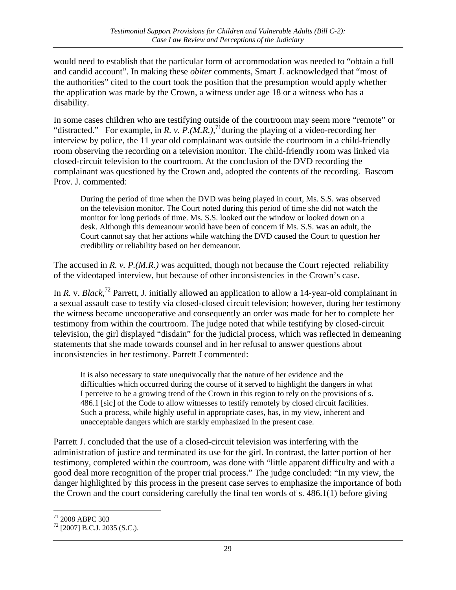would need to establish that the particular form of accommodation was needed to "obtain a full and candid account". In making these *obiter* comments, Smart J. acknowledged that "most of the authorities" cited to the court took the position that the presumption would apply whether the application was made by the Crown, a witness under age 18 or a witness who has a disability.

In some cases children who are testifying outside of the courtroom may seem more "remote" or "distracted." For example, in *R. v. P.*(*M.R.*),<sup>71</sup> during the playing of a video-recording her interview by police, the 11 year old complainant was outside the courtroom in a child-friendly room observing the recording on a television monitor. The child-friendly room was linked via closed-circuit television to the courtroom. At the conclusion of the DVD recording the complainant was questioned by the Crown and, adopted the contents of the recording. Bascom Prov. J. commented:

During the period of time when the DVD was being played in court, Ms. S.S. was observed on the television monitor. The Court noted during this period of time she did not watch the monitor for long periods of time. Ms. S.S. looked out the window or looked down on a desk. Although this demeanour would have been of concern if Ms. S.S. was an adult, the Court cannot say that her actions while watching the DVD caused the Court to question her credibility or reliability based on her demeanour.

The accused in *R. v. P.(M.R.)* was acquitted, though not because the Court rejected reliability of the videotaped interview, but because of other inconsistencies in the Crown's case.

In *R.* v. *Black*, 72 Parrett, J. initially allowed an application to allow a 14-year-old complainant in a sexual assault case to testify via closed-closed circuit television; however, during her testimony the witness became uncooperative and consequently an order was made for her to complete her testimony from within the courtroom. The judge noted that while testifying by closed-circuit television, the girl displayed "disdain" for the judicial process, which was reflected in demeaning statements that she made towards counsel and in her refusal to answer questions about inconsistencies in her testimony. Parrett J commented:

It is also necessary to state unequivocally that the nature of her evidence and the difficulties which occurred during the course of it served to highlight the dangers in what I perceive to be a growing trend of the Crown in this region to rely on the provisions of s. 486.1 [sic] of the Code to allow witnesses to testify remotely by closed circuit facilities. Such a process, while highly useful in appropriate cases, has, in my view, inherent and unacceptable dangers which are starkly emphasized in the present case.

Parrett J. concluded that the use of a closed-circuit television was interfering with the administration of justice and terminated its use for the girl. In contrast, the latter portion of her testimony, completed within the courtroom, was done with "little apparent difficulty and with a good deal more recognition of the proper trial process." The judge concluded: "In my view, the danger highlighted by this process in the present case serves to emphasize the importance of both the Crown and the court considering carefully the final ten words of s. 486.1(1) before giving

<sup>&</sup>lt;u>.</u> 71 2008 ABPC 303

<sup>72 [2007]</sup> B.C.J. 2035 (S.C.).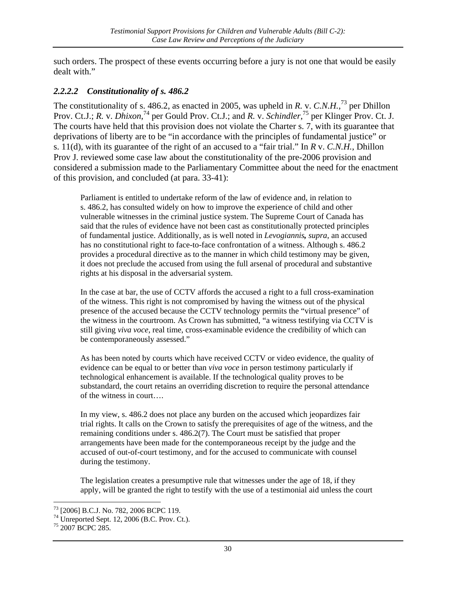such orders. The prospect of these events occurring before a jury is not one that would be easily dealt with."

#### *2.2.2.2 Constitutionality of s. 486.2*

The constitutionality of s. 486.2, as enacted in 2005, was upheld in *R.* v. *C.N.H.*, 73 per Dhillon Prov. Ct.J.; *R. v. Dhixon*,<sup>74</sup> per Gould Prov. Ct.J.; and *R. v. Schindler*,<sup>75</sup> per Klinger Prov. Ct. J. The courts have held that this provision does not violate the Charter s. 7, with its guarantee that deprivations of liberty are to be "in accordance with the principles of fundamental justice" or s. 11(d), with its guarantee of the right of an accused to a "fair trial." In *R* v. *C.N.H.*, Dhillon Prov J. reviewed some case law about the constitutionality of the pre-2006 provision and considered a submission made to the Parliamentary Committee about the need for the enactment of this provision, and concluded (at para. 33-41):

Parliament is entitled to undertake reform of the law of evidence and, in relation to s. 486.2, has consulted widely on how to improve the experience of child and other vulnerable witnesses in the criminal justice system. The Supreme Court of Canada has said that the rules of evidence have not been cast as constitutionally protected principles of fundamental justice. Additionally, as is well noted in *Levogiannis, supra*, an accused has no constitutional right to face-to-face confrontation of a witness. Although s. 486.2 provides a procedural directive as to the manner in which child testimony may be given, it does not preclude the accused from using the full arsenal of procedural and substantive rights at his disposal in the adversarial system.

In the case at bar, the use of CCTV affords the accused a right to a full cross-examination of the witness. This right is not compromised by having the witness out of the physical presence of the accused because the CCTV technology permits the "virtual presence" of the witness in the courtroom. As Crown has submitted, "a witness testifying via CCTV is still giving *viva voce*, real time, cross-examinable evidence the credibility of which can be contemporaneously assessed."

As has been noted by courts which have received CCTV or video evidence, the quality of evidence can be equal to or better than *viva voce* in person testimony particularly if technological enhancement is available. If the technological quality proves to be substandard, the court retains an overriding discretion to require the personal attendance of the witness in court….

In my view, s. 486.2 does not place any burden on the accused which jeopardizes fair trial rights. It calls on the Crown to satisfy the prerequisites of age of the witness, and the remaining conditions under s. 486.2(7). The Court must be satisfied that proper arrangements have been made for the contemporaneous receipt by the judge and the accused of out-of-court testimony, and for the accused to communicate with counsel during the testimony.

The legislation creates a presumptive rule that witnesses under the age of 18, if they apply, will be granted the right to testify with the use of a testimonial aid unless the court

 $\overline{a}$ [2006] B.C.J. No. 782, 2006 BCPC 119.

 $74$  Unreported Sept. 12, 2006 (B.C. Prov. Ct.).<br> $75$  2007 BCPC 285.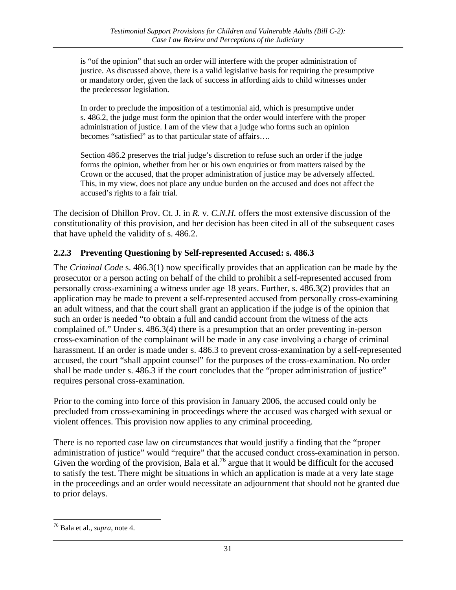is "of the opinion" that such an order will interfere with the proper administration of justice. As discussed above, there is a valid legislative basis for requiring the presumptive or mandatory order, given the lack of success in affording aids to child witnesses under the predecessor legislation.

In order to preclude the imposition of a testimonial aid, which is presumptive under s. 486.2, the judge must form the opinion that the order would interfere with the proper administration of justice. I am of the view that a judge who forms such an opinion becomes "satisfied" as to that particular state of affairs….

Section 486.2 preserves the trial judge's discretion to refuse such an order if the judge forms the opinion, whether from her or his own enquiries or from matters raised by the Crown or the accused, that the proper administration of justice may be adversely affected. This, in my view, does not place any undue burden on the accused and does not affect the accused's rights to a fair trial.

The decision of Dhillon Prov. Ct. J. in *R.* v. *C.N.H.* offers the most extensive discussion of the constitutionality of this provision, and her decision has been cited in all of the subsequent cases that have upheld the validity of s. 486.2.

### **2.2.3 Preventing Questioning by Self-represented Accused: s. 486.3**

The *Criminal Code* s. 486.3(1) now specifically provides that an application can be made by the prosecutor or a person acting on behalf of the child to prohibit a self-represented accused from personally cross-examining a witness under age 18 years. Further, s. 486.3(2) provides that an application may be made to prevent a self-represented accused from personally cross-examining an adult witness, and that the court shall grant an application if the judge is of the opinion that such an order is needed "to obtain a full and candid account from the witness of the acts complained of." Under s. 486.3(4) there is a presumption that an order preventing in-person cross-examination of the complainant will be made in any case involving a charge of criminal harassment. If an order is made under s. 486.3 to prevent cross-examination by a self-represented accused, the court "shall appoint counsel" for the purposes of the cross-examination. No order shall be made under s. 486.3 if the court concludes that the "proper administration of justice" requires personal cross-examination.

Prior to the coming into force of this provision in January 2006, the accused could only be precluded from cross-examining in proceedings where the accused was charged with sexual or violent offences. This provision now applies to any criminal proceeding.

There is no reported case law on circumstances that would justify a finding that the "proper administration of justice" would "require" that the accused conduct cross-examination in person. Given the wording of the provision, Bala et al.<sup>76</sup> argue that it would be difficult for the accused to satisfy the test. There might be situations in which an application is made at a very late stage in the proceedings and an order would necessitate an adjournment that should not be granted due to prior delays.

 $\overline{a}$ 76 Bala et al., *supra*, note 4.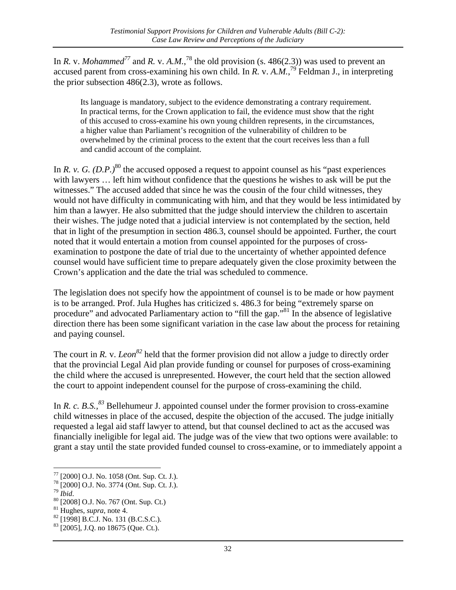In *R. v. Mohammed*<sup>77</sup> and *R. v. A.M.*,<sup>78</sup> the old provision (s. 486(2.3)) was used to prevent an accused parent from cross-examining his own child. In *R*. v. *A.M.*,<sup>79</sup> Feldman J., in interpreting the prior subsection 486(2.3), wrote as follows.

Its language is mandatory, subject to the evidence demonstrating a contrary requirement. In practical terms, for the Crown application to fail, the evidence must show that the right of this accused to cross-examine his own young children represents, in the circumstances, a higher value than Parliament's recognition of the vulnerability of children to be overwhelmed by the criminal process to the extent that the court receives less than a full and candid account of the complaint.

In *R. v. G.*  $(D.P.)^{80}$  the accused opposed a request to appoint counsel as his "past experiences" with lawyers … left him without confidence that the questions he wishes to ask will be put the witnesses." The accused added that since he was the cousin of the four child witnesses, they would not have difficulty in communicating with him, and that they would be less intimidated by him than a lawyer. He also submitted that the judge should interview the children to ascertain their wishes. The judge noted that a judicial interview is not contemplated by the section, held that in light of the presumption in section 486.3, counsel should be appointed. Further, the court noted that it would entertain a motion from counsel appointed for the purposes of crossexamination to postpone the date of trial due to the uncertainty of whether appointed defence counsel would have sufficient time to prepare adequately given the close proximity between the Crown's application and the date the trial was scheduled to commence.

The legislation does not specify how the appointment of counsel is to be made or how payment is to be arranged. Prof. Jula Hughes has criticized s. 486.3 for being "extremely sparse on procedure" and advocated Parliamentary action to "fill the gap."<sup>81</sup> In the absence of legislative direction there has been some significant variation in the case law about the process for retaining and paying counsel.

The court in *R*. *v. Leon*<sup>82</sup> held that the former provision did not allow a judge to directly order that the provincial Legal Aid plan provide funding or counsel for purposes of cross-examining the child where the accused is unrepresented. However, the court held that the section allowed the court to appoint independent counsel for the purpose of cross-examining the child.

In *R. c. B.S.*,  $^{83}$  Bellehumeur J. appointed counsel under the former provision to cross-examine child witnesses in place of the accused, despite the objection of the accused. The judge initially requested a legal aid staff lawyer to attend, but that counsel declined to act as the accused was financially ineligible for legal aid. The judge was of the view that two options were available: to grant a stay until the state provided funded counsel to cross-examine, or to immediately appoint a

 $\overline{a}$  $77$  [2000] O.J. No. 1058 (Ont. Sup. Ct. J.).

 $^{78}$  [2000] O.J. No. 3774 (Ont. Sup. Ct. J.).<br> $^{79}$  Ibid.

<sup>&</sup>lt;sup>80</sup> [2008] O.J. No. 767 (Ont. Sup. Ct.)<br><sup>81</sup> Hughes, *supra*, note 4.

<sup>&</sup>lt;sup>82</sup> [1998] B.C.J. No. 131 (B.C.S.C.).

<sup>83 [2005],</sup> J.Q. no 18675 (Que. Ct.).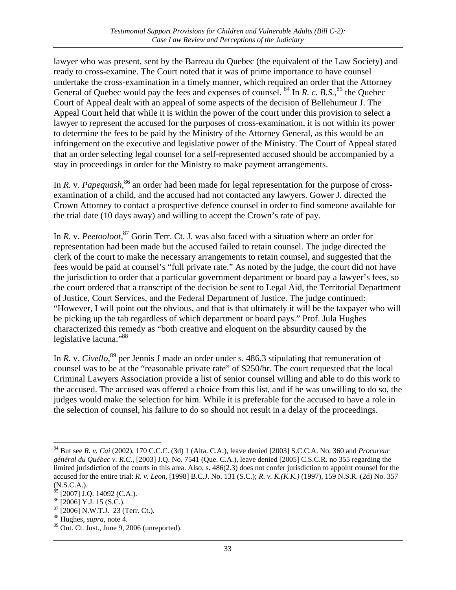lawyer who was present, sent by the Barreau du Quebec (the equivalent of the Law Society) and ready to cross-examine. The Court noted that it was of prime importance to have counsel undertake the cross-examination in a timely manner, which required an order that the Attorney General of Quebec would pay the fees and expenses of counsel.  $^{84}$  In *R. c. B.S.*,  $^{85}$  the Quebec Court of Appeal dealt with an appeal of some aspects of the decision of Bellehumeur J. The Appeal Court held that while it is within the power of the court under this provision to select a lawyer to represent the accused for the purposes of cross-examination, it is not within its power to determine the fees to be paid by the Ministry of the Attorney General, as this would be an infringement on the executive and legislative power of the Ministry. The Court of Appeal stated that an order selecting legal counsel for a self-represented accused should be accompanied by a stay in proceedings in order for the Ministry to make payment arrangements.

In *R*. v. *Papequash*<sup>86</sup> an order had been made for legal representation for the purpose of crossexamination of a child, and the accused had not contacted any lawyers. Gower J. directed the Crown Attorney to contact a prospective defence counsel in order to find someone available for the trial date (10 days away) and willing to accept the Crown's rate of pay.

In *R.* v. *Peetooloot*, 87 Gorin Terr. Ct. J. was also faced with a situation where an order for representation had been made but the accused failed to retain counsel. The judge directed the clerk of the court to make the necessary arrangements to retain counsel, and suggested that the fees would be paid at counsel's "full private rate." As noted by the judge, the court did not have the jurisdiction to order that a particular government department or board pay a lawyer's fees, so the court ordered that a transcript of the decision be sent to Legal Aid, the Territorial Department of Justice, Court Services, and the Federal Department of Justice. The judge continued: "However, I will point out the obvious, and that is that ultimately it will be the taxpayer who will be picking up the tab regardless of which department or board pays." Prof. Jula Hughes characterized this remedy as "both creative and eloquent on the absurdity caused by the legislative lacuna."<sup>88</sup>

In *R. v. Civello*,<sup>89</sup> per Jennis J made an order under s. 486.3 stipulating that remuneration of counsel was to be at the "reasonable private rate" of \$250/hr. The court requested that the local Criminal Lawyers Association provide a list of senior counsel willing and able to do this work to the accused. The accused was offered a choice from this list, and if he was unwilling to do so, the judges would make the selection for him. While it is preferable for the accused to have a role in the selection of counsel, his failure to do so should not result in a delay of the proceedings.

 $\overline{a}$ 84 But see *R. v. Cai* (2002), 170 C.C.C. (3d) 1 (Alta. C.A.), leave denied [2003] S.C.C.A. No. 360 and *Procureur général du Québec v. R.C.*, [2003] J.Q. No. 7541 (Que. C.A.), leave denied [2005] C.S.C.R. no 355 regarding the limited jurisdiction of the courts in this area. Also, s. 486(2.3) does not confer jurisdiction to appoint counsel for the accused for the entire trial: *R. v. Leon*, [1998] B.C.J. No. 131 (S.C.); *R. v. K.(K.K.)* (1997), 159 N.S.R. (2d) No. 357 (N.S.C.A.).

 $85$  [2007] J.Q. 14092 (C.A.).

<sup>86 [2006]</sup> Y.J. 15 (S.C.).

 $^{87}$  [2006] N.W.T.J. 23 (Terr. Ct.).

<sup>88</sup> Hughes, *supra*, note 4.

<sup>89</sup> Ont. Ct. Just., June 9, 2006 (unreported).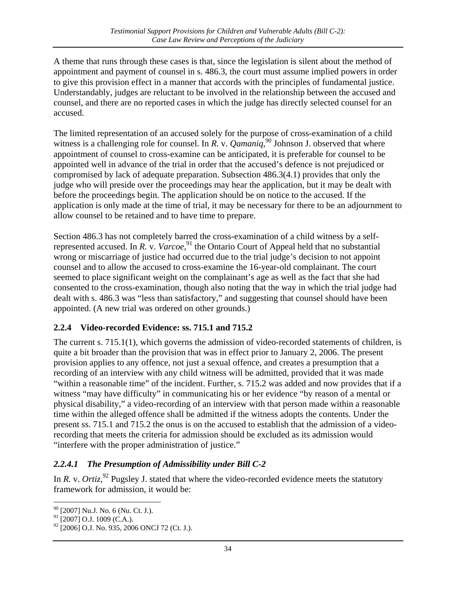A theme that runs through these cases is that, since the legislation is silent about the method of appointment and payment of counsel in s. 486.3, the court must assume implied powers in order to give this provision effect in a manner that accords with the principles of fundamental justice. Understandably, judges are reluctant to be involved in the relationship between the accused and counsel, and there are no reported cases in which the judge has directly selected counsel for an accused.

The limited representation of an accused solely for the purpose of cross-examination of a child witness is a challenging role for counsel. In *R*. v. *Qamaniq*,<sup>90</sup> Johnson J. observed that where appointment of counsel to cross-examine can be anticipated, it is preferable for counsel to be appointed well in advance of the trial in order that the accused's defence is not prejudiced or compromised by lack of adequate preparation. Subsection 486.3(4.1) provides that only the judge who will preside over the proceedings may hear the application, but it may be dealt with before the proceedings begin. The application should be on notice to the accused. If the application is only made at the time of trial, it may be necessary for there to be an adjournment to allow counsel to be retained and to have time to prepare.

Section 486.3 has not completely barred the cross-examination of a child witness by a selfrepresented accused. In *R.* v. *Varcoe*, 91 the Ontario Court of Appeal held that no substantial wrong or miscarriage of justice had occurred due to the trial judge's decision to not appoint counsel and to allow the accused to cross-examine the 16-year-old complainant. The court seemed to place significant weight on the complainant's age as well as the fact that she had consented to the cross-examination, though also noting that the way in which the trial judge had dealt with s. 486.3 was "less than satisfactory," and suggesting that counsel should have been appointed. (A new trial was ordered on other grounds.)

### **2.2.4 Video-recorded Evidence: ss. 715.1 and 715.2**

The current s. 715.1(1), which governs the admission of video-recorded statements of children, is quite a bit broader than the provision that was in effect prior to January 2, 2006. The present provision applies to any offence, not just a sexual offence, and creates a presumption that a recording of an interview with any child witness will be admitted, provided that it was made "within a reasonable time" of the incident. Further, s. 715.2 was added and now provides that if a witness "may have difficulty" in communicating his or her evidence "by reason of a mental or physical disability," a video-recording of an interview with that person made within a reasonable time within the alleged offence shall be admitted if the witness adopts the contents. Under the present ss. 715.1 and 715.2 the onus is on the accused to establish that the admission of a videorecording that meets the criteria for admission should be excluded as its admission would "interfere with the proper administration of justice."

### *2.2.4.1 The Presumption of Admissibility under Bill C-2*

In *R. v. Ortiz*,<sup>92</sup> Pugsley J. stated that where the video-recorded evidence meets the statutory framework for admission, it would be:

<sup>1</sup>  $90$  [2007] Nu.J. No. 6 (Nu. Ct. J.).

 $91$  [2007] O.J. 1009 (C.A.).

 $92$  [2006] O.J. No. 935, 2006 ONCJ 72 (Ct. J.).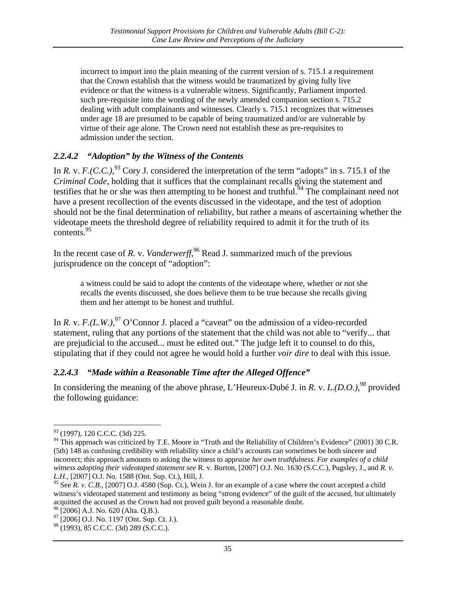incorrect to import into the plain meaning of the current version of s. 715.1 a requirement that the Crown establish that the witness would be traumatized by giving fully live evidence or that the witness is a vulnerable witness. Significantly, Parliament imported such pre-requisite into the wording of the newly amended companion section s. 715.2 dealing with adult complainants and witnesses. Clearly s. 715.1 recognizes that witnesses under age 18 are presumed to be capable of being traumatized and/or are vulnerable by virtue of their age alone. The Crown need not establish these as pre-requisites to admission under the section.

### *2.2.4.2 "Adoption" by the Witness of the Contents*

In *R. v. F.(C.C.)*<sup>93</sup> Cory J. considered the interpretation of the term "adopts" in s. 715.1 of the *Criminal Code*, holding that it suffices that the complainant recalls giving the statement and testifies that he or she was then attempting to be honest and truthful.<sup>94</sup> The complainant need not have a present recollection of the events discussed in the videotape, and the test of adoption should not be the final determination of reliability, but rather a means of ascertaining whether the videotape meets the threshold degree of reliability required to admit it for the truth of its contents.95

In the recent case of *R*. *v. Vanderwerff*,<sup>96</sup> Read J. summarized much of the previous jurisprudence on the concept of "adoption":

a witness could be said to adopt the contents of the videotape where, whether or not she recalls the events discussed, she does believe them to be true because she recalls giving them and her attempt to be honest and truthful.

In *R. v. F.(L.W.)*<sup>97</sup> O'Connor J. placed a "caveat" on the admission of a video-recorded statement, ruling that any portions of the statement that the child was not able to "verify... that are prejudicial to the accused... must be edited out." The judge left it to counsel to do this, stipulating that if they could not agree he would hold a further *voir dire* to deal with this issue.

#### *2.2.4.3 "Made within a Reasonable Time after the Alleged Offence"*

In considering the meaning of the above phrase, L'Heureux-Dubé J. in *R.* v. *L.(D.O.),<sup>98</sup>* provided the following guidance:

1

<sup>93 (1997), 120</sup> C.C.C. (3d) 225.

<sup>&</sup>lt;sup>94</sup> This approach was criticized by T.E. Moore in "Truth and the Reliability of Children's Evidence" (2001) 30 C.R. (5th) 148 as confusing credibility with reliability since a child's accounts can sometimes be both sincere and incorrect; this approach amounts to asking the witness to app*raise her own truthfulness. For examples of a child witness adopting their videotaped statement see* R. v. Burton, [2007] O.J. No. 1630 (S.C.C.), Pugsley, J., and *R. v. L.H*., [2007] O.J. No. 1588 (Ont. Sup. Ct.), Hill, J.

<sup>&</sup>lt;sup>95</sup> See *R. v. C.B.*, [2007] O.J. 4580 (Sup. Ct.), Wein J. for an example of a case where the court accepted a child witness's videotaped statement and testimony as being "strong evidence" of the guilt of the accused, but ultimately acquitted the accused as the Crown had not proved guilt beyond a reasonable doubt. 96 [2006] A.J. No. 620 (Alta. Q.B.).

 $97$  [2006] O.J. No. 1197 (Ont. Sup. Ct. J.).

<sup>98 (1993), 85</sup> C.C.C. (3d) 289 (S.C.C.).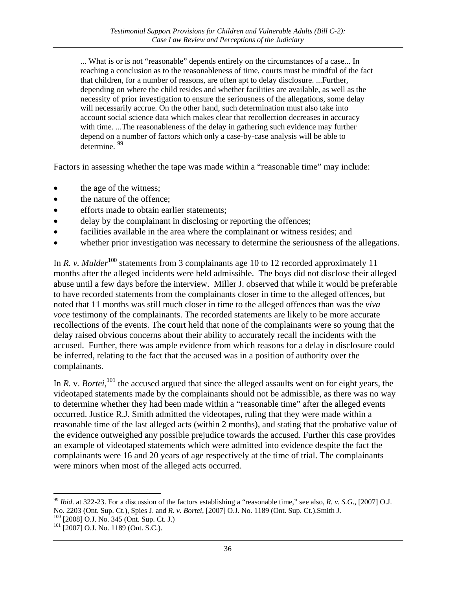... What is or is not "reasonable" depends entirely on the circumstances of a case... In reaching a conclusion as to the reasonableness of time, courts must be mindful of the fact that children, for a number of reasons, are often apt to delay disclosure. ...Further, depending on where the child resides and whether facilities are available, as well as the necessity of prior investigation to ensure the seriousness of the allegations, some delay will necessarily accrue. On the other hand, such determination must also take into account social science data which makes clear that recollection decreases in accuracy with time. ...The reasonableness of the delay in gathering such evidence may further depend on a number of factors which only a case-by-case analysis will be able to determine. <sup>99</sup>

Factors in assessing whether the tape was made within a "reasonable time" may include:

- the age of the witness;
- the nature of the offence;
- efforts made to obtain earlier statements:
- delay by the complainant in disclosing or reporting the offences;
- facilities available in the area where the complainant or witness resides; and
- whether prior investigation was necessary to determine the seriousness of the allegations.

In *R. v. Mulder*<sup>100</sup> statements from 3 complainants age 10 to 12 recorded approximately 11 months after the alleged incidents were held admissible. The boys did not disclose their alleged abuse until a few days before the interview. Miller J. observed that while it would be preferable to have recorded statements from the complainants closer in time to the alleged offences, but noted that 11 months was still much closer in time to the alleged offences than was the *viva voce* testimony of the complainants. The recorded statements are likely to be more accurate recollections of the events. The court held that none of the complainants were so young that the delay raised obvious concerns about their ability to accurately recall the incidents with the accused. Further, there was ample evidence from which reasons for a delay in disclosure could be inferred, relating to the fact that the accused was in a position of authority over the complainants.

In *R*. v. *Bortei*,<sup>101</sup> the accused argued that since the alleged assaults went on for eight years, the videotaped statements made by the complainants should not be admissible, as there was no way to determine whether they had been made within a "reasonable time" after the alleged events occurred. Justice R.J. Smith admitted the videotapes, ruling that they were made within a reasonable time of the last alleged acts (within 2 months), and stating that the probative value of the evidence outweighed any possible prejudice towards the accused. Further this case provides an example of videotaped statements which were admitted into evidence despite the fact the complainants were 16 and 20 years of age respectively at the time of trial. The complainants were minors when most of the alleged acts occurred.

1

<sup>99</sup> *Ibid*. at 322-23. For a discussion of the factors establishing a "reasonable time," see also, *R. v. S.G*., [2007] O.J. No. 2203 (Ont. Sup. Ct.), Spies J. and *R. v. Bortei*, [2007] O.J. No. 1189 (Ont. Sup. Ct.).Smith J. <sup>100</sup> [2008] O.J. No. 345 (Ont. Sup. Ct. J.) <sup>101</sup> [2007] O.J. No. 1189 (Ont. S.C.).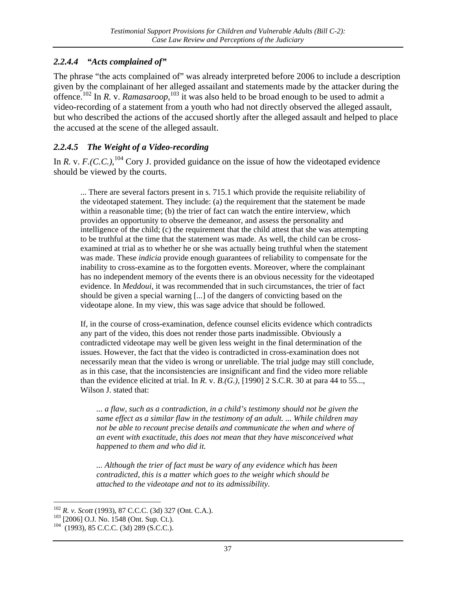### *2.2.4.4 "Acts complained of"*

The phrase "the acts complained of" was already interpreted before 2006 to include a description given by the complainant of her alleged assailant and statements made by the attacker during the offence.<sup>102</sup> In *R. v. Ramasaroop*, <sup>103</sup> it was also held to be broad enough to be used to admit a video-recording of a statement from a youth who had not directly observed the alleged assault, but who described the actions of the accused shortly after the alleged assault and helped to place the accused at the scene of the alleged assault.

### *2.2.4.5 The Weight of a Video-recording*

In *R.* v.  $F.(C.C.)$ , <sup>104</sup> Cory J. provided guidance on the issue of how the videotaped evidence should be viewed by the courts.

... There are several factors present in s. 715.1 which provide the requisite reliability of the videotaped statement. They include: (a) the requirement that the statement be made within a reasonable time; (b) the trier of fact can watch the entire interview, which provides an opportunity to observe the demeanor, and assess the personality and intelligence of the child; (c) the requirement that the child attest that she was attempting to be truthful at the time that the statement was made. As well, the child can be crossexamined at trial as to whether he or she was actually being truthful when the statement was made. These *indicia* provide enough guarantees of reliability to compensate for the inability to cross-examine as to the forgotten events. Moreover, where the complainant has no independent memory of the events there is an obvious necessity for the videotaped evidence. In *Meddoui*, it was recommended that in such circumstances, the trier of fact should be given a special warning [...] of the dangers of convicting based on the videotape alone. In my view, this was sage advice that should be followed.

If, in the course of cross-examination, defence counsel elicits evidence which contradicts any part of the video, this does not render those parts inadmissible. Obviously a contradicted videotape may well be given less weight in the final determination of the issues. However, the fact that the video is contradicted in cross-examination does not necessarily mean that the video is wrong or unreliable. The trial judge may still conclude, as in this case, that the inconsistencies are insignificant and find the video more reliable than the evidence elicited at trial. In *R.* v. *B.(G.)*, [1990] 2 S.C.R. 30 at para 44 to 55..., Wilson J. stated that:

*... a flaw, such as a contradiction, in a child's testimony should not be given the same effect as a similar flaw in the testimony of an adult. ... While children may not be able to recount precise details and communicate the when and where of an event with exactitude, this does not mean that they have misconceived what happened to them and who did it.* 

*... Although the trier of fact must be wary of any evidence which has been contradicted, this is a matter which goes to the weight which should be attached to the videotape and not to its admissibility.* 

 $\overline{a}$ <sup>102</sup> *R. v. Scott* (1993), 87 C.C.C. (3d) 327 (Ont. C.A.).<br><sup>103</sup> [2006] O.J. No. 1548 (Ont. Sup. Ct.).<br><sup>104</sup> (1993), 85 C.C.C. (3d) 289 (S.C.C.).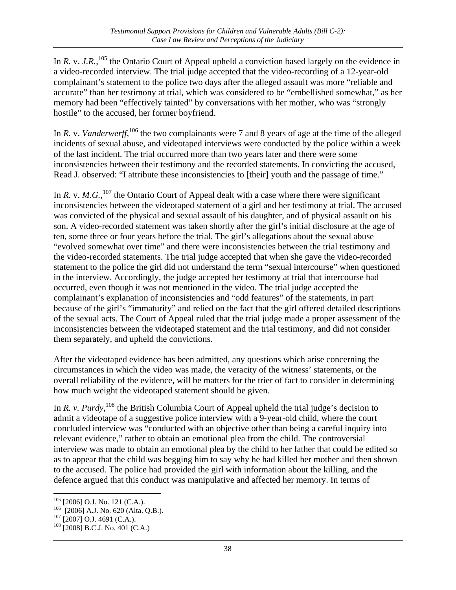In *R.* v. *J.R.*,  $^{105}$  the Ontario Court of Appeal upheld a conviction based largely on the evidence in a video-recorded interview. The trial judge accepted that the video-recording of a 12-year-old complainant's statement to the police two days after the alleged assault was more "reliable and accurate" than her testimony at trial, which was considered to be "embellished somewhat," as her memory had been "effectively tainted" by conversations with her mother, who was "strongly hostile" to the accused, her former boyfriend.

In *R*. *v*. *Vanderwerff*<sup>, 106</sup> the two complainants were 7 and 8 years of age at the time of the alleged incidents of sexual abuse, and videotaped interviews were conducted by the police within a week of the last incident. The trial occurred more than two years later and there were some inconsistencies between their testimony and the recorded statements. In convicting the accused, Read J. observed: "I attribute these inconsistencies to [their] youth and the passage of time."

In *R.* v. *M.G.*, <sup>107</sup> the Ontario Court of Appeal dealt with a case where there were significant inconsistencies between the videotaped statement of a girl and her testimony at trial. The accused was convicted of the physical and sexual assault of his daughter, and of physical assault on his son. A video-recorded statement was taken shortly after the girl's initial disclosure at the age of ten, some three or four years before the trial. The girl's allegations about the sexual abuse "evolved somewhat over time" and there were inconsistencies between the trial testimony and the video-recorded statements. The trial judge accepted that when she gave the video-recorded statement to the police the girl did not understand the term "sexual intercourse" when questioned in the interview. Accordingly, the judge accepted her testimony at trial that intercourse had occurred, even though it was not mentioned in the video. The trial judge accepted the complainant's explanation of inconsistencies and "odd features" of the statements, in part because of the girl's "immaturity" and relied on the fact that the girl offered detailed descriptions of the sexual acts. The Court of Appeal ruled that the trial judge made a proper assessment of the inconsistencies between the videotaped statement and the trial testimony, and did not consider them separately, and upheld the convictions.

After the videotaped evidence has been admitted, any questions which arise concerning the circumstances in which the video was made, the veracity of the witness' statements, or the overall reliability of the evidence, will be matters for the trier of fact to consider in determining how much weight the videotaped statement should be given.

In *R. v. Purdy*,  $^{108}$  the British Columbia Court of Appeal upheld the trial judge's decision to admit a videotape of a suggestive police interview with a 9-year-old child, where the court concluded interview was "conducted with an objective other than being a careful inquiry into relevant evidence," rather to obtain an emotional plea from the child. The controversial interview was made to obtain an emotional plea by the child to her father that could be edited so as to appear that the child was begging him to say why he had killed her mother and then shown to the accused. The police had provided the girl with information about the killing, and the defence argued that this conduct was manipulative and affected her memory. In terms of

<sup>1</sup> 

<sup>&</sup>lt;sup>105</sup> [2006] O.J. No. 121 (C.A.).<br><sup>106</sup> [2006] A.J. No. 620 (Alta. Q.B.).<br><sup>107</sup> [2007] O.J. 4691 (C.A.).<br><sup>108</sup> [2008] B.C.J. No. 401 (C.A.)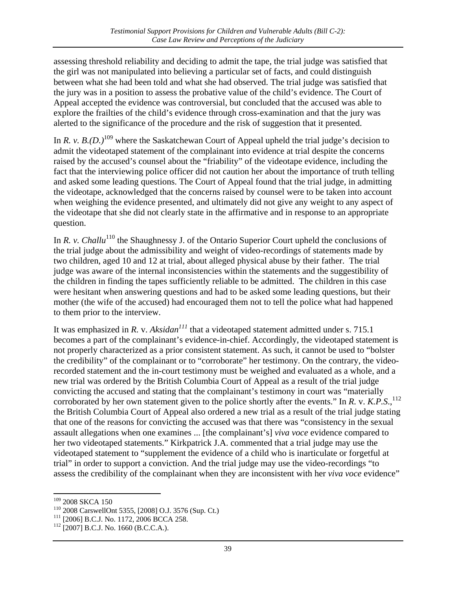assessing threshold reliability and deciding to admit the tape, the trial judge was satisfied that the girl was not manipulated into believing a particular set of facts, and could distinguish between what she had been told and what she had observed. The trial judge was satisfied that the jury was in a position to assess the probative value of the child's evidence. The Court of Appeal accepted the evidence was controversial, but concluded that the accused was able to explore the frailties of the child's evidence through cross-examination and that the jury was alerted to the significance of the procedure and the risk of suggestion that it presented.

In *R. v. B.(D.)*<sup>109</sup> where the Saskatchewan Court of Appeal upheld the trial judge's decision to admit the videotaped statement of the complainant into evidence at trial despite the concerns raised by the accused's counsel about the "friability" of the videotape evidence, including the fact that the interviewing police officer did not caution her about the importance of truth telling and asked some leading questions. The Court of Appeal found that the trial judge, in admitting the videotape, acknowledged that the concerns raised by counsel were to be taken into account when weighing the evidence presented, and ultimately did not give any weight to any aspect of the videotape that she did not clearly state in the affirmative and in response to an appropriate question.

In *R. v. Challu*<sup>110</sup> the Shaughnessy J. of the Ontario Superior Court upheld the conclusions of the trial judge about the admissibility and weight of video-recordings of statements made by two children, aged 10 and 12 at trial, about alleged physical abuse by their father. The trial judge was aware of the internal inconsistencies within the statements and the suggestibility of the children in finding the tapes sufficiently reliable to be admitted. The children in this case were hesitant when answering questions and had to be asked some leading questions, but their mother (the wife of the accused) had encouraged them not to tell the police what had happened to them prior to the interview.

It was emphasized in *R*. *v. Aksidan*<sup>111</sup> that a videotaped statement admitted under s. 715.1 becomes a part of the complainant's evidence-in-chief. Accordingly, the videotaped statement is not properly characterized as a prior consistent statement. As such, it cannot be used to "bolster the credibility" of the complainant or to "corroborate" her testimony. On the contrary, the videorecorded statement and the in-court testimony must be weighed and evaluated as a whole, and a new trial was ordered by the British Columbia Court of Appeal as a result of the trial judge convicting the accused and stating that the complainant's testimony in court was "materially corroborated by her own statement given to the police shortly after the events." In *R*. v.  $K.P.S.,<sup>112</sup>$ the British Columbia Court of Appeal also ordered a new trial as a result of the trial judge stating that one of the reasons for convicting the accused was that there was "consistency in the sexual assault allegations when one examines ... [the complainant's] *viva voce* evidence compared to her two videotaped statements." Kirkpatrick J.A. commented that a trial judge may use the videotaped statement to "supplement the evidence of a child who is inarticulate or forgetful at trial" in order to support a conviction. And the trial judge may use the video-recordings "to assess the credibility of the complainant when they are inconsistent with her *viva voce* evidence"

 $\overline{a}$ 

<sup>&</sup>lt;sup>109</sup> 2008 SKCA 150<br><sup>110</sup> 2008 CarswellOnt 5355, [2008] O.J. 3576 (Sup. Ct.)<br><sup>111</sup> [2006] B.C.J. No. 1172, 2006 BCCA 258.<br><sup>112</sup> [2007] B.C.J. No. 1660 (B.C.C.A.).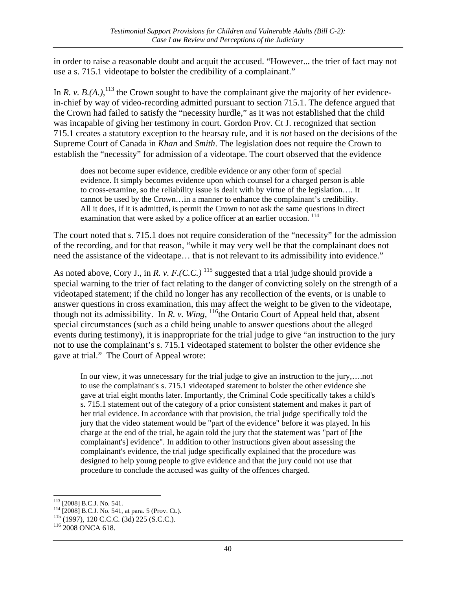in order to raise a reasonable doubt and acquit the accused. "However... the trier of fact may not use a s. 715.1 videotape to bolster the credibility of a complainant."

In *R. v.*  $B(A_1)$ , <sup>113</sup> the Crown sought to have the complainant give the majority of her evidencein-chief by way of video-recording admitted pursuant to section 715.1. The defence argued that the Crown had failed to satisfy the "necessity hurdle," as it was not established that the child was incapable of giving her testimony in court. Gordon Prov. Ct J. recognized that section 715.1 creates a statutory exception to the hearsay rule, and it is *not* based on the decisions of the Supreme Court of Canada in *Khan* and *Smith*. The legislation does not require the Crown to establish the "necessity" for admission of a videotape. The court observed that the evidence

does not become super evidence, credible evidence or any other form of special evidence. It simply becomes evidence upon which counsel for a charged person is able to cross-examine, so the reliability issue is dealt with by virtue of the legislation…. It cannot be used by the Crown…in a manner to enhance the complainant's credibility. All it does, if it is admitted, is permit the Crown to not ask the same questions in direct examination that were asked by a police officer at an earlier occasion.  $^{114}$ 

The court noted that s. 715.1 does not require consideration of the "necessity" for the admission of the recording, and for that reason, "while it may very well be that the complainant does not need the assistance of the videotape… that is not relevant to its admissibility into evidence."

As noted above, Cory J., in *R. v. F.(C.C.)* <sup>115</sup> suggested that a trial judge should provide a special warning to the trier of fact relating to the danger of convicting solely on the strength of a videotaped statement; if the child no longer has any recollection of the events, or is unable to answer questions in cross examination, this may affect the weight to be given to the videotape, though not its admissibility. In *R. v. Wing*, <sup>116</sup>the Ontario Court of Appeal held that, absent special circumstances (such as a child being unable to answer questions about the alleged events during testimony), it is inappropriate for the trial judge to give "an instruction to the jury not to use the complainant's s. 715.1 videotaped statement to bolster the other evidence she gave at trial." The Court of Appeal wrote:

In our view, it was unnecessary for the trial judge to give an instruction to the jury,….not to use the complainant's s. 715.1 videotaped statement to bolster the other evidence she gave at trial eight months later. Importantly, the Criminal Code specifically takes a child's s. 715.1 statement out of the category of a prior consistent statement and makes it part of her trial evidence. In accordance with that provision, the trial judge specifically told the jury that the video statement would be "part of the evidence" before it was played. In his charge at the end of the trial, he again told the jury that the statement was "part of [the complainant's] evidence". In addition to other instructions given about assessing the complainant's evidence, the trial judge specifically explained that the procedure was designed to help young people to give evidence and that the jury could not use that procedure to conclude the accused was guilty of the offences charged.

 $\overline{a}$ 

<sup>&</sup>lt;sup>113</sup> [2008] B.C.J. No. 541, at para. 5 (Prov. Ct.).<br><sup>115</sup> (1997), 120 C.C.C. (3d) 225 (S.C.C.).<br><sup>116</sup> 2008 ONCA 618.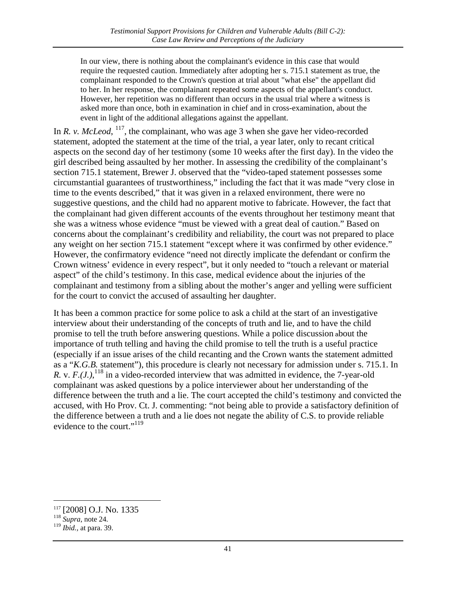In our view, there is nothing about the complainant's evidence in this case that would require the requested caution. Immediately after adopting her s. 715.1 statement as true, the complainant responded to the Crown's question at trial about "what else" the appellant did to her. In her response, the complainant repeated some aspects of the appellant's conduct. However, her repetition was no different than occurs in the usual trial where a witness is asked more than once, both in examination in chief and in cross-examination, about the event in light of the additional allegations against the appellant.

In *R. v. McLeod*,  $^{117}$ , the complainant, who was age 3 when she gave her video-recorded statement, adopted the statement at the time of the trial, a year later, only to recant critical aspects on the second day of her testimony (some 10 weeks after the first day). In the video the girl described being assaulted by her mother. In assessing the credibility of the complainant's section 715.1 statement, Brewer J. observed that the "video-taped statement possesses some circumstantial guarantees of trustworthiness," including the fact that it was made "very close in time to the events described," that it was given in a relaxed environment, there were no suggestive questions, and the child had no apparent motive to fabricate. However, the fact that the complainant had given different accounts of the events throughout her testimony meant that she was a witness whose evidence "must be viewed with a great deal of caution." Based on concerns about the complainant's credibility and reliability, the court was not prepared to place any weight on her section 715.1 statement "except where it was confirmed by other evidence." However, the confirmatory evidence "need not directly implicate the defendant or confirm the Crown witness' evidence in every respect", but it only needed to "touch a relevant or material aspect" of the child's testimony. In this case, medical evidence about the injuries of the complainant and testimony from a sibling about the mother's anger and yelling were sufficient for the court to convict the accused of assaulting her daughter.

It has been a common practice for some police to ask a child at the start of an investigative interview about their understanding of the concepts of truth and lie, and to have the child promise to tell the truth before answering questions. While a police discussion about the importance of truth telling and having the child promise to tell the truth is a useful practice (especially if an issue arises of the child recanting and the Crown wants the statement admitted as a "*K.G.B.* statement"), this procedure is clearly not necessary for admission under s. 715.1. In *R. v.*  $F.(J.)$ <sup>118</sup> in a video-recorded interview that was admitted in evidence, the 7-year-old complainant was asked questions by a police interviewer about her understanding of the difference between the truth and a lie. The court accepted the child's testimony and convicted the accused, with Ho Prov. Ct. J. commenting: "not being able to provide a satisfactory definition of the difference between a truth and a lie does not negate the ability of C.S. to provide reliable evidence to the court."<sup>119</sup>

 $\overline{a}$ 

<sup>117</sup> [2008] O.J. No. 1335 <sup>118</sup> *Supra*, note 24.

<sup>119</sup> *Ibid.,* at para. 39.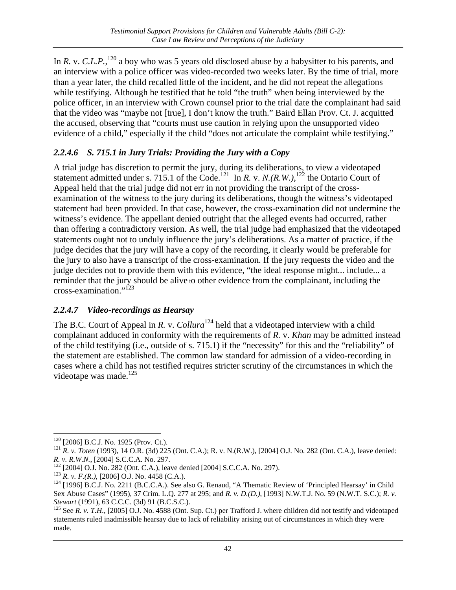In *R. v. C.L.P.*, <sup>120</sup> a boy who was 5 years old disclosed abuse by a babysitter to his parents, and an interview with a police officer was video-recorded two weeks later. By the time of trial, more than a year later, the child recalled little of the incident, and he did not repeat the allegations while testifying. Although he testified that he told "the truth" when being interviewed by the police officer, in an interview with Crown counsel prior to the trial date the complainant had said that the video was "maybe not [true], I don't know the truth." Baird Ellan Prov. Ct. J. acquitted the accused, observing that "courts must use caution in relying upon the unsupported video evidence of a child," especially if the child "does not articulate the complaint while testifying."

### *2.2.4.6 S. 715.1 in Jury Trials: Providing the Jury with a Copy*

A trial judge has discretion to permit the jury, during its deliberations, to view a videotaped statement admitted under s. 715.1 of the Code.<sup>121</sup> In *R. v. N.(R.W.)*,<sup>122</sup> the Ontario Court of Appeal held that the trial judge did not err in not providing the transcript of the crossexamination of the witness to the jury during its deliberations, though the witness's videotaped statement had been provided. In that case, however, the cross-examination did not undermine the witness's evidence. The appellant denied outright that the alleged events had occurred, rather than offering a contradictory version. As well, the trial judge had emphasized that the videotaped statements ought not to unduly influence the jury's deliberations. As a matter of practice, if the judge decides that the jury will have a copy of the recording, it clearly would be preferable for the jury to also have a transcript of the cross-examination. If the jury requests the video and the judge decides not to provide them with this evidence, "the ideal response might... include... a reminder that the jury should be alive to other evidence from the complainant, including the cross-examination."123

#### *2.2.4.7 Video-recordings as Hearsay*

The B.C. Court of Appeal in *R. v. Collura*<sup>124</sup> held that a videotaped interview with a child complainant adduced in conformity with the requirements of *R.* v. *Khan* may be admitted instead of the child testifying (i.e., outside of s. 715.1) if the "necessity" for this and the "reliability" of the statement are established. The common law standard for admission of a video-recording in cases where a child has not testified requires stricter scrutiny of the circumstances in which the videotape was made. $^{125}$ 

 $\overline{a}$ 

<sup>&</sup>lt;sup>120</sup> [2006] B.C.J. No. 1925 (Prov. Ct.).<br><sup>121</sup> *R. v. Toten* (1993), 14 O.R. (3d) 225 (Ont. C.A.); R. v. N.(R.W.), [2004] O.J. No. 282 (Ont. C.A.), leave denied: *R. v. R.W.N.*, [2004] S.C.C.A. No. 297.<br><sup>122</sup> [2004] O.J. No. 282 (Ont. C.A.), leave denied [2004] S.C.C.A. No. 297).<br><sup>123</sup> *R. v. F.*(*R.*), [2006] O.J. No. 4458 (C.A.).<br><sup>124</sup> [1996] B.C.J. No. 2211 (B.C.C.A.). See also

Sex Abuse Cases" (1995), 37 Crim. L.Q. 277 at 295; and *R. v. D.(D.)*, [1993] N.W.T.J. No. 59 (N.W.T. S.C.); *R. v. Stewart* (1991), 63 C.C.C. (3d) 91 (B.C.S.C.).

<sup>&</sup>lt;sup>125</sup> See *R. v. T.H.*, [2005] O.J. No. 4588 (Ont. Sup. Ct.) per Trafford J. where children did not testify and videotaped statements ruled inadmissible hearsay due to lack of reliability arising out of circumstances in which they were made.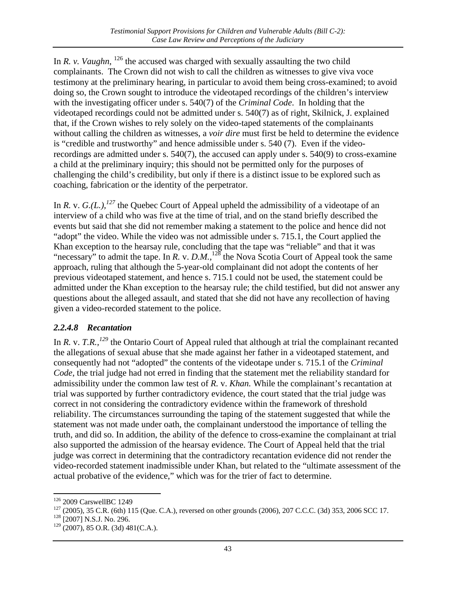In *R. v. Vaughn*,  $^{126}$  the accused was charged with sexually assaulting the two child complainants. The Crown did not wish to call the children as witnesses to give viva voce testimony at the preliminary hearing, in particular to avoid them being cross-examined; to avoid doing so, the Crown sought to introduce the videotaped recordings of the children's interview with the investigating officer under s. 540(7) of the *Criminal Code*. In holding that the videotaped recordings could not be admitted under s. 540(7) as of right, Skilnick, J. explained that, if the Crown wishes to rely solely on the video-taped statements of the complainants without calling the children as witnesses, a *voir dire* must first be held to determine the evidence is "credible and trustworthy" and hence admissible under s. 540 (7). Even if the videorecordings are admitted under s.  $540(7)$ , the accused can apply under s.  $540(9)$  to cross-examine a child at the preliminary inquiry; this should not be permitted only for the purposes of challenging the child's credibility, but only if there is a distinct issue to be explored such as coaching, fabrication or the identity of the perpetrator.

In *R.* v. *G.(L.)*<sup>127</sup> the Quebec Court of Appeal upheld the admissibility of a videotape of an interview of a child who was five at the time of trial, and on the stand briefly described the events but said that she did not remember making a statement to the police and hence did not "adopt" the video. While the video was not admissible under s. 715.1, the Court applied the Khan exception to the hearsay rule, concluding that the tape was "reliable" and that it was "necessary" to admit the tape. In *R. v. D.M.*,  $^{128}$  the Nova Scotia Court of Appeal took the same approach, ruling that although the 5-year-old complainant did not adopt the contents of her previous videotaped statement, and hence s. 715.1 could not be used, the statement could be admitted under the Khan exception to the hearsay rule; the child testified, but did not answer any questions about the alleged assault, and stated that she did not have any recollection of having given a video-recorded statement to the police.

#### *2.2.4.8 Recantation*

In *R. v. T.R.*,<sup>129</sup> the Ontario Court of Appeal ruled that although at trial the complainant recanted the allegations of sexual abuse that she made against her father in a videotaped statement, and consequently had not "adopted" the contents of the videotape under s. 715.1 of the *Criminal Code*, the trial judge had not erred in finding that the statement met the reliability standard for admissibility under the common law test of *R.* v. *Khan.* While the complainant's recantation at trial was supported by further contradictory evidence, the court stated that the trial judge was correct in not considering the contradictory evidence within the framework of threshold reliability. The circumstances surrounding the taping of the statement suggested that while the statement was not made under oath, the complainant understood the importance of telling the truth, and did so. In addition, the ability of the defence to cross-examine the complainant at trial also supported the admission of the hearsay evidence. The Court of Appeal held that the trial judge was correct in determining that the contradictory recantation evidence did not render the video-recorded statement inadmissible under Khan, but related to the "ultimate assessment of the actual probative of the evidence," which was for the trier of fact to determine.

1

<sup>&</sup>lt;sup>126</sup> 2009 CarswellBC 1249<br><sup>127</sup> (2005), 35 C.R. (6th) 115 (Que. C.A.), reversed on other grounds (2006), 207 C.C.C. (3d) 353, 2006 SCC 17.<br><sup>128</sup> [2007] N.S.J. No. 296.

 $129$  (2007), 85 O.R. (3d) 481(C.A.).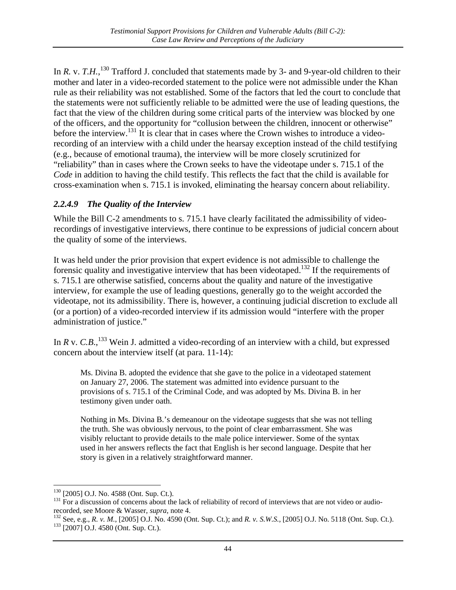In *R. v. T.H.*, <sup>130</sup> Trafford J. concluded that statements made by 3- and 9-year-old children to their mother and later in a video-recorded statement to the police were not admissible under the Khan rule as their reliability was not established. Some of the factors that led the court to conclude that the statements were not sufficiently reliable to be admitted were the use of leading questions, the fact that the view of the children during some critical parts of the interview was blocked by one of the officers, and the opportunity for "collusion between the children, innocent or otherwise" before the interview.<sup>131</sup> It is clear that in cases where the Crown wishes to introduce a videorecording of an interview with a child under the hearsay exception instead of the child testifying (e.g., because of emotional trauma), the interview will be more closely scrutinized for "reliability" than in cases where the Crown seeks to have the videotape under s. 715.1 of the *Code* in addition to having the child testify. This reflects the fact that the child is available for cross-examination when s. 715.1 is invoked, eliminating the hearsay concern about reliability.

### *2.2.4.9 The Quality of the Interview*

While the Bill C-2 amendments to s. 715.1 have clearly facilitated the admissibility of videorecordings of investigative interviews, there continue to be expressions of judicial concern about the quality of some of the interviews.

It was held under the prior provision that expert evidence is not admissible to challenge the forensic quality and investigative interview that has been videotaped.<sup>132</sup> If the requirements of s. 715.1 are otherwise satisfied, concerns about the quality and nature of the investigative interview, for example the use of leading questions, generally go to the weight accorded the videotape, not its admissibility. There is, however, a continuing judicial discretion to exclude all (or a portion) of a video-recorded interview if its admission would "interfere with the proper administration of justice."

In *R* v. *C.B.*,<sup>133</sup> Wein J. admitted a video-recording of an interview with a child, but expressed concern about the interview itself (at para. 11-14):

Ms. Divina B. adopted the evidence that she gave to the police in a videotaped statement on January 27, 2006. The statement was admitted into evidence pursuant to the provisions of s. 715.1 of the Criminal Code, and was adopted by Ms. Divina B. in her testimony given under oath.

Nothing in Ms. Divina B.'s demeanour on the videotape suggests that she was not telling the truth. She was obviously nervous, to the point of clear embarrassment. She was visibly reluctant to provide details to the male police interviewer. Some of the syntax used in her answers reflects the fact that English is her second language. Despite that her story is given in a relatively straightforward manner.

 $\overline{a}$ 

 $130$  [2005] O.J. No. 4588 (Ont. Sup. Ct.).<br> $131$  For a discussion of concerns about the lack of reliability of record of interviews that are not video or audio-

recorded, see Moore & Wasser, *supra*, note 4.<br><sup>132</sup> See, e.g., *R. v. M.*, [2005] O.J. No. 4590 (Ont. Sup. Ct.); and *R. v. S.W.S.*, [2005] O.J. No. 5118 (Ont. Sup. Ct.).<br><sup>133</sup> [2007] O.J. 4580 (Ont. Sup. Ct.).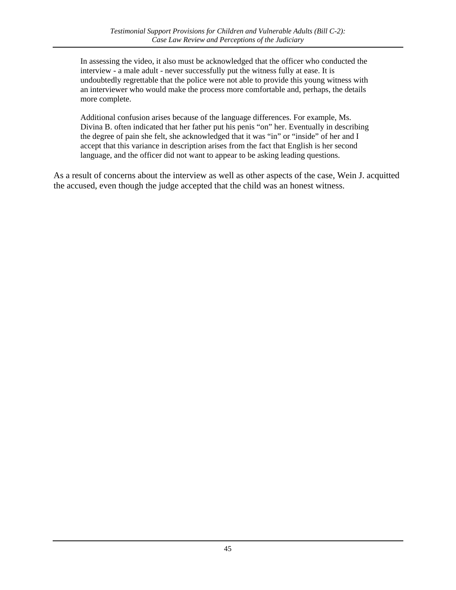In assessing the video, it also must be acknowledged that the officer who conducted the interview - a male adult - never successfully put the witness fully at ease. It is undoubtedly regrettable that the police were not able to provide this young witness with an interviewer who would make the process more comfortable and, perhaps, the details more complete.

Additional confusion arises because of the language differences. For example, Ms. Divina B. often indicated that her father put his penis "on" her. Eventually in describing the degree of pain she felt, she acknowledged that it was "in" or "inside" of her and I accept that this variance in description arises from the fact that English is her second language, and the officer did not want to appear to be asking leading questions.

As a result of concerns about the interview as well as other aspects of the case, Wein J. acquitted the accused, even though the judge accepted that the child was an honest witness.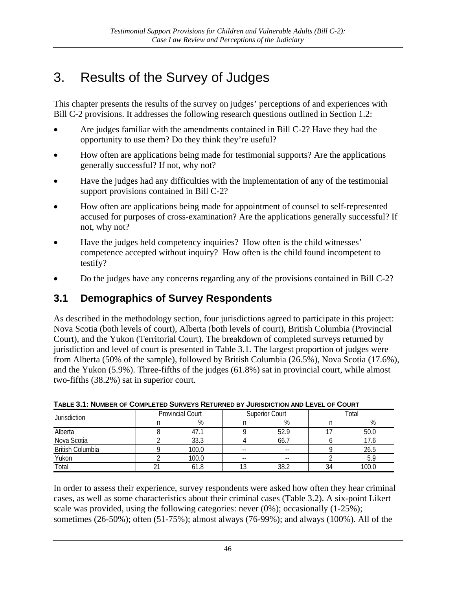# 3. Results of the Survey of Judges

This chapter presents the results of the survey on judges' perceptions of and experiences with Bill C-2 provisions. It addresses the following research questions outlined in Section 1.2:

- Are judges familiar with the amendments contained in Bill C-2? Have they had the opportunity to use them? Do they think they're useful?
- How often are applications being made for testimonial supports? Are the applications generally successful? If not, why not?
- Have the judges had any difficulties with the implementation of any of the testimonial support provisions contained in Bill C-2?
- How often are applications being made for appointment of counsel to self-represented accused for purposes of cross-examination? Are the applications generally successful? If not, why not?
- Have the judges held competency inquiries? How often is the child witnesses' competence accepted without inquiry? How often is the child found incompetent to testify?
- Do the judges have any concerns regarding any of the provisions contained in Bill C-2?

## **3.1 Demographics of Survey Respondents**

As described in the methodology section, four jurisdictions agreed to participate in this project: Nova Scotia (both levels of court), Alberta (both levels of court), British Columbia (Provincial Court), and the Yukon (Territorial Court). The breakdown of completed surveys returned by jurisdiction and level of court is presented in Table 3.1. The largest proportion of judges were from Alberta (50% of the sample), followed by British Columbia (26.5%), Nova Scotia (17.6%), and the Yukon (5.9%). Three-fifths of the judges (61.8%) sat in provincial court, while almost two-fifths (38.2%) sat in superior court.

| <u>LAPLE VI II NUMPER OF OUMLEEIED OURTETURRED DI BURNDDIUNN AND EETEE OF OUDRI</u> |                         |    |                       |       |       |  |  |  |
|-------------------------------------------------------------------------------------|-------------------------|----|-----------------------|-------|-------|--|--|--|
| Jurisdiction                                                                        | <b>Provincial Court</b> |    | <b>Superior Court</b> | Total |       |  |  |  |
|                                                                                     | %                       |    |                       |       | %     |  |  |  |
| Alberta                                                                             |                         |    | 52.9                  |       | 50.0  |  |  |  |
| Nova Scotia                                                                         | 33.3                    |    | 66.7                  |       |       |  |  |  |
| <b>British Columbia</b>                                                             | 100.0                   | -- | $- -$                 |       | 26.5  |  |  |  |
| Yukon                                                                               | 100.0                   |    | --                    |       | 5.9   |  |  |  |
| Total                                                                               | 61.8                    |    | 38.2                  | 34    | 100.0 |  |  |  |

In order to assess their experience, survey respondents were asked how often they hear criminal cases, as well as some characteristics about their criminal cases (Table 3.2). A six-point Likert scale was provided, using the following categories: never (0%); occasionally (1-25%); sometimes (26-50%); often (51-75%); almost always (76-99%); and always (100%). All of the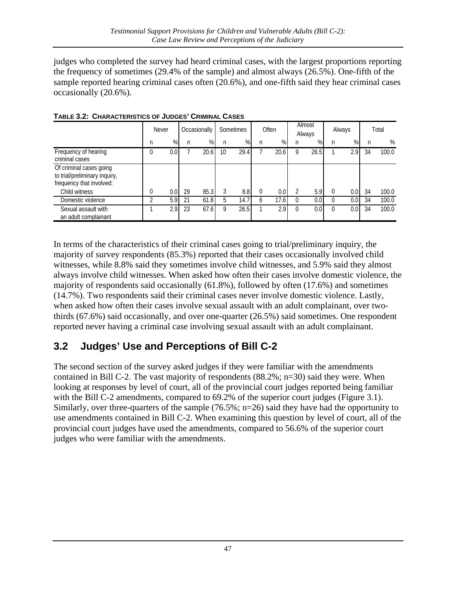judges who completed the survey had heard criminal cases, with the largest proportions reporting the frequency of sometimes (29.4% of the sample) and almost always (26.5%). One-fifth of the sample reported hearing criminal cases often (20.6%), and one-fifth said they hear criminal cases occasionally (20.6%).

|                                                                                      | Never |     | Occasionally |      |    | <b>Sometimes</b> |   | Often            |   | Almost<br>Always | Always |                  | Total |       |
|--------------------------------------------------------------------------------------|-------|-----|--------------|------|----|------------------|---|------------------|---|------------------|--------|------------------|-------|-------|
|                                                                                      | n     | %   | n            | %    | n  | %                | n | %                | n | %                | n      | %                |       | %     |
| Frequency of hearing<br>criminal cases                                               | O     | 0.0 |              | 20.6 | 10 | 29.4             |   | 20.6             | 9 | 26.5             |        | 2.9              | 34    | 100.0 |
| Of criminal cases going<br>to trial/preliminary inquiry,<br>frequency that involved: |       |     | 29           | 85.3 |    |                  | 0 |                  |   | 5.9              |        |                  | 34    |       |
| Child witness                                                                        | 0     | 0.0 |              |      |    | 8.8              |   | 0.0 <sub>l</sub> |   |                  |        | 0.0 <sub>l</sub> |       | 100.0 |
| Domestic violence                                                                    |       | 5.9 | 21           | 61.8 |    | 14.7             | h | 17.6             |   | 0.0              |        | 0.0              | 34    | 100.0 |
| Sexual assault with<br>an adult complainant                                          |       | 2.9 | 23           | 67.6 |    | 26.5             |   | 2.9              |   | 0.0 <sub>l</sub> |        | 0.0 <sub>l</sub> | 34    | 100.0 |

**TABLE 3.2: CHARACTERISTICS OF JUDGES' CRIMINAL CASES**

In terms of the characteristics of their criminal cases going to trial/preliminary inquiry, the majority of survey respondents (85.3%) reported that their cases occasionally involved child witnesses, while 8.8% said they sometimes involve child witnesses, and 5.9% said they almost always involve child witnesses. When asked how often their cases involve domestic violence, the majority of respondents said occasionally (61.8%), followed by often (17.6%) and sometimes (14.7%). Two respondents said their criminal cases never involve domestic violence. Lastly, when asked how often their cases involve sexual assault with an adult complainant, over twothirds (67.6%) said occasionally, and over one-quarter (26.5%) said sometimes. One respondent reported never having a criminal case involving sexual assault with an adult complainant.

## **3.2 Judges' Use and Perceptions of Bill C-2**

The second section of the survey asked judges if they were familiar with the amendments contained in Bill C-2. The vast majority of respondents (88.2%; n=30) said they were. When looking at responses by level of court, all of the provincial court judges reported being familiar with the Bill C-2 amendments, compared to 69.2% of the superior court judges (Figure 3.1). Similarly, over three-quarters of the sample (76.5%; n=26) said they have had the opportunity to use amendments contained in Bill C-2. When examining this question by level of court, all of the provincial court judges have used the amendments, compared to 56.6% of the superior court judges who were familiar with the amendments.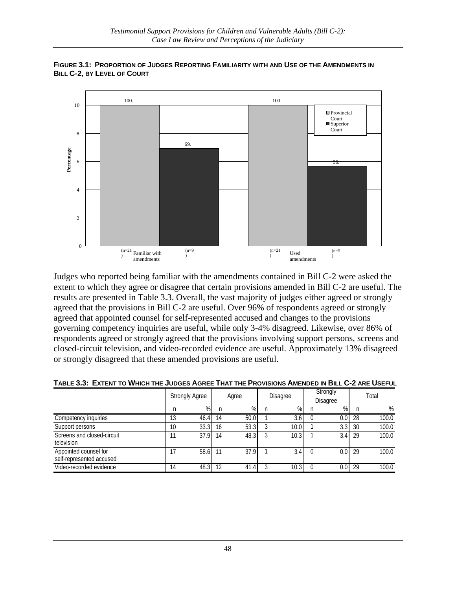



Judges who reported being familiar with the amendments contained in Bill C-2 were asked the extent to which they agree or disagree that certain provisions amended in Bill C-2 are useful. The results are presented in Table 3.3. Overall, the vast majority of judges either agreed or strongly agreed that the provisions in Bill C-2 are useful. Over 96% of respondents agreed or strongly agreed that appointed counsel for self-represented accused and changes to the provisions governing competency inquiries are useful, while only 3-4% disagreed. Likewise, over 86% of respondents agreed or strongly agreed that the provisions involving support persons, screens and closed-circuit television, and video-recorded evidence are useful. Approximately 13% disagreed or strongly disagreed that these amended provisions are useful.

|                                                   |    | <b>Strongly Agree</b> |    | Agree                   |   | Disagree          | Strongly<br>Disagree |    | Total |
|---------------------------------------------------|----|-----------------------|----|-------------------------|---|-------------------|----------------------|----|-------|
|                                                   | n  | %                     |    | %                       | n | %                 | %                    |    | %     |
| Competency inquiries                              | 13 | 46.4                  | 14 | 50.0                    |   | 3.6               | 0.0                  | 28 | 100.0 |
| Support persons                                   | 10 | 33.3                  | 16 | 53.3                    |   | 10.0              | 3.3                  | 30 | 100.0 |
| Screens and closed-circuit<br>television          |    | 37.9                  | 14 | 48.3                    |   | 10.3 <sub>1</sub> | 3.4                  | 29 | 100.0 |
| Appointed counsel for<br>self-represented accused | 17 | 58.6                  |    | 37.9                    |   | 3.4               | 0.01                 | 29 | 100.0 |
| Video-recorded evidence                           | 14 | 48.3                  | 12 | 41.<br>$\left 4\right $ |   | 10.3 <sub>1</sub> | 0.OI                 | 29 | 100.0 |

**TABLE 3.3: EXTENT TO WHICH THE JUDGES AGREE THAT THE PROVISIONS AMENDED IN BILL C-2 ARE USEFUL**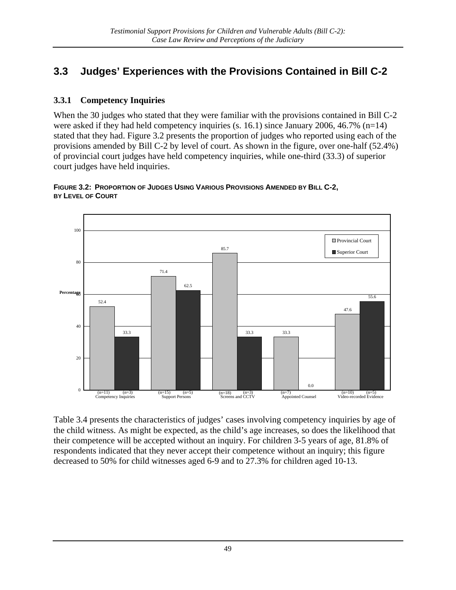# **3.3 Judges' Experiences with the Provisions Contained in Bill C-2**

### **3.3.1 Competency Inquiries**

When the 30 judges who stated that they were familiar with the provisions contained in Bill C-2 were asked if they had held competency inquiries (s. 16.1) since January 2006, 46.7% (n=14) stated that they had. Figure 3.2 presents the proportion of judges who reported using each of the provisions amended by Bill C-2 by level of court. As shown in the figure, over one-half (52.4%) of provincial court judges have held competency inquiries, while one-third (33.3) of superior court judges have held inquiries.





Table 3.4 presents the characteristics of judges' cases involving competency inquiries by age of the child witness. As might be expected, as the child's age increases, so does the likelihood that their competence will be accepted without an inquiry. For children 3-5 years of age, 81.8% of respondents indicated that they never accept their competence without an inquiry; this figure decreased to 50% for child witnesses aged 6-9 and to 27.3% for children aged 10-13.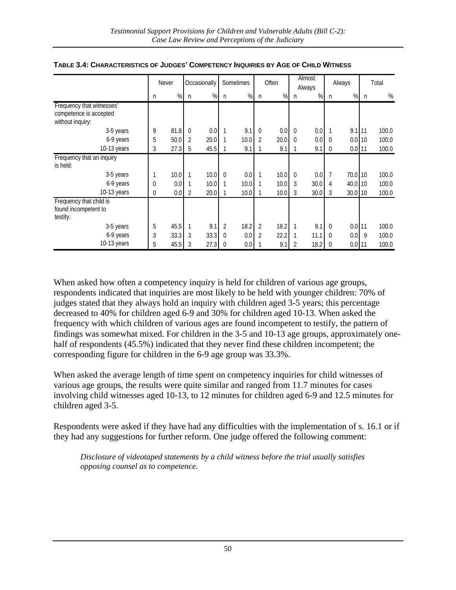|                                                                         | Never       |      |             | Occasionally                                          |             | Sometimes        | Often          |      | Almost<br>Always |                                                                                | Always         |           | Total        |       |
|-------------------------------------------------------------------------|-------------|------|-------------|-------------------------------------------------------|-------------|------------------|----------------|------|------------------|--------------------------------------------------------------------------------|----------------|-----------|--------------|-------|
|                                                                         | n           | %    | n           | $% \mathcal{A}=\left( \mathcal{A},\mathcal{A}\right)$ | n           | %                | n              | %    | n                | $% \mathcal{A}\left( \mathcal{A}\right) =\mathcal{A}\left( \mathcal{A}\right)$ | n              | %         | $\mathsf{n}$ | $\%$  |
| Frequency that witnesses'<br>competence is accepted<br>without inquiry: |             |      |             |                                                       |             |                  |                |      |                  |                                                                                |                |           |              |       |
| 3-5 years                                                               | 9           | 81.8 | $\mathbf 0$ | 0.0                                                   |             | 9.1              | $\mathbf 0$    | 0.0  | 0                | 0.0                                                                            |                | 9.1       | 11           | 100.0 |
| 6-9 years                                                               | 5           | 50.0 | 2           | 20.0                                                  |             | 10.0             | 2              | 20.0 | 0                | 0.0 <sub>l</sub>                                                               | $\overline{0}$ | 0.0110    |              | 100.0 |
| 10-13 years                                                             | 3           | 27.3 | 5           | 45.5                                                  |             | 9.1              |                | 9.1  |                  | 9.1                                                                            | 0              | $0.0$  11 |              | 100.0 |
| Frequency that an inquiry<br>is held:                                   |             |      |             |                                                       |             |                  |                |      |                  |                                                                                |                |           |              |       |
| 3-5 years                                                               | 1           | 10.0 |             | 10.0                                                  | $\mathbf 0$ | 0.0              | 1              | 10.0 | 0                | 0.0 <sub>1</sub>                                                               | 7              | 70.0 10   |              | 100.0 |
| 6-9 years                                                               | $\mathbf 0$ | 0.0  |             | 10.0                                                  |             | 10.0             |                | 10.0 | 3                | 30.0                                                                           | 4              | 40.0 10   |              | 100.0 |
| $10-13$ years                                                           | 0           | 0.0  | 2           | 20.0                                                  |             | 10.0             |                | 10.0 | 3                | 30.0                                                                           | 3              | 30.0 10   |              | 100.0 |
| Frequency that child is<br>found incompetent to<br>testify:             |             |      |             |                                                       |             |                  |                |      |                  |                                                                                |                |           |              |       |
| 3-5 years                                                               | 5           | 45.5 |             | 9.1                                                   | 2           | 18.2             | $\overline{2}$ | 18.2 |                  | 9.1                                                                            | $\theta$       | $0.0$ 11  |              | 100.0 |
| 6-9 years                                                               | 3           | 33.3 | 3           | 33.3                                                  | 0           | 0.0 <sub>1</sub> | 2              | 22.2 |                  | 11.1                                                                           | $\theta$       | 0.0       | 9            | 100.0 |
| 10-13 years                                                             | 5           | 45.5 | 3           | 27.3                                                  | $\mathbf 0$ | 0.0 <sub>l</sub> |                | 9.1  | 2                | 18.2                                                                           | $\mathbf 0$    | $0.0$ 11  |              | 100.0 |

When asked how often a competency inquiry is held for children of various age groups, respondents indicated that inquiries are most likely to be held with younger children: 70% of judges stated that they always hold an inquiry with children aged 3-5 years; this percentage decreased to 40% for children aged 6-9 and 30% for children aged 10-13. When asked the frequency with which children of various ages are found incompetent to testify, the pattern of findings was somewhat mixed. For children in the 3-5 and 10-13 age groups, approximately onehalf of respondents (45.5%) indicated that they never find these children incompetent; the corresponding figure for children in the 6-9 age group was 33.3%.

When asked the average length of time spent on competency inquiries for child witnesses of various age groups, the results were quite similar and ranged from 11.7 minutes for cases involving child witnesses aged 10-13, to 12 minutes for children aged 6-9 and 12.5 minutes for children aged 3-5.

Respondents were asked if they have had any difficulties with the implementation of s. 16.1 or if they had any suggestions for further reform. One judge offered the following comment:

*Disclosure of videotaped statements by a child witness before the trial usually satisfies opposing counsel as to competence.*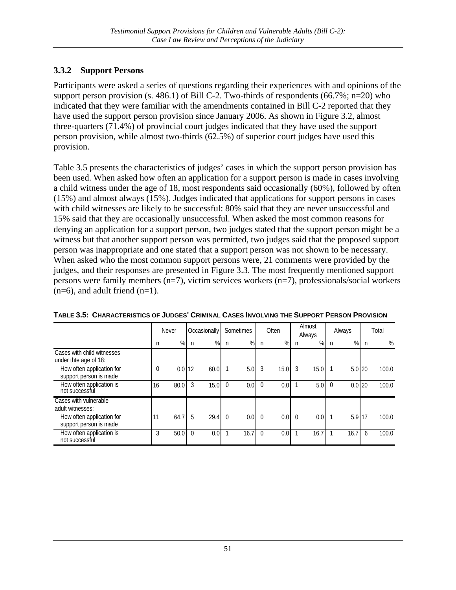### **3.3.2 Support Persons**

Participants were asked a series of questions regarding their experiences with and opinions of the support person provision (s. 486.1) of Bill C-2. Two-thirds of respondents (66.7%;  $n=20$ ) who indicated that they were familiar with the amendments contained in Bill C-2 reported that they have used the support person provision since January 2006. As shown in Figure 3.2, almost three-quarters (71.4%) of provincial court judges indicated that they have used the support person provision, while almost two-thirds (62.5%) of superior court judges have used this provision.

Table 3.5 presents the characteristics of judges' cases in which the support person provision has been used. When asked how often an application for a support person is made in cases involving a child witness under the age of 18, most respondents said occasionally (60%), followed by often (15%) and almost always (15%). Judges indicated that applications for support persons in cases with child witnesses are likely to be successful: 80% said that they are never unsuccessful and 15% said that they are occasionally unsuccessful. When asked the most common reasons for denying an application for a support person, two judges stated that the support person might be a witness but that another support person was permitted, two judges said that the proposed support person was inappropriate and one stated that a support person was not shown to be necessary. When asked who the most common support persons were, 21 comments were provided by the judges, and their responses are presented in Figure 3.3. The most frequently mentioned support persons were family members (n=7), victim services workers (n=7), professionals/social workers  $(n=6)$ , and adult friend  $(n=1)$ .

|                                                                                                            | <b>Never</b> |          | Occasionally |      | <b>Sometimes</b> |                  | Often    |      | Almost<br>Always |      | Always |           |   | Total |
|------------------------------------------------------------------------------------------------------------|--------------|----------|--------------|------|------------------|------------------|----------|------|------------------|------|--------|-----------|---|-------|
|                                                                                                            | n            | %        | n            | %    | n                | %                | n.       | %    | n.               | %    | n      | %         | n | %     |
| Cases with child witnesses<br>under thte age of 18:<br>How often application for<br>support person is made | 0            | 0.0112   |              | 60.0 |                  | 5.0              | 3        | 15.0 | 3                | 15.0 |        | $5.0\,20$ |   | 100.0 |
| How often application is<br>not successful                                                                 | 16           | 80.0     | 3            | 15.0 | $\Omega$         | 0.0 <sub>l</sub> | $\Omega$ | 0.0  |                  | 5.0  | - 0    | 0.0120    |   | 100.0 |
| Cases with vulnerable<br>adult witnesses:<br>How often application for<br>support person is made           | 11           | 64.7     | 5            | 29.4 | $\Omega$         | 0.0              | $\Omega$ | 0.0  | $\Omega$         | 0.0  |        | 5.9 17    |   | 100.0 |
| How often application is<br>not successful                                                                 | 3            | $50.0$ 0 |              | 0.0  |                  | 16.7             | $\Omega$ | 0.0  |                  | 16.7 |        | 16.7      | 6 | 100.0 |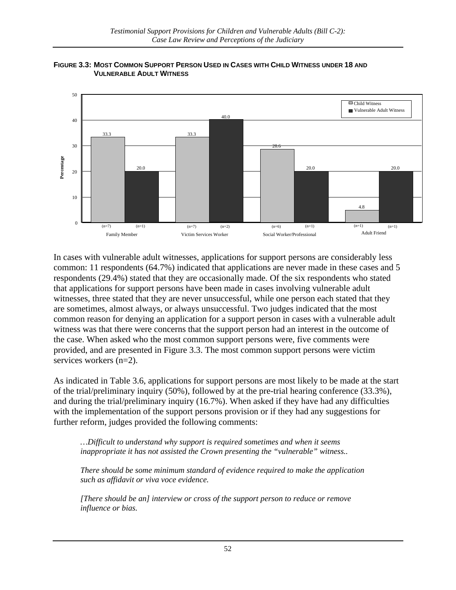



In cases with vulnerable adult witnesses, applications for support persons are considerably less common: 11 respondents (64.7%) indicated that applications are never made in these cases and 5 respondents (29.4%) stated that they are occasionally made. Of the six respondents who stated that applications for support persons have been made in cases involving vulnerable adult witnesses, three stated that they are never unsuccessful, while one person each stated that they are sometimes, almost always, or always unsuccessful. Two judges indicated that the most common reason for denying an application for a support person in cases with a vulnerable adult witness was that there were concerns that the support person had an interest in the outcome of the case. When asked who the most common support persons were, five comments were provided, and are presented in Figure 3.3. The most common support persons were victim services workers (n=2).

As indicated in Table 3.6, applications for support persons are most likely to be made at the start of the trial/preliminary inquiry (50%), followed by at the pre-trial hearing conference (33.3%), and during the trial/preliminary inquiry (16.7%). When asked if they have had any difficulties with the implementation of the support persons provision or if they had any suggestions for further reform, judges provided the following comments:

*…Difficult to understand why support is required sometimes and when it seems inappropriate it has not assisted the Crown presenting the "vulnerable" witness..* 

*There should be some minimum standard of evidence required to make the application such as affidavit or viva voce evidence.* 

*[There should be an] interview or cross of the support person to reduce or remove influence or bias.*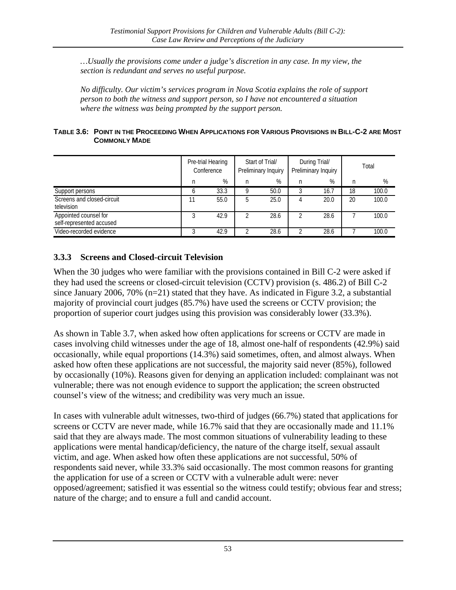*…Usually the provisions come under a judge's discretion in any case. In my view, the section is redundant and serves no useful purpose.* 

*No difficulty. Our victim's services program in Nova Scotia explains the role of support person to both the witness and support person, so I have not encountered a situation where the witness was being prompted by the support person.* 

#### **TABLE 3.6: POINT IN THE PROCEEDING WHEN APPLICATIONS FOR VARIOUS PROVISIONS IN BILL-C-2 ARE MOST COMMONLY MADE**

|                                                   |    | Pre-trial Hearing<br>Conference |   | Start of Trial/<br>Preliminary Inquiry |   | During Trial/<br>Preliminary Inquiry |    | Total |
|---------------------------------------------------|----|---------------------------------|---|----------------------------------------|---|--------------------------------------|----|-------|
|                                                   | n  | %                               | n | %                                      | n | %                                    | n  | %     |
| Support persons                                   | b  | 33.3                            | Q | 50.0                                   |   | 16.7                                 | 18 | 100.0 |
| Screens and closed-circuit<br>television          | 11 | 55.0                            | 5 | 25.0                                   | 4 | 20.0                                 | 20 | 100.0 |
| Appointed counsel for<br>self-represented accused |    | 42.9                            |   | 28.6                                   |   | 28.6                                 |    | 100.0 |
| Video-recorded evidence                           |    | 42.9                            |   | 28.6                                   |   | 28.6                                 |    | 100.0 |

#### **3.3.3 Screens and Closed-circuit Television**

When the 30 judges who were familiar with the provisions contained in Bill C-2 were asked if they had used the screens or closed-circuit television (CCTV) provision (s. 486.2) of Bill C-2 since January 2006, 70% ( $n=21$ ) stated that they have. As indicated in Figure 3.2, a substantial majority of provincial court judges (85.7%) have used the screens or CCTV provision; the proportion of superior court judges using this provision was considerably lower (33.3%).

As shown in Table 3.7, when asked how often applications for screens or CCTV are made in cases involving child witnesses under the age of 18, almost one-half of respondents (42.9%) said occasionally, while equal proportions (14.3%) said sometimes, often, and almost always. When asked how often these applications are not successful, the majority said never (85%), followed by occasionally (10%). Reasons given for denying an application included: complainant was not vulnerable; there was not enough evidence to support the application; the screen obstructed counsel's view of the witness; and credibility was very much an issue.

In cases with vulnerable adult witnesses, two-third of judges (66.7%) stated that applications for screens or CCTV are never made, while 16.7% said that they are occasionally made and 11.1% said that they are always made. The most common situations of vulnerability leading to these applications were mental handicap/deficiency, the nature of the charge itself, sexual assault victim, and age. When asked how often these applications are not successful, 50% of respondents said never, while 33.3% said occasionally. The most common reasons for granting the application for use of a screen or CCTV with a vulnerable adult were: never opposed/agreement; satisfied it was essential so the witness could testify; obvious fear and stress; nature of the charge; and to ensure a full and candid account.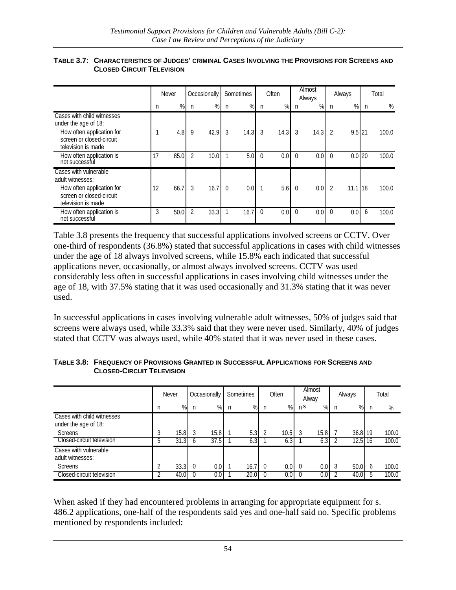|                                                                                                                                   | <b>Never</b> |      | Occasionally   |      |          | Sometimes        | Often    |                  | Almost<br>Always |      | Always         |           |   | Total |
|-----------------------------------------------------------------------------------------------------------------------------------|--------------|------|----------------|------|----------|------------------|----------|------------------|------------------|------|----------------|-----------|---|-------|
|                                                                                                                                   | n            | %    | n              | %    | n        | %                | n        | %                | n.               | %    | n              | %         | n | %     |
| Cases with child witnesses<br>under the age of 18:<br>How often application for<br>screen or closed-circuit<br>television is made |              | 4.8  | 9              | 42.9 | 3        | 14.3             | 3        | 14.3             | 3                | 14.3 | $\overline{2}$ | 9.5 21    |   | 100.0 |
| How often application is<br>not successful                                                                                        | 17           | 85.0 | $\overline{2}$ | 10.0 |          | 5.0              | $\Omega$ | 0.0              | $\Omega$         | 0.0  | $\Omega$       | 0.0120    |   | 100.0 |
| Cases with vulnerable<br>adult witnesses:<br>How often application for<br>screen or closed-circuit<br>television is made          | 12           | 66.7 | 3              | 16.7 | $\Omega$ | 0.0 <sub>l</sub> |          | 5.6              | $\Omega$         | 0.0  | 2              | $11.1$ 18 |   | 100.0 |
| How often application is<br>not successful                                                                                        | 3            | 50.0 | $\overline{2}$ | 33.3 |          | 16.7             | $\theta$ | 0.0 <sub>l</sub> | $\Omega$         | 0.0  | $\theta$       | 0.0       | 6 | 100.0 |

**TABLE 3.7: CHARACTERISTICS OF JUDGES' CRIMINAL CASES INVOLVING THE PROVISIONS FOR SCREENS AND CLOSED CIRCUIT TELEVISION**

Table 3.8 presents the frequency that successful applications involved screens or CCTV. Over one-third of respondents (36.8%) stated that successful applications in cases with child witnesses under the age of 18 always involved screens, while 15.8% each indicated that successful applications never, occasionally, or almost always involved screens. CCTV was used considerably less often in successful applications in cases involving child witnesses under the age of 18, with 37.5% stating that it was used occasionally and 31.3% stating that it was never used.

In successful applications in cases involving vulnerable adult witnesses, 50% of judges said that screens were always used, while 33.3% said that they were never used. Similarly, 40% of judges stated that CCTV was always used, while 40% stated that it was never used in these cases.

|                                                    | Never |      |          | Occasionally |    | <b>Sometimes</b> |          | <b>Often</b> |          | Almost<br>Alway  | Always |           |              | Total |
|----------------------------------------------------|-------|------|----------|--------------|----|------------------|----------|--------------|----------|------------------|--------|-----------|--------------|-------|
|                                                    | n     | %    | n        | %            | n. | %                | n        | %            | nS       | %                | n      | %         | n            | %     |
| Cases with child witnesses<br>under the age of 18: |       |      |          |              |    |                  |          |              |          |                  |        |           |              |       |
| <b>Screens</b>                                     | 3     | 15.8 |          | 15.8         |    | 5.3              |          | 10.5         |          | 15.8             |        | $36.8$ 19 |              | 100.0 |
| Closed-circuit television                          | .5    | 31.3 | b        | 37.5         |    | 6.3              |          | 6.3          |          | 6.3              |        | $12.5$ 16 |              | 100.0 |
| Cases with vulnerable<br>adult witnesses:          |       |      |          |              |    |                  |          |              |          |                  |        |           |              |       |
| <b>Screens</b>                                     |       | 33.3 | $\Omega$ | 0.0          |    | 16.7             | $\Omega$ | 0.0          | $\Omega$ | 0.0 <sub>1</sub> |        | 50.0      | <sub>6</sub> | 100.0 |
| Closed-circuit television                          |       | 40.0 |          | 0.01         |    | 20.0             | $\Omega$ | 0.0          |          | 0.0 <sub>l</sub> |        | 40.0      |              | 100.0 |

**TABLE 3.8: FREQUENCY OF PROVISIONS GRANTED IN SUCCESSFUL APPLICATIONS FOR SCREENS AND CLOSED-CIRCUIT TELEVISION**

When asked if they had encountered problems in arranging for appropriate equipment for s. 486.2 applications, one-half of the respondents said yes and one-half said no. Specific problems mentioned by respondents included: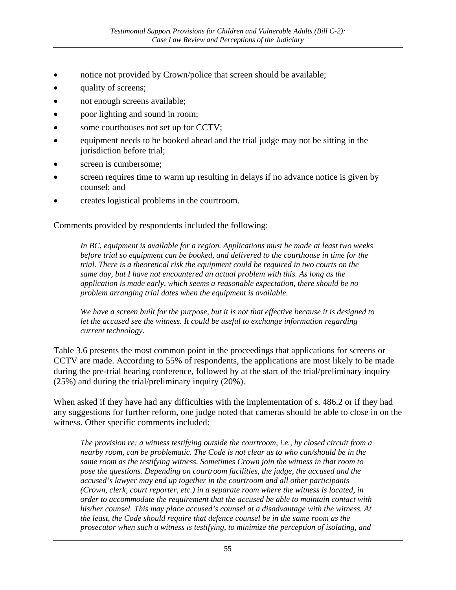- notice not provided by Crown/police that screen should be available;
- quality of screens;
- not enough screens available;
- poor lighting and sound in room;
- some courthouses not set up for CCTV;
- equipment needs to be booked ahead and the trial judge may not be sitting in the jurisdiction before trial;
- screen is cumbersome;
- screen requires time to warm up resulting in delays if no advance notice is given by counsel; and
- creates logistical problems in the courtroom.

Comments provided by respondents included the following:

*In BC, equipment is available for a region. Applications must be made at least two weeks before trial so equipment can be booked, and delivered to the courthouse in time for the trial. There is a theoretical risk the equipment could be required in two courts on the same day, but I have not encountered an actual problem with this. As long as the application is made early, which seems a reasonable expectation, there should be no problem arranging trial dates when the equipment is available.* 

*We have a screen built for the purpose, but it is not that effective because it is designed to*  let the accused see the witness. It could be useful to exchange information regarding *current technology.* 

Table 3.6 presents the most common point in the proceedings that applications for screens or CCTV are made. According to 55% of respondents, the applications are most likely to be made during the pre-trial hearing conference, followed by at the start of the trial/preliminary inquiry (25%) and during the trial/preliminary inquiry (20%).

When asked if they have had any difficulties with the implementation of s. 486.2 or if they had any suggestions for further reform, one judge noted that cameras should be able to close in on the witness. Other specific comments included:

*The provision re: a witness testifying outside the courtroom, i.e., by closed circuit from a nearby room, can be problematic. The Code is not clear as to who can/should be in the same room as the testifying witness. Sometimes Crown join the witness in that room to pose the questions. Depending on courtroom facilities, the judge, the accused and the accused's lawyer may end up together in the courtroom and all other participants (Crown, clerk, court reporter, etc.) in a separate room where the witness is located, in order to accommodate the requirement that the accused be able to maintain contact with his/her counsel. This may place accused's counsel at a disadvantage with the witness. At the least, the Code should require that defence counsel be in the same room as the prosecutor when such a witness is testifying, to minimize the perception of isolating, and*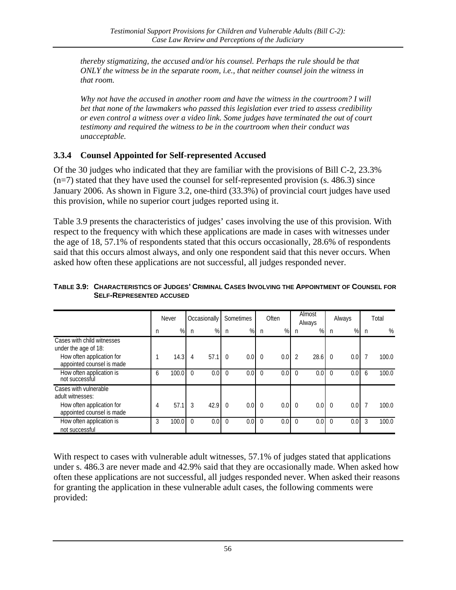*thereby stigmatizing, the accused and/or his counsel. Perhaps the rule should be that ONLY the witness be in the separate room, i.e., that neither counsel join the witness in that room.* 

*Why not have the accused in another room and have the witness in the courtroom? I will bet that none of the lawmakers who passed this legislation ever tried to assess credibility or even control a witness over a video link. Some judges have terminated the out of court testimony and required the witness to be in the courtroom when their conduct was unacceptable.*

### **3.3.4 Counsel Appointed for Self-represented Accused**

Of the 30 judges who indicated that they are familiar with the provisions of Bill C-2, 23.3%  $(n=7)$  stated that they have used the counsel for self-represented provision (s. 486.3) since January 2006. As shown in Figure 3.2, one-third (33.3%) of provincial court judges have used this provision, while no superior court judges reported using it.

Table 3.9 presents the characteristics of judges' cases involving the use of this provision. With respect to the frequency with which these applications are made in cases with witnesses under the age of 18, 57.1% of respondents stated that this occurs occasionally, 28.6% of respondents said that this occurs almost always, and only one respondent said that this never occurs. When asked how often these applications are not successful, all judges responded never.

|                                                        | <b>Never</b> |       | Occasionally |      | <b>Sometimes</b> |                  | Often    |                  | Almost<br>Always |      | Always   |     |   | Total |
|--------------------------------------------------------|--------------|-------|--------------|------|------------------|------------------|----------|------------------|------------------|------|----------|-----|---|-------|
|                                                        | n            | %     | $\mathsf{n}$ | %    | n                | %                | n        | %                | n                | %    | n        | %   | n | %     |
| Cases with child witnesses<br>under the age of 18:     |              |       |              |      |                  |                  |          |                  |                  |      |          |     |   |       |
| How often application for<br>appointed counsel is made |              | 14.3  | 4            | 57.1 | $\Omega$         | 0.0              | $\Omega$ | 0.0              | $\overline{2}$   | 28.6 |          | 0.0 |   | 100.0 |
| How often application is<br>not successful             | 6            | 100.0 | $\theta$     | 0.0  | $\Omega$         | 0.0 <sub>l</sub> | $\Omega$ | 0.0 <sub>l</sub> | $\Omega$         | 0.0  |          | 0.0 | 6 | 100.0 |
| Cases with vulnerable<br>adult witnesses:              |              |       |              |      |                  |                  |          |                  |                  |      |          |     |   |       |
| How often application for<br>appointed counsel is made | 4            | 57.1  | 3            | 42.9 | $\Omega$         | 0.0              | $\Omega$ | 0.0              | $\Omega$         | 0.0  | $\Omega$ | 0.0 |   | 100.0 |
| How often application is<br>not successful             | 3            | 100.0 | $\Omega$     | 0.0  | $\Omega$         | 0.0              | $\Omega$ | 0.0              | $\Omega$         | 0.0  | $\Omega$ | 0.0 | 3 | 100.0 |

#### **TABLE 3.9: CHARACTERISTICS OF JUDGES' CRIMINAL CASES INVOLVING THE APPOINTMENT OF COUNSEL FOR SELF-REPRESENTED ACCUSED**

With respect to cases with vulnerable adult witnesses, 57.1% of judges stated that applications under s. 486.3 are never made and 42.9% said that they are occasionally made. When asked how often these applications are not successful, all judges responded never. When asked their reasons for granting the application in these vulnerable adult cases, the following comments were provided: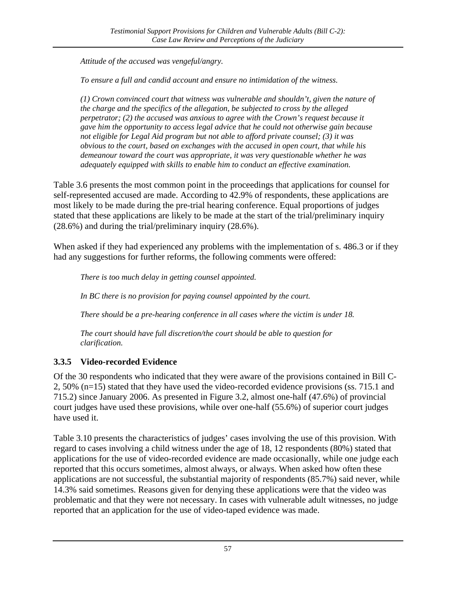*Attitude of the accused was vengeful/angry.* 

*To ensure a full and candid account and ensure no intimidation of the witness.* 

*(1) Crown convinced court that witness was vulnerable and shouldn't, given the nature of the charge and the specifics of the allegation, be subjected to cross by the alleged perpetrator; (2) the accused was anxious to agree with the Crown's request because it gave him the opportunity to access legal advice that he could not otherwise gain because not eligible for Legal Aid program but not able to afford private counsel; (3) it was obvious to the court, based on exchanges with the accused in open court, that while his demeanour toward the court was appropriate, it was very questionable whether he was adequately equipped with skills to enable him to conduct an effective examination.* 

Table 3.6 presents the most common point in the proceedings that applications for counsel for self-represented accused are made. According to 42.9% of respondents, these applications are most likely to be made during the pre-trial hearing conference. Equal proportions of judges stated that these applications are likely to be made at the start of the trial/preliminary inquiry (28.6%) and during the trial/preliminary inquiry (28.6%).

When asked if they had experienced any problems with the implementation of s. 486.3 or if they had any suggestions for further reforms, the following comments were offered:

*There is too much delay in getting counsel appointed.* 

*In BC there is no provision for paying counsel appointed by the court.* 

*There should be a pre-hearing conference in all cases where the victim is under 18.* 

*The court should have full discretion/the court should be able to question for clarification.* 

### **3.3.5 Video-recorded Evidence**

Of the 30 respondents who indicated that they were aware of the provisions contained in Bill C-2, 50% (n=15) stated that they have used the video-recorded evidence provisions (ss. 715.1 and 715.2) since January 2006. As presented in Figure 3.2, almost one-half (47.6%) of provincial court judges have used these provisions, while over one-half (55.6%) of superior court judges have used it.

Table 3.10 presents the characteristics of judges' cases involving the use of this provision. With regard to cases involving a child witness under the age of 18, 12 respondents (80%) stated that applications for the use of video-recorded evidence are made occasionally, while one judge each reported that this occurs sometimes, almost always, or always. When asked how often these applications are not successful, the substantial majority of respondents (85.7%) said never, while 14.3% said sometimes. Reasons given for denying these applications were that the video was problematic and that they were not necessary. In cases with vulnerable adult witnesses, no judge reported that an application for the use of video-taped evidence was made.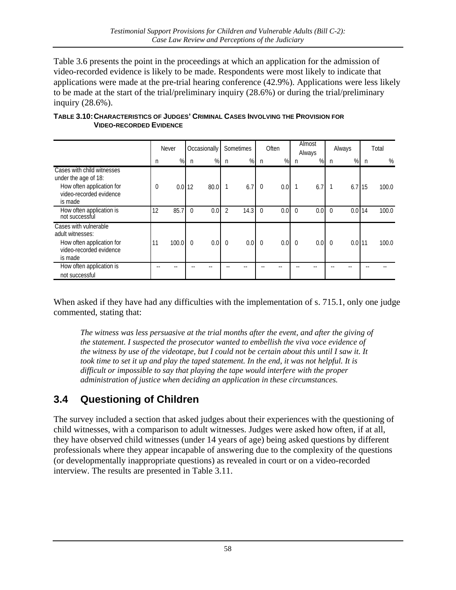Table 3.6 presents the point in the proceedings at which an application for the admission of video-recorded evidence is likely to be made. Respondents were most likely to indicate that applications were made at the pre-trial hearing conference (42.9%). Applications were less likely to be made at the start of the trial/preliminary inquiry (28.6%) or during the trial/preliminary inquiry (28.6%).

|                                                                                                                       | Never |        | Occasionally |      | Sometimes |      | Often        |                  | Almost<br>Always |                  | Always   |        | Total |       |
|-----------------------------------------------------------------------------------------------------------------------|-------|--------|--------------|------|-----------|------|--------------|------------------|------------------|------------------|----------|--------|-------|-------|
|                                                                                                                       | n     | %      | n            | %    | n.        | %    | $\mathsf{n}$ | %                | n.               | %                | n        | %      | n     | %     |
| Cases with child witnesses<br>under the age of 18:<br>How often application for<br>video-recorded evidence<br>is made | 0     | 0.0112 |              | 80.0 |           | 6.7  | $\Omega$     | 0.0              |                  | 6.7              |          | 6.7115 |       | 100.0 |
| How often application is<br>not successful                                                                            | 12    | 85.7   | $\Omega$     | 0.0  | 2         | 14.3 | $\theta$     | 0.0 <sub>l</sub> | $\theta$         | 0.0 <sub>l</sub> | $\Omega$ | 0.0114 |       | 100.0 |
| Cases with vulnerable<br>adult witnesses:<br>How often application for<br>video-recorded evidence<br>is made          | 11    | 100.0  | $\theta$     | 0.0  | $\Omega$  | 0.0  | $\Omega$     | 0.0              | $\Omega$         | 0.0              | $\Omega$ | 0.0111 |       | 100.0 |
| How often application is<br>not successful                                                                            |       |        |              |      |           |      |              |                  |                  |                  |          |        |       |       |

| TABLE 3.10: CHARACTERISTICS OF JUDGES' CRIMINAL CASES INVOLVING THE PROVISION FOR |  |
|-----------------------------------------------------------------------------------|--|
| <b>VIDEO-RECORDED EVIDENCE</b>                                                    |  |

When asked if they have had any difficulties with the implementation of s. 715.1, only one judge commented, stating that:

*The witness was less persuasive at the trial months after the event, and after the giving of the statement. I suspected the prosecutor wanted to embellish the viva voce evidence of the witness by use of the videotape, but I could not be certain about this until I saw it. It took time to set it up and play the taped statement. In the end, it was not helpful. It is difficult or impossible to say that playing the tape would interfere with the proper administration of justice when deciding an application in these circumstances.* 

## **3.4 Questioning of Children**

The survey included a section that asked judges about their experiences with the questioning of child witnesses, with a comparison to adult witnesses. Judges were asked how often, if at all, they have observed child witnesses (under 14 years of age) being asked questions by different professionals where they appear incapable of answering due to the complexity of the questions (or developmentally inappropriate questions) as revealed in court or on a video-recorded interview. The results are presented in Table 3.11.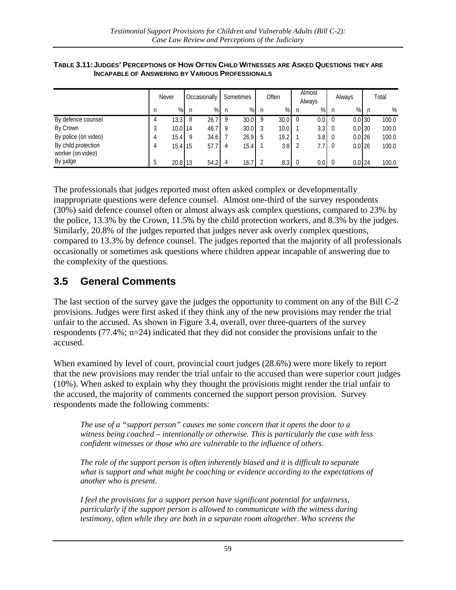|                                          | <b>Never</b> |                   | Occasionally |      | Sometimes |      | Often |      | Almost<br>Always |                  | Always   |          | Total |       |
|------------------------------------------|--------------|-------------------|--------------|------|-----------|------|-------|------|------------------|------------------|----------|----------|-------|-------|
|                                          | n            | %                 |              | %    | n         | %    | n     | %    |                  | %                |          | %        |       | %     |
| By defence counsel                       |              | 13.3 <sub>1</sub> |              | 26.7 | q         | 30.0 | 9     | 30.0 |                  | 0.0 <sub>1</sub> | $\Omega$ | 0.0130   |       | 100.0 |
| By Crown                                 | 3            | $10.0$ 14         |              | 46.7 | q         | 30.0 |       | 10.0 |                  | 3.3              |          | 0.0130   |       | 100.0 |
| By police (on video)                     | 4            | 15.4              |              | 34.6 |           | 26.9 | 5     | 19.2 |                  | 3.8              |          | $0.0$ 26 |       | 100.0 |
| By child protection<br>worker (on video) | 4            | $15.4$ 15         |              | 57.7 | 4         | 15.4 |       | 3.8  |                  | 7.71             |          | $0.0$ 26 |       | 100.0 |
| By judge                                 | 5            | $20.8$ 13         |              | 54.2 | 4         | 16.7 |       | 8.3  |                  | 0.01             |          | $0.0$ 24 |       | 100.0 |

**TABLE 3.11: JUDGES' PERCEPTIONS OF HOW OFTEN CHILD WITNESSES ARE ASKED QUESTIONS THEY ARE INCAPABLE OF ANSWERING BY VARIOUS PROFESSIONALS**

The professionals that judges reported most often asked complex or developmentally inappropriate questions were defence counsel. Almost one-third of the survey respondents (30%) said defence counsel often or almost always ask complex questions, compared to 23% by the police, 13.3% by the Crown, 11.5% by the child protection workers, and 8.3% by the judges. Similarly, 20.8% of the judges reported that judges never ask overly complex questions, compared to 13.3% by defence counsel. The judges reported that the majority of all professionals occasionally or sometimes ask questions where children appear incapable of answering due to the complexity of the questions.

## **3.5 General Comments**

The last section of the survey gave the judges the opportunity to comment on any of the Bill C-2 provisions. Judges were first asked if they think any of the new provisions may render the trial unfair to the accused. As shown in Figure 3.4, overall, over three-quarters of the survey respondents (77.4%; n=24) indicated that they did not consider the provisions unfair to the accused.

When examined by level of court, provincial court judges (28.6%) were more likely to report that the new provisions may render the trial unfair to the accused than were superior court judges (10%). When asked to explain why they thought the provisions might render the trial unfair to the accused, the majority of comments concerned the support person provision. Survey respondents made the following comments:

*The use of a "support person" causes me some concern that it opens the door to a witness being coached – intentionally or otherwise. This is particularly the case with less confident witnesses or those who are vulnerable to the influence of others.* 

*The role of the support person is often inherently biased and it is difficult to separate what is support and what might be coaching or evidence according to the expectations of another who is present.* 

*I feel the provisions for a support person have significant potential for unfairness, particularly if the support person is allowed to communicate with the witness during testimony, often while they are both in a separate room altogether. Who screens the*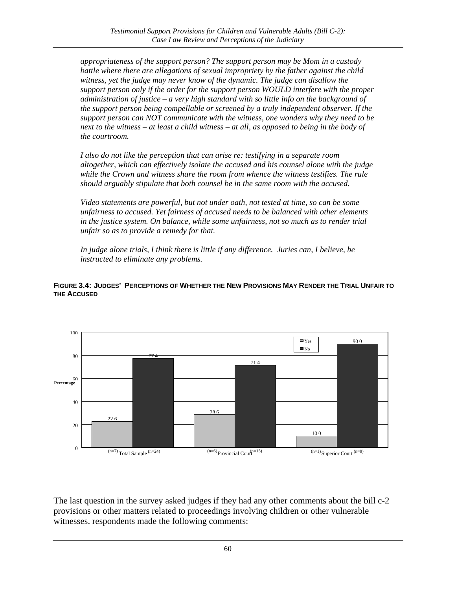*appropriateness of the support person? The support person may be Mom in a custody battle where there are allegations of sexual impropriety by the father against the child witness, yet the judge may never know of the dynamic. The judge can disallow the support person only if the order for the support person WOULD interfere with the proper administration of justice – a very high standard with so little info on the background of the support person being compellable or screened by a truly independent observer. If the support person can NOT communicate with the witness, one wonders why they need to be next to the witness – at least a child witness – at all, as opposed to being in the body of the courtroom.* 

*I also do not like the perception that can arise re: testifying in a separate room altogether, which can effectively isolate the accused and his counsel alone with the judge while the Crown and witness share the room from whence the witness testifies. The rule should arguably stipulate that both counsel be in the same room with the accused.* 

*Video statements are powerful, but not under oath, not tested at time, so can be some unfairness to accused. Yet fairness of accused needs to be balanced with other elements in the justice system. On balance, while some unfairness, not so much as to render trial unfair so as to provide a remedy for that.* 

*In judge alone trials, I think there is little if any difference. Juries can, I believe, be instructed to eliminate any problems.* 





The last question in the survey asked judges if they had any other comments about the bill c-2 provisions or other matters related to proceedings involving children or other vulnerable witnesses. respondents made the following comments: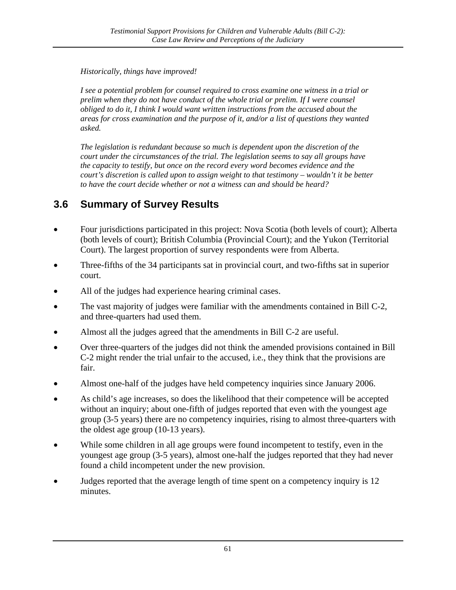*Historically, things have improved!* 

*I see a potential problem for counsel required to cross examine one witness in a trial or prelim when they do not have conduct of the whole trial or prelim. If I were counsel obliged to do it, I think I would want written instructions from the accused about the areas for cross examination and the purpose of it, and/or a list of questions they wanted asked.* 

*The legislation is redundant because so much is dependent upon the discretion of the court under the circumstances of the trial. The legislation seems to say all groups have the capacity to testify, but once on the record every word becomes evidence and the court's discretion is called upon to assign weight to that testimony – wouldn't it be better to have the court decide whether or not a witness can and should be heard?* 

## **3.6 Summary of Survey Results**

- Four jurisdictions participated in this project: Nova Scotia (both levels of court); Alberta (both levels of court); British Columbia (Provincial Court); and the Yukon (Territorial Court). The largest proportion of survey respondents were from Alberta.
- Three-fifths of the 34 participants sat in provincial court, and two-fifths sat in superior court.
- All of the judges had experience hearing criminal cases.
- The vast majority of judges were familiar with the amendments contained in Bill C-2, and three-quarters had used them.
- Almost all the judges agreed that the amendments in Bill C-2 are useful.
- Over three-quarters of the judges did not think the amended provisions contained in Bill C-2 might render the trial unfair to the accused, i.e., they think that the provisions are fair.
- Almost one-half of the judges have held competency inquiries since January 2006.
- As child's age increases, so does the likelihood that their competence will be accepted without an inquiry; about one-fifth of judges reported that even with the youngest age group (3-5 years) there are no competency inquiries, rising to almost three-quarters with the oldest age group (10-13 years).
- While some children in all age groups were found incompetent to testify, even in the youngest age group (3-5 years), almost one-half the judges reported that they had never found a child incompetent under the new provision.
- Judges reported that the average length of time spent on a competency inquiry is 12 minutes.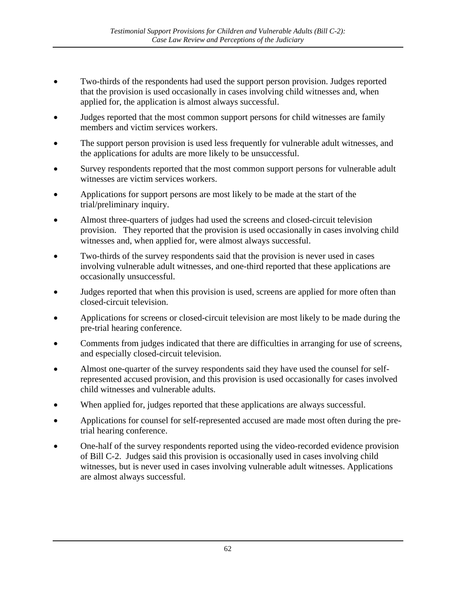- Two-thirds of the respondents had used the support person provision. Judges reported that the provision is used occasionally in cases involving child witnesses and, when applied for, the application is almost always successful.
- Judges reported that the most common support persons for child witnesses are family members and victim services workers.
- The support person provision is used less frequently for vulnerable adult witnesses, and the applications for adults are more likely to be unsuccessful.
- Survey respondents reported that the most common support persons for vulnerable adult witnesses are victim services workers.
- Applications for support persons are most likely to be made at the start of the trial/preliminary inquiry.
- Almost three-quarters of judges had used the screens and closed-circuit television provision. They reported that the provision is used occasionally in cases involving child witnesses and, when applied for, were almost always successful.
- Two-thirds of the survey respondents said that the provision is never used in cases involving vulnerable adult witnesses, and one-third reported that these applications are occasionally unsuccessful.
- Judges reported that when this provision is used, screens are applied for more often than closed-circuit television.
- Applications for screens or closed-circuit television are most likely to be made during the pre-trial hearing conference.
- Comments from judges indicated that there are difficulties in arranging for use of screens, and especially closed-circuit television.
- Almost one-quarter of the survey respondents said they have used the counsel for selfrepresented accused provision, and this provision is used occasionally for cases involved child witnesses and vulnerable adults.
- When applied for, judges reported that these applications are always successful.
- Applications for counsel for self-represented accused are made most often during the pretrial hearing conference.
- One-half of the survey respondents reported using the video-recorded evidence provision of Bill C-2. Judges said this provision is occasionally used in cases involving child witnesses, but is never used in cases involving vulnerable adult witnesses. Applications are almost always successful.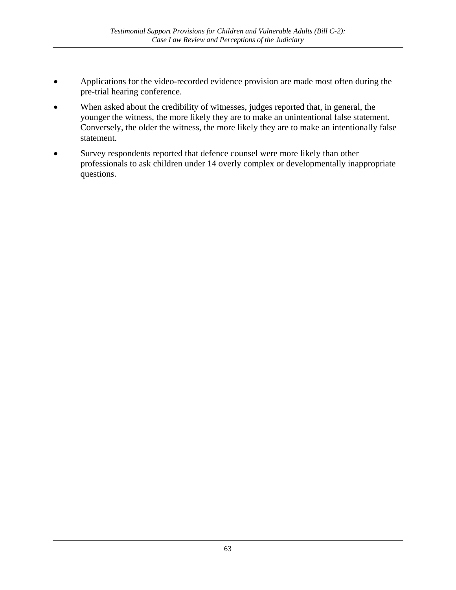- Applications for the video-recorded evidence provision are made most often during the pre-trial hearing conference.
- When asked about the credibility of witnesses, judges reported that, in general, the younger the witness, the more likely they are to make an unintentional false statement. Conversely, the older the witness, the more likely they are to make an intentionally false statement.
- Survey respondents reported that defence counsel were more likely than other professionals to ask children under 14 overly complex or developmentally inappropriate questions.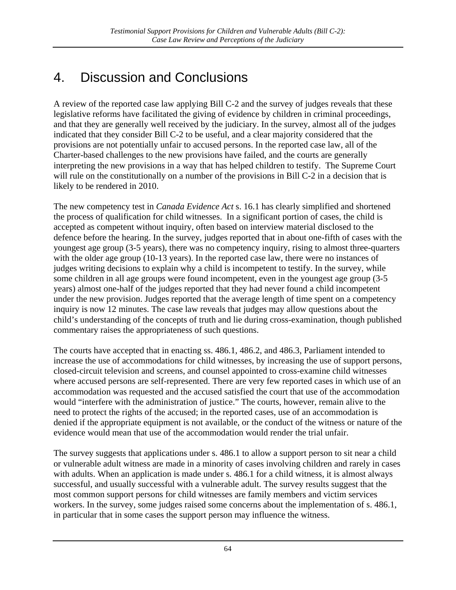# 4. Discussion and Conclusions

A review of the reported case law applying Bill C-2 and the survey of judges reveals that these legislative reforms have facilitated the giving of evidence by children in criminal proceedings, and that they are generally well received by the judiciary. In the survey, almost all of the judges indicated that they consider Bill C-2 to be useful, and a clear majority considered that the provisions are not potentially unfair to accused persons. In the reported case law, all of the Charter-based challenges to the new provisions have failed, and the courts are generally interpreting the new provisions in a way that has helped children to testify. The Supreme Court will rule on the constitutionally on a number of the provisions in Bill C-2 in a decision that is likely to be rendered in 2010.

The new competency test in *Canada Evidence Act* s. 16.1 has clearly simplified and shortened the process of qualification for child witnesses. In a significant portion of cases, the child is accepted as competent without inquiry, often based on interview material disclosed to the defence before the hearing. In the survey, judges reported that in about one-fifth of cases with the youngest age group (3-5 years), there was no competency inquiry, rising to almost three-quarters with the older age group (10-13 years). In the reported case law, there were no instances of judges writing decisions to explain why a child is incompetent to testify. In the survey, while some children in all age groups were found incompetent, even in the youngest age group (3-5 years) almost one-half of the judges reported that they had never found a child incompetent under the new provision. Judges reported that the average length of time spent on a competency inquiry is now 12 minutes. The case law reveals that judges may allow questions about the child's understanding of the concepts of truth and lie during cross-examination, though published commentary raises the appropriateness of such questions.

The courts have accepted that in enacting ss. 486.1, 486.2, and 486.3, Parliament intended to increase the use of accommodations for child witnesses, by increasing the use of support persons, closed-circuit television and screens, and counsel appointed to cross-examine child witnesses where accused persons are self-represented. There are very few reported cases in which use of an accommodation was requested and the accused satisfied the court that use of the accommodation would "interfere with the administration of justice." The courts, however, remain alive to the need to protect the rights of the accused; in the reported cases, use of an accommodation is denied if the appropriate equipment is not available, or the conduct of the witness or nature of the evidence would mean that use of the accommodation would render the trial unfair.

The survey suggests that applications under s. 486.1 to allow a support person to sit near a child or vulnerable adult witness are made in a minority of cases involving children and rarely in cases with adults. When an application is made under s. 486.1 for a child witness, it is almost always successful, and usually successful with a vulnerable adult. The survey results suggest that the most common support persons for child witnesses are family members and victim services workers. In the survey, some judges raised some concerns about the implementation of s. 486.1, in particular that in some cases the support person may influence the witness.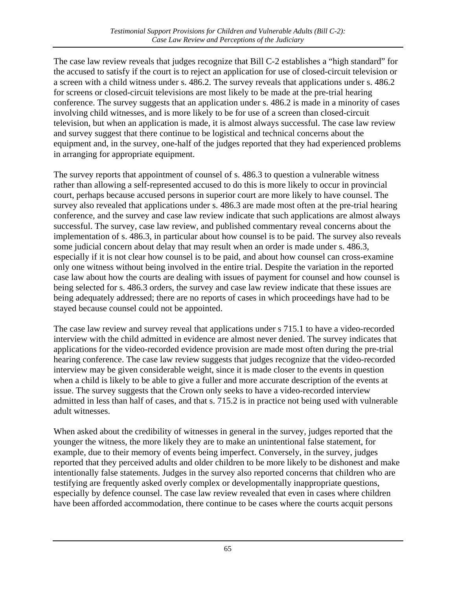The case law review reveals that judges recognize that Bill C-2 establishes a "high standard" for the accused to satisfy if the court is to reject an application for use of closed-circuit television or a screen with a child witness under s. 486.2. The survey reveals that applications under s. 486.2 for screens or closed-circuit televisions are most likely to be made at the pre-trial hearing conference. The survey suggests that an application under s. 486.2 is made in a minority of cases involving child witnesses, and is more likely to be for use of a screen than closed-circuit television, but when an application is made, it is almost always successful. The case law review and survey suggest that there continue to be logistical and technical concerns about the equipment and, in the survey, one-half of the judges reported that they had experienced problems in arranging for appropriate equipment.

The survey reports that appointment of counsel of s. 486.3 to question a vulnerable witness rather than allowing a self-represented accused to do this is more likely to occur in provincial court, perhaps because accused persons in superior court are more likely to have counsel. The survey also revealed that applications under s. 486.3 are made most often at the pre-trial hearing conference, and the survey and case law review indicate that such applications are almost always successful. The survey, case law review, and published commentary reveal concerns about the implementation of s. 486.3, in particular about how counsel is to be paid. The survey also reveals some judicial concern about delay that may result when an order is made under s. 486.3, especially if it is not clear how counsel is to be paid, and about how counsel can cross-examine only one witness without being involved in the entire trial. Despite the variation in the reported case law about how the courts are dealing with issues of payment for counsel and how counsel is being selected for s. 486.3 orders, the survey and case law review indicate that these issues are being adequately addressed; there are no reports of cases in which proceedings have had to be stayed because counsel could not be appointed.

The case law review and survey reveal that applications under s 715.1 to have a video-recorded interview with the child admitted in evidence are almost never denied. The survey indicates that applications for the video-recorded evidence provision are made most often during the pre-trial hearing conference. The case law review suggests that judges recognize that the video-recorded interview may be given considerable weight, since it is made closer to the events in question when a child is likely to be able to give a fuller and more accurate description of the events at issue. The survey suggests that the Crown only seeks to have a video-recorded interview admitted in less than half of cases, and that s. 715.2 is in practice not being used with vulnerable adult witnesses.

When asked about the credibility of witnesses in general in the survey, judges reported that the younger the witness, the more likely they are to make an unintentional false statement, for example, due to their memory of events being imperfect. Conversely, in the survey, judges reported that they perceived adults and older children to be more likely to be dishonest and make intentionally false statements. Judges in the survey also reported concerns that children who are testifying are frequently asked overly complex or developmentally inappropriate questions, especially by defence counsel. The case law review revealed that even in cases where children have been afforded accommodation, there continue to be cases where the courts acquit persons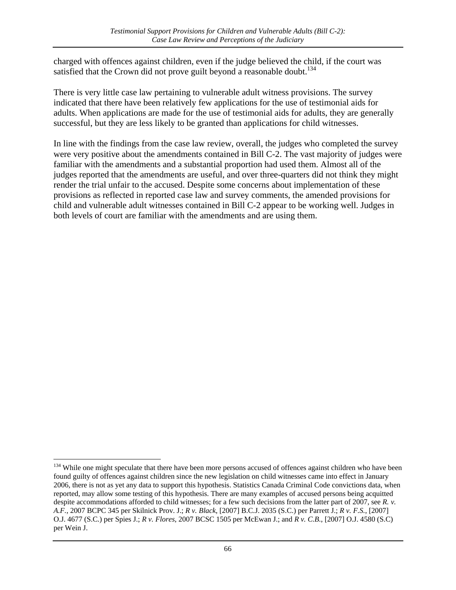charged with offences against children, even if the judge believed the child, if the court was satisfied that the Crown did not prove guilt beyond a reasonable doubt.<sup>134</sup>

There is very little case law pertaining to vulnerable adult witness provisions. The survey indicated that there have been relatively few applications for the use of testimonial aids for adults. When applications are made for the use of testimonial aids for adults, they are generally successful, but they are less likely to be granted than applications for child witnesses.

In line with the findings from the case law review, overall, the judges who completed the survey were very positive about the amendments contained in Bill C-2. The vast majority of judges were familiar with the amendments and a substantial proportion had used them. Almost all of the judges reported that the amendments are useful, and over three-quarters did not think they might render the trial unfair to the accused. Despite some concerns about implementation of these provisions as reflected in reported case law and survey comments, the amended provisions for child and vulnerable adult witnesses contained in Bill C-2 appear to be working well. Judges in both levels of court are familiar with the amendments and are using them.

 $\overline{a}$ 

<sup>&</sup>lt;sup>134</sup> While one might speculate that there have been more persons accused of offences against children who have been found guilty of offences against children since the new legislation on child witnesses came into effect in January 2006, there is not as yet any data to support this hypothesis. Statistics Canada Criminal Code convictions data, when reported, may allow some testing of this hypothesis. There are many examples of accused persons being acquitted despite accommodations afforded to child witnesses; for a few such decisions from the latter part of 2007, see *R. v. A.F.*, 2007 BCPC 345 per Skilnick Prov. J.; *R v. Black*, [2007] B.C.J. 2035 (S.C.) per Parrett J.; *R v. F.S.*, [2007] O.J. 4677 (S.C.) per Spies J.; *R v. Flores*, 2007 BCSC 1505 per McEwan J.; and *R v. C.B.*, [2007] O.J. 4580 (S.C) per Wein J.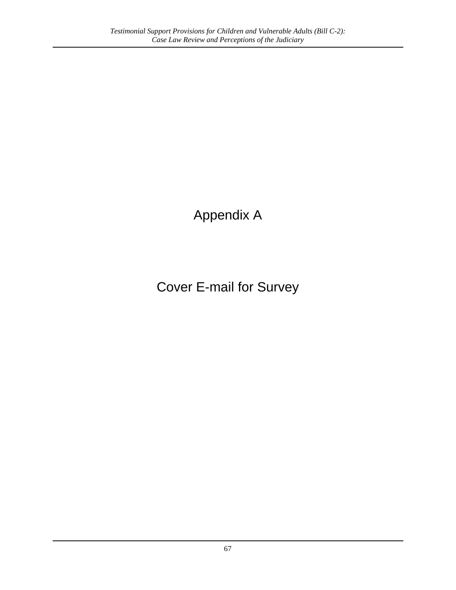Appendix A

# Cover E-mail for Survey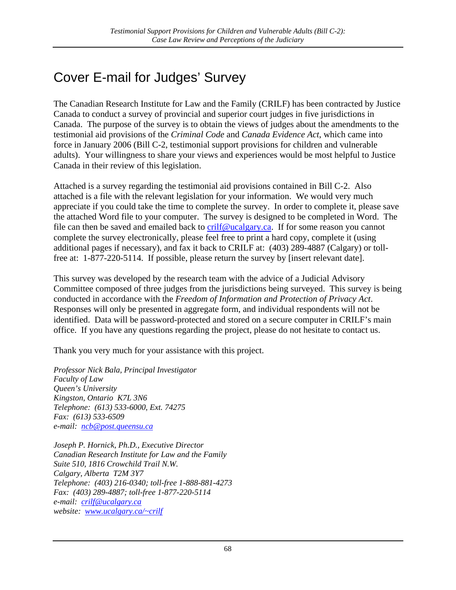# Cover E-mail for Judges' Survey

The Canadian Research Institute for Law and the Family (CRILF) has been contracted by Justice Canada to conduct a survey of provincial and superior court judges in five jurisdictions in Canada. The purpose of the survey is to obtain the views of judges about the amendments to the testimonial aid provisions of the *Criminal Code* and *Canada Evidence Act*, which came into force in January 2006 (Bill C-2, testimonial support provisions for children and vulnerable adults). Your willingness to share your views and experiences would be most helpful to Justice Canada in their review of this legislation.

Attached is a survey regarding the testimonial aid provisions contained in Bill C-2. Also attached is a file with the relevant legislation for your information. We would very much appreciate if you could take the time to complete the survey. In order to complete it, please save the attached Word file to your computer. The survey is designed to be completed in Word. The file can then be saved and emailed back to crilf@ucalgary.ca. If for some reason you cannot complete the survey electronically, please feel free to print a hard copy, complete it (using additional pages if necessary), and fax it back to CRILF at: (403) 289-4887 (Calgary) or tollfree at: 1-877-220-5114. If possible, please return the survey by [insert relevant date].

This survey was developed by the research team with the advice of a Judicial Advisory Committee composed of three judges from the jurisdictions being surveyed. This survey is being conducted in accordance with the *Freedom of Information and Protection of Privacy Act*. Responses will only be presented in aggregate form, and individual respondents will not be identified. Data will be password-protected and stored on a secure computer in CRILF's main office. If you have any questions regarding the project, please do not hesitate to contact us.

Thank you very much for your assistance with this project.

*Professor Nick Bala, Principal Investigator Faculty of Law Queen's University Kingston, Ontario K7L 3N6 Telephone: (613) 533-6000, Ext. 74275 Fax: (613) 533-6509 e-mail: ncb@post.queensu.ca*

*Joseph P. Hornick, Ph.D., Executive Director Canadian Research Institute for Law and the Family Suite 510, 1816 Crowchild Trail N.W. Calgary, Alberta T2M 3Y7 Telephone: (403) 216-0340; toll-free 1-888-881-4273 Fax: (403) 289-4887; toll-free 1-877-220-5114 e-mail: crilf@ucalgary.ca website: www.ucalgary.ca/~crilf*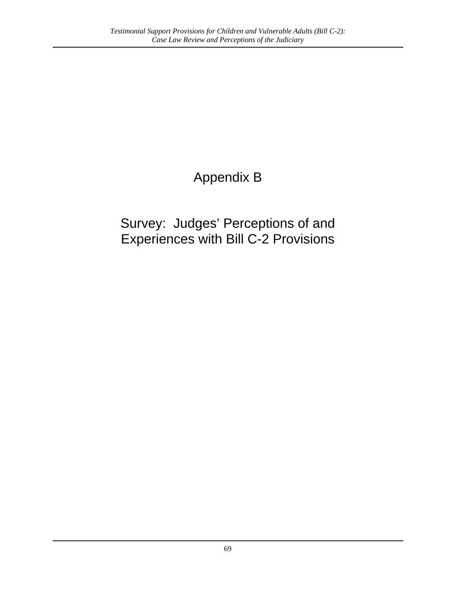# Appendix B

# Survey: Judges' Perceptions of and Experiences with Bill C-2 Provisions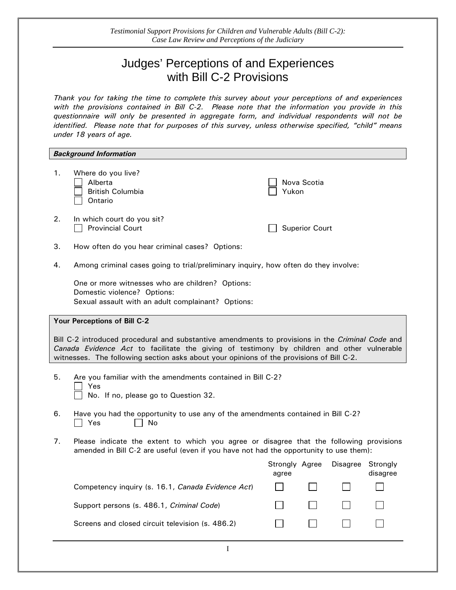## Judges' Perceptions of and Experiences with Bill C-2 Provisions

*Thank you for taking the time to complete this survey about your perceptions of and experiences with the provisions contained in Bill C-2. Please note that the information you provide in this questionnaire will only be presented in aggregate form, and individual respondents will not be identified. Please note that for purposes of this survey, unless otherwise specified, "child" means under 18 years of age.* 

#### *Background Information*

| 1. | Where do you live?<br>Alberta<br><b>British Columbia</b><br>Ontario | Nova Scotia<br>Yukon  |
|----|---------------------------------------------------------------------|-----------------------|
| 2. | In which court do you sit?<br><b>Provincial Court</b>               | <b>Superior Court</b> |

- 3. How often do you hear criminal cases? Options:
- 4. Among criminal cases going to trial/preliminary inquiry, how often do they involve:

 One or more witnesses who are children? Options: Domestic violence? Options: Sexual assault with an adult complainant? Options:

#### **Your Perceptions of Bill C-2**

Bill C-2 introduced procedural and substantive amendments to provisions in the *Criminal Code* and *Canada Evidence Act* to facilitate the giving of testimony by children and other vulnerable witnesses. The following section asks about your opinions of the provisions of Bill C-2.

- 5. Are you familiar with the amendments contained in Bill C-2? Yes
	- No. If no, please go to Question 32.
- 6. Have you had the opportunity to use any of the amendments contained in Bill C-2? || Yes || No
- 7. Please indicate the extent to which you agree or disagree that the following provisions amended in Bill C-2 are useful (even if you have not had the opportunity to use them):

|                                                   | Strongly Agree<br>agree |              | Disagree Strongly | disagree |
|---------------------------------------------------|-------------------------|--------------|-------------------|----------|
| Competency inquiry (s. 16.1, Canada Evidence Act) |                         | $\mathbf{1}$ |                   |          |
| Support persons (s. 486.1, Criminal Code)         |                         | $\mathbf{1}$ |                   |          |
| Screens and closed circuit television (s. 486.2)  |                         | $\mathbf{1}$ |                   |          |

I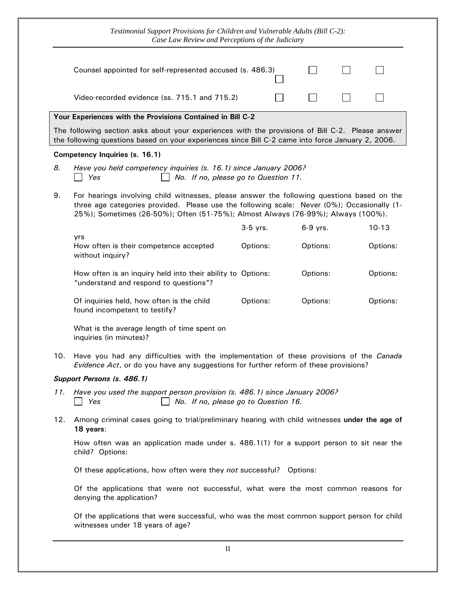*Testimonial Support Provisions for Children and Vulnerable Adults (Bill C-2): Case Law Review and Perceptions of the Judiciary* 

|                                | Counsel appointed for self-represented accused (s. 486.3)                                                                                                                                             |  |  |  |  |  |  |  |  |
|--------------------------------|-------------------------------------------------------------------------------------------------------------------------------------------------------------------------------------------------------|--|--|--|--|--|--|--|--|
|                                | Video-recorded evidence (ss. 715.1 and 715.2)                                                                                                                                                         |  |  |  |  |  |  |  |  |
|                                | Your Experiences with the Provisions Contained in Bill C-2                                                                                                                                            |  |  |  |  |  |  |  |  |
|                                | The following section asks about your experiences with the provisions of Bill C-2. Please answer<br>the following questions based on your experiences since Bill C-2 came into force January 2, 2006. |  |  |  |  |  |  |  |  |
| Competency Inquiries (s. 16.1) |                                                                                                                                                                                                       |  |  |  |  |  |  |  |  |
| 8.                             | Have you held competency inquiries (s. 16.1) since January 2006?<br>Yes<br>No. If no, please go to Question 11.                                                                                       |  |  |  |  |  |  |  |  |
| 9.                             | For hearings involving child witnesses, please answer the following questions based on the<br>three age categories provided. Please use the following scale: Never $(0\%)$ ; Occasionally $(1-$       |  |  |  |  |  |  |  |  |

three age categories provided. Please use the following scale: Never (0%); Occasionally (1- 25%); Sometimes (26-50%); Often (51-75%); Almost Always (76-99%); Always (100%).

|                                                                                                       | $3-5$ yrs. | $6-9$ yrs. | $10-13$  |
|-------------------------------------------------------------------------------------------------------|------------|------------|----------|
| vrs<br>How often is their competence accepted<br>without inquiry?                                     | Options:   | Options:   | Options: |
| How often is an inquiry held into their ability to Options:<br>"understand and respond to questions"? |            | Options:   | Options: |
| Of inquiries held, how often is the child<br>found incompetent to testify?                            | Options:   | Options:   | Options: |

 What is the average length of time spent on inquiries (in minutes)?

10. Have you had any difficulties with the implementation of these provisions of the *Canada Evidence Act*, or do you have any suggestions for further reform of these provisions?

#### *Support Persons (s. 486.1)*

- *11. Have you used the support person provision (s. 486.1) since January 2006? Yes No. If no, please go to Question 16.*
- 12. Among criminal cases going to trial/preliminary hearing with child witnesses **under the age of 18 years**:

 How often was an application made under s. 486.1(1) for a support person to sit near the child? Options:

Of these applications, how often were they *not* successful? Options:

 Of the applications that were not successful, what were the most common reasons for denying the application?

 Of the applications that were successful, who was the most common support person for child witnesses under 18 years of age?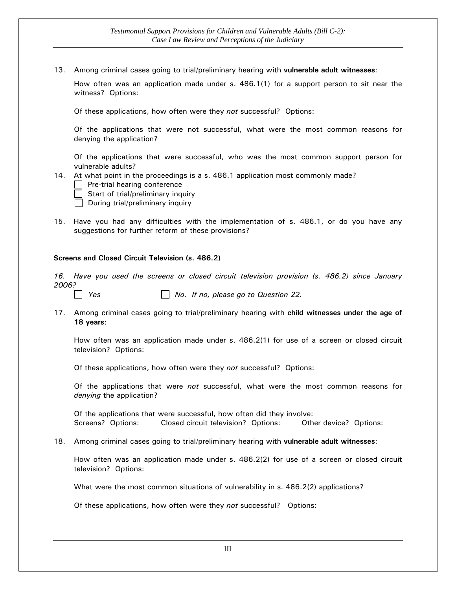13. Among criminal cases going to trial/preliminary hearing with **vulnerable adult witnesses**:

 How often was an application made under s. 486.1(1) for a support person to sit near the witness? Options:

Of these applications, how often were they *not* successful? Options:

 Of the applications that were not successful, what were the most common reasons for denying the application?

 Of the applications that were successful, who was the most common support person for vulnerable adults?

- 14. At what point in the proceedings is a s. 486.1 application most commonly made?
	- $\Box$  Pre-trial hearing conference
	- Start of trial/preliminary inquiry
	- $\Box$  During trial/preliminary inquiry
- 15. Have you had any difficulties with the implementation of s. 486.1, or do you have any suggestions for further reform of these provisions?

#### **Screens and Closed Circuit Television (s. 486.2)**

*16. Have you used the screens or closed circuit television provision (s. 486.2) since January 2006?* 

 *Yes No. If no, please go to Question 22.* 

17. Among criminal cases going to trial/preliminary hearing with **child witnesses under the age of 18 years**:

 How often was an application made under s. 486.2(1) for use of a screen or closed circuit television? Options:

Of these applications, how often were they *not* successful? Options:

 Of the applications that were *not* successful, what were the most common reasons for *denying* the application?

 Of the applications that were successful, how often did they involve: Screens? Options: Closed circuit television? Options: Other device? Options:

18. Among criminal cases going to trial/preliminary hearing with **vulnerable adult witnesses**:

 How often was an application made under s. 486.2(2) for use of a screen or closed circuit television? Options:

What were the most common situations of vulnerability in s. 486.2(2) applications?

Of these applications, how often were they *not* successful? Options: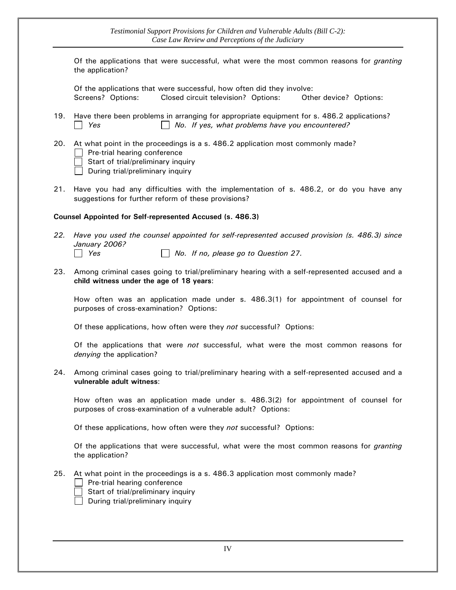Of the applications that were successful, what were the most common reasons for *granting* the application?

 Of the applications that were successful, how often did they involve: Screens? Options: Closed circuit television? Options: Other device? Options:

- 19. Have there been problems in arranging for appropriate equipment for s. 486.2 applications?  *Yes No. If yes, what problems have you encountered?*
- 20. At what point in the proceedings is a s. 486.2 application most commonly made?  $\Box$  Pre-trial hearing conference
	- Start of trial/preliminary inquiry
	- **During trial/preliminary inquiry**
- 21. Have you had any difficulties with the implementation of s. 486.2, or do you have any suggestions for further reform of these provisions?

## **Counsel Appointed for Self-represented Accused (s. 486.3)**

*22. Have you used the counsel appointed for self-represented accused provision (s. 486.3) since January 2006? Yes No. If no, please go to Question 27.* 

23. Among criminal cases going to trial/preliminary hearing with a self-represented accused and a **child witness under the age of 18 years**:

 How often was an application made under s. 486.3(1) for appointment of counsel for purposes of cross-examination? Options:

Of these applications, how often were they *not* successful? Options:

 Of the applications that were *not* successful, what were the most common reasons for *denying* the application?

24. Among criminal cases going to trial/preliminary hearing with a self-represented accused and a **vulnerable adult witness**:

 How often was an application made under s. 486.3(2) for appointment of counsel for purposes of cross-examination of a vulnerable adult? Options:

Of these applications, how often were they *not* successful? Options:

 Of the applications that were successful, what were the most common reasons for *granting* the application?

- 25. At what point in the proceedings is a s. 486.3 application most commonly made?
	- **Pre-trial hearing conference** 
		- Start of trial/preliminary inquiry
	- During trial/preliminary inquiry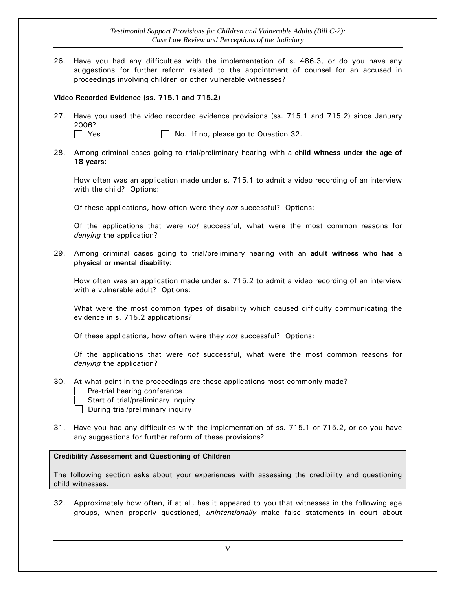26. Have you had any difficulties with the implementation of s. 486.3, or do you have any suggestions for further reform related to the appointment of counsel for an accused in proceedings involving children or other vulnerable witnesses?

## **Video Recorded Evidence (ss. 715.1 and 715.2)**

27. Have you used the video recorded evidence provisions (ss. 715.1 and 715.2) since January 2006?

 $\Box$  Yes  $\Box$  No. If no, please go to Question 32.

28. Among criminal cases going to trial/preliminary hearing with a **child witness under the age of 18 years**:

 How often was an application made under s. 715.1 to admit a video recording of an interview with the child? Options:

Of these applications, how often were they *not* successful? Options:

 Of the applications that were *not* successful, what were the most common reasons for *denying* the application?

29. Among criminal cases going to trial/preliminary hearing with an **adult witness who has a physical or mental disability**:

 How often was an application made under s. 715.2 to admit a video recording of an interview with a vulnerable adult? Options:

 What were the most common types of disability which caused difficulty communicating the evidence in s. 715.2 applications?

Of these applications, how often were they *not* successful? Options:

 Of the applications that were *not* successful, what were the most common reasons for *denying* the application?

- 30. At what point in the proceedings are these applications most commonly made?
	- $\Box$  Pre-trial hearing conference
		- Start of trial/preliminary inquiry
	- $\Box$  During trial/preliminary inquiry
- 31. Have you had any difficulties with the implementation of ss. 715.1 or 715.2, or do you have any suggestions for further reform of these provisions?

## **Credibility Assessment and Questioning of Children**

The following section asks about your experiences with assessing the credibility and questioning child witnesses.

32. Approximately how often, if at all, has it appeared to you that witnesses in the following age groups, when properly questioned, *unintentionally* make false statements in court about